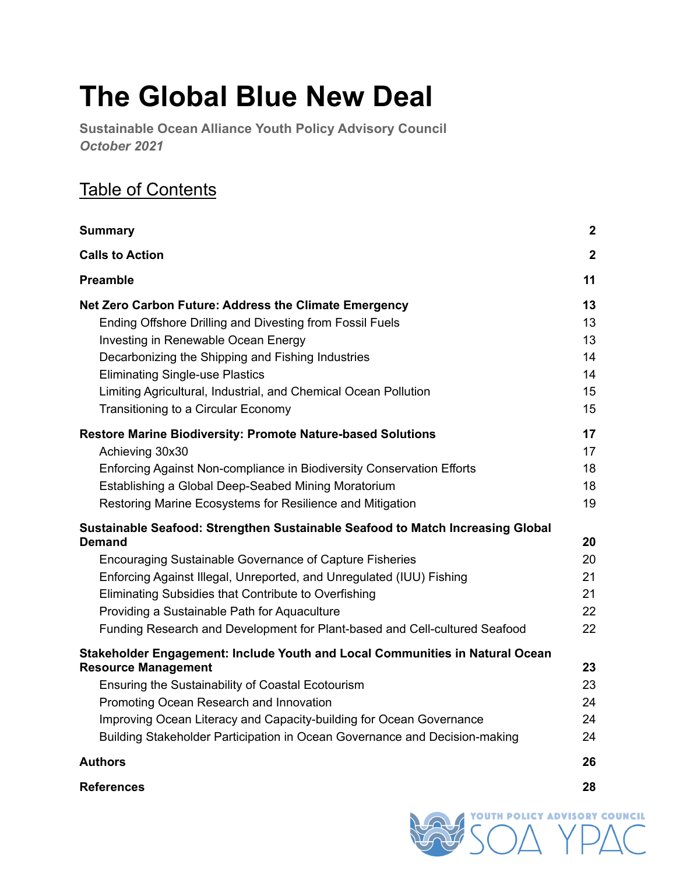# **The Global Blue New Deal**

**Sustainable Ocean Alliance Youth Policy Advisory Council** *October 2021*

## Table of Contents

| <b>Summary</b>                                                                 | $\boldsymbol{2}$ |
|--------------------------------------------------------------------------------|------------------|
| <b>Calls to Action</b>                                                         | $\mathbf{2}$     |
| <b>Preamble</b>                                                                | 11               |
| Net Zero Carbon Future: Address the Climate Emergency                          | 13               |
| Ending Offshore Drilling and Divesting from Fossil Fuels                       | 13               |
| Investing in Renewable Ocean Energy                                            | 13               |
| Decarbonizing the Shipping and Fishing Industries                              | 14               |
| <b>Eliminating Single-use Plastics</b>                                         | 14               |
| Limiting Agricultural, Industrial, and Chemical Ocean Pollution                | 15               |
| Transitioning to a Circular Economy                                            | 15               |
| <b>Restore Marine Biodiversity: Promote Nature-based Solutions</b>             | 17               |
| Achieving 30x30                                                                | 17               |
| Enforcing Against Non-compliance in Biodiversity Conservation Efforts          | 18               |
| Establishing a Global Deep-Seabed Mining Moratorium                            | 18               |
| Restoring Marine Ecosystems for Resilience and Mitigation                      | 19               |
| Sustainable Seafood: Strengthen Sustainable Seafood to Match Increasing Global |                  |
| <b>Demand</b>                                                                  | 20               |
| Encouraging Sustainable Governance of Capture Fisheries                        | 20               |
| Enforcing Against Illegal, Unreported, and Unregulated (IUU) Fishing           | 21               |
| Eliminating Subsidies that Contribute to Overfishing                           | 21               |
| Providing a Sustainable Path for Aquaculture                                   | 22               |
| Funding Research and Development for Plant-based and Cell-cultured Seafood     | 22               |
| Stakeholder Engagement: Include Youth and Local Communities in Natural Ocean   |                  |
| <b>Resource Management</b>                                                     | 23               |
| Ensuring the Sustainability of Coastal Ecotourism                              | 23               |
| Promoting Ocean Research and Innovation                                        | 24               |
| Improving Ocean Literacy and Capacity-building for Ocean Governance            | 24               |
| Building Stakeholder Participation in Ocean Governance and Decision-making     | 24               |
| <b>Authors</b>                                                                 | 26               |

**[References](#page-27-0) [28](#page-27-0)**

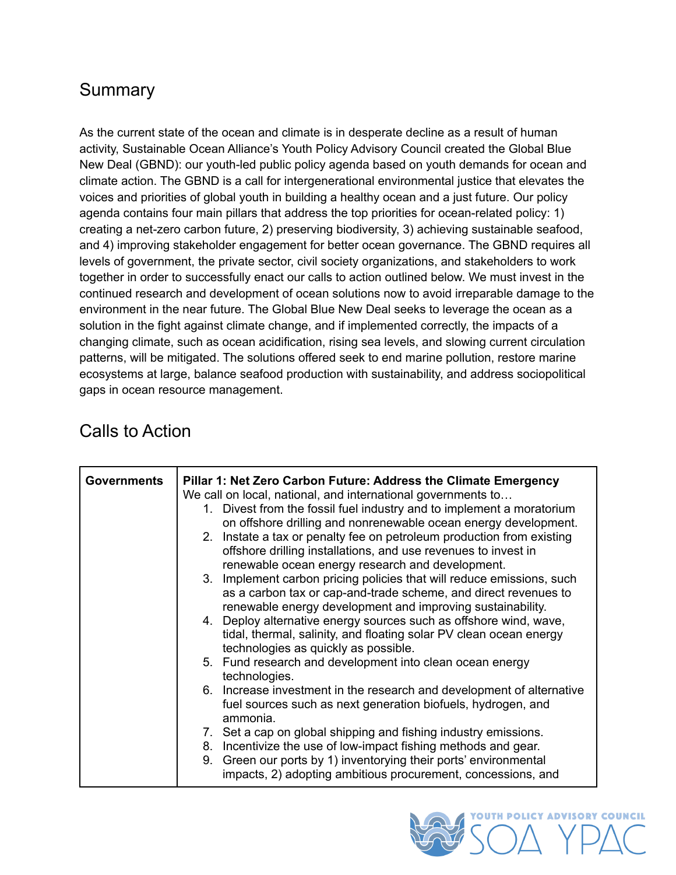## <span id="page-1-0"></span>**Summary**

As the current state of the ocean and climate is in desperate decline as a result of human activity, Sustainable Ocean Alliance's Youth Policy Advisory Council created the Global Blue New Deal (GBND): our youth-led public policy agenda based on youth demands for ocean and climate action. The GBND is a call for intergenerational environmental justice that elevates the voices and priorities of global youth in building a healthy ocean and a just future. Our policy agenda contains four main pillars that address the top priorities for ocean-related policy: 1) creating a net-zero carbon future, 2) preserving biodiversity, 3) achieving sustainable seafood, and 4) improving stakeholder engagement for better ocean governance. The GBND requires all levels of government, the private sector, civil society organizations, and stakeholders to work together in order to successfully enact our calls to action outlined below. We must invest in the continued research and development of ocean solutions now to avoid irreparable damage to the environment in the near future. The Global Blue New Deal seeks to leverage the ocean as a solution in the fight against climate change, and if implemented correctly, the impacts of a changing climate, such as ocean acidification, rising sea levels, and slowing current circulation patterns, will be mitigated. The solutions offered seek to end marine pollution, restore marine ecosystems at large, balance seafood production with sustainability, and address sociopolitical gaps in ocean resource management.

## <span id="page-1-1"></span>Calls to Action

| <b>Governments</b> | Pillar 1: Net Zero Carbon Future: Address the Climate Emergency<br>We call on local, national, and international governments to<br>1. Divest from the fossil fuel industry and to implement a moratorium<br>on offshore drilling and nonrenewable ocean energy development.<br>2. Instate a tax or penalty fee on petroleum production from existing<br>offshore drilling installations, and use revenues to invest in<br>renewable ocean energy research and development.<br>3. Implement carbon pricing policies that will reduce emissions, such<br>as a carbon tax or cap-and-trade scheme, and direct revenues to<br>renewable energy development and improving sustainability.<br>4. Deploy alternative energy sources such as offshore wind, wave,<br>tidal, thermal, salinity, and floating solar PV clean ocean energy<br>technologies as quickly as possible.<br>5. Fund research and development into clean ocean energy<br>technologies.<br>6. Increase investment in the research and development of alternative<br>fuel sources such as next generation biofuels, hydrogen, and<br>ammonia. |
|--------------------|-----------------------------------------------------------------------------------------------------------------------------------------------------------------------------------------------------------------------------------------------------------------------------------------------------------------------------------------------------------------------------------------------------------------------------------------------------------------------------------------------------------------------------------------------------------------------------------------------------------------------------------------------------------------------------------------------------------------------------------------------------------------------------------------------------------------------------------------------------------------------------------------------------------------------------------------------------------------------------------------------------------------------------------------------------------------------------------------------------------|
|                    |                                                                                                                                                                                                                                                                                                                                                                                                                                                                                                                                                                                                                                                                                                                                                                                                                                                                                                                                                                                                                                                                                                           |
|                    | 7. Set a cap on global shipping and fishing industry emissions.<br>8. Incentivize the use of low-impact fishing methods and gear.<br>9. Green our ports by 1) inventorying their ports' environmental<br>impacts, 2) adopting ambitious procurement, concessions, and                                                                                                                                                                                                                                                                                                                                                                                                                                                                                                                                                                                                                                                                                                                                                                                                                                     |

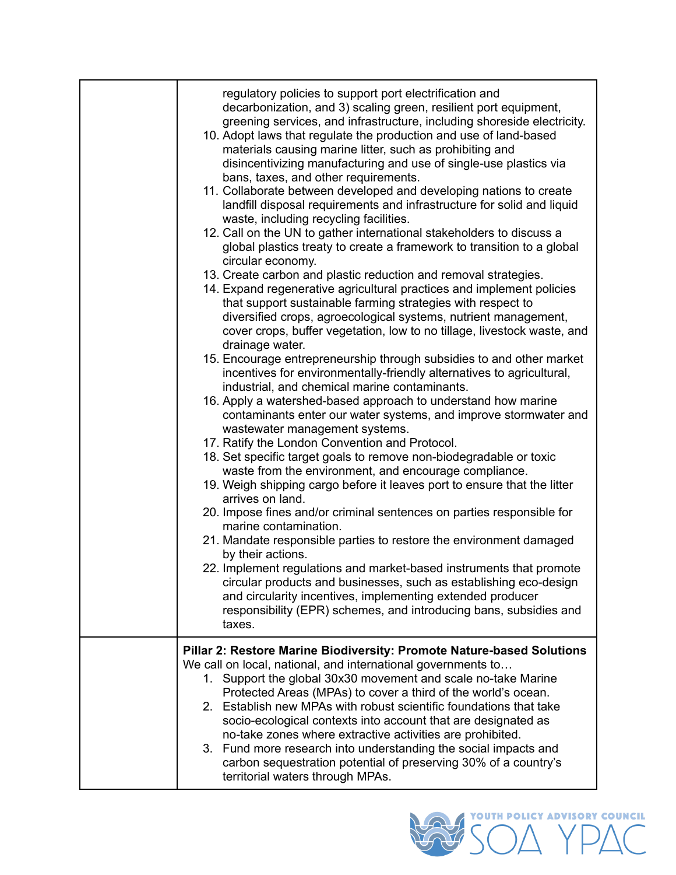| regulatory policies to support port electrification and<br>decarbonization, and 3) scaling green, resilient port equipment,<br>greening services, and infrastructure, including shoreside electricity.<br>10. Adopt laws that regulate the production and use of land-based<br>materials causing marine litter, such as prohibiting and<br>disincentivizing manufacturing and use of single-use plastics via<br>bans, taxes, and other requirements.<br>11. Collaborate between developed and developing nations to create<br>landfill disposal requirements and infrastructure for solid and liquid<br>waste, including recycling facilities.<br>12. Call on the UN to gather international stakeholders to discuss a<br>global plastics treaty to create a framework to transition to a global<br>circular economy.<br>13. Create carbon and plastic reduction and removal strategies.<br>14. Expand regenerative agricultural practices and implement policies<br>that support sustainable farming strategies with respect to<br>diversified crops, agroecological systems, nutrient management,<br>cover crops, buffer vegetation, low to no tillage, livestock waste, and<br>drainage water.<br>15. Encourage entrepreneurship through subsidies to and other market<br>incentives for environmentally-friendly alternatives to agricultural,<br>industrial, and chemical marine contaminants.<br>16. Apply a watershed-based approach to understand how marine<br>contaminants enter our water systems, and improve stormwater and<br>wastewater management systems.<br>17. Ratify the London Convention and Protocol.<br>18. Set specific target goals to remove non-biodegradable or toxic<br>waste from the environment, and encourage compliance.<br>19. Weigh shipping cargo before it leaves port to ensure that the litter<br>arrives on land.<br>20. Impose fines and/or criminal sentences on parties responsible for<br>marine contamination.<br>21. Mandate responsible parties to restore the environment damaged<br>by their actions.<br>22. Implement regulations and market-based instruments that promote<br>circular products and businesses, such as establishing eco-design<br>and circularity incentives, implementing extended producer |
|--------------------------------------------------------------------------------------------------------------------------------------------------------------------------------------------------------------------------------------------------------------------------------------------------------------------------------------------------------------------------------------------------------------------------------------------------------------------------------------------------------------------------------------------------------------------------------------------------------------------------------------------------------------------------------------------------------------------------------------------------------------------------------------------------------------------------------------------------------------------------------------------------------------------------------------------------------------------------------------------------------------------------------------------------------------------------------------------------------------------------------------------------------------------------------------------------------------------------------------------------------------------------------------------------------------------------------------------------------------------------------------------------------------------------------------------------------------------------------------------------------------------------------------------------------------------------------------------------------------------------------------------------------------------------------------------------------------------------------------------------------------------------------------------------------------------------------------------------------------------------------------------------------------------------------------------------------------------------------------------------------------------------------------------------------------------------------------------------------------------------------------------------------------------------------------------------------------------------------------------------------------------|
| responsibility (EPR) schemes, and introducing bans, subsidies and<br>taxes.                                                                                                                                                                                                                                                                                                                                                                                                                                                                                                                                                                                                                                                                                                                                                                                                                                                                                                                                                                                                                                                                                                                                                                                                                                                                                                                                                                                                                                                                                                                                                                                                                                                                                                                                                                                                                                                                                                                                                                                                                                                                                                                                                                                        |
| Pillar 2: Restore Marine Biodiversity: Promote Nature-based Solutions<br>We call on local, national, and international governments to<br>1. Support the global 30x30 movement and scale no-take Marine<br>Protected Areas (MPAs) to cover a third of the world's ocean.<br>2. Establish new MPAs with robust scientific foundations that take<br>socio-ecological contexts into account that are designated as<br>no-take zones where extractive activities are prohibited.<br>3. Fund more research into understanding the social impacts and<br>carbon sequestration potential of preserving 30% of a country's<br>territorial waters through MPAs.                                                                                                                                                                                                                                                                                                                                                                                                                                                                                                                                                                                                                                                                                                                                                                                                                                                                                                                                                                                                                                                                                                                                                                                                                                                                                                                                                                                                                                                                                                                                                                                                              |

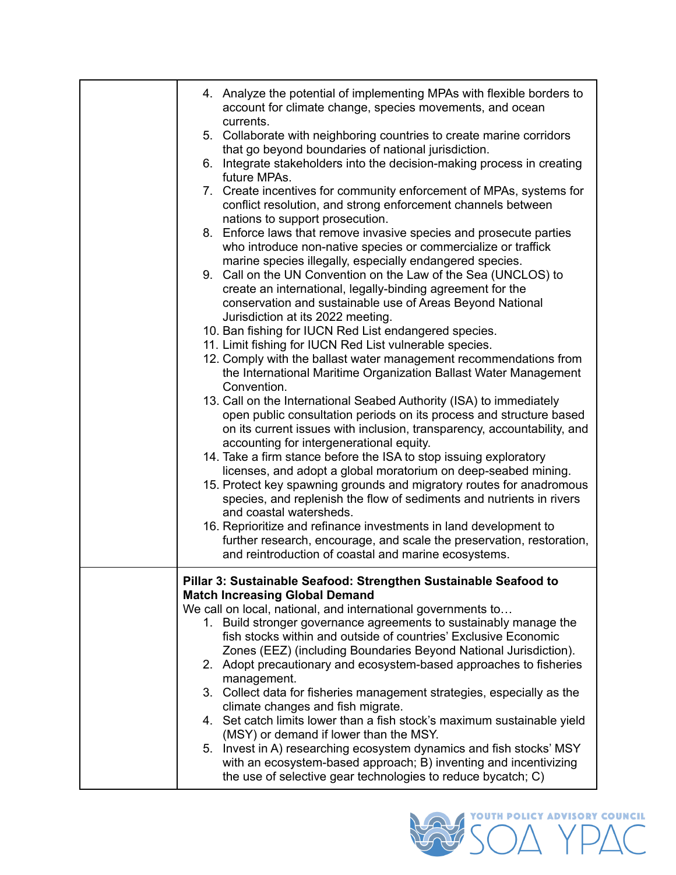| 4. Analyze the potential of implementing MPAs with flexible borders to<br>account for climate change, species movements, and ocean<br>currents.                                                                |
|----------------------------------------------------------------------------------------------------------------------------------------------------------------------------------------------------------------|
| 5. Collaborate with neighboring countries to create marine corridors<br>that go beyond boundaries of national jurisdiction.                                                                                    |
| 6. Integrate stakeholders into the decision-making process in creating<br>future MPAs.                                                                                                                         |
| 7. Create incentives for community enforcement of MPAs, systems for<br>conflict resolution, and strong enforcement channels between                                                                            |
| nations to support prosecution.<br>8. Enforce laws that remove invasive species and prosecute parties<br>who introduce non-native species or commercialize or traffick                                         |
| marine species illegally, especially endangered species.<br>9. Call on the UN Convention on the Law of the Sea (UNCLOS) to<br>create an international, legally-binding agreement for the                       |
| conservation and sustainable use of Areas Beyond National<br>Jurisdiction at its 2022 meeting.                                                                                                                 |
| 10. Ban fishing for IUCN Red List endangered species.                                                                                                                                                          |
| 11. Limit fishing for IUCN Red List vulnerable species.<br>12. Comply with the ballast water management recommendations from                                                                                   |
| the International Maritime Organization Ballast Water Management<br>Convention.                                                                                                                                |
| 13. Call on the International Seabed Authority (ISA) to immediately                                                                                                                                            |
| open public consultation periods on its process and structure based<br>on its current issues with inclusion, transparency, accountability, and                                                                 |
| accounting for intergenerational equity.<br>14. Take a firm stance before the ISA to stop issuing exploratory                                                                                                  |
| licenses, and adopt a global moratorium on deep-seabed mining.<br>15. Protect key spawning grounds and migratory routes for anadromous<br>species, and replenish the flow of sediments and nutrients in rivers |
| and coastal watersheds.                                                                                                                                                                                        |
| 16. Reprioritize and refinance investments in land development to                                                                                                                                              |
| further research, encourage, and scale the preservation, restoration,<br>and reintroduction of coastal and marine ecosystems.                                                                                  |
| Pillar 3: Sustainable Seafood: Strengthen Sustainable Seafood to                                                                                                                                               |
| <b>Match Increasing Global Demand</b><br>We call on local, national, and international governments to                                                                                                          |
| 1. Build stronger governance agreements to sustainably manage the                                                                                                                                              |
| fish stocks within and outside of countries' Exclusive Economic                                                                                                                                                |
| Zones (EEZ) (including Boundaries Beyond National Jurisdiction).                                                                                                                                               |
| 2. Adopt precautionary and ecosystem-based approaches to fisheries<br>management.                                                                                                                              |
| 3. Collect data for fisheries management strategies, especially as the<br>climate changes and fish migrate.                                                                                                    |
| 4. Set catch limits lower than a fish stock's maximum sustainable yield                                                                                                                                        |
|                                                                                                                                                                                                                |
| (MSY) or demand if lower than the MSY.<br>5. Invest in A) researching ecosystem dynamics and fish stocks' MSY                                                                                                  |

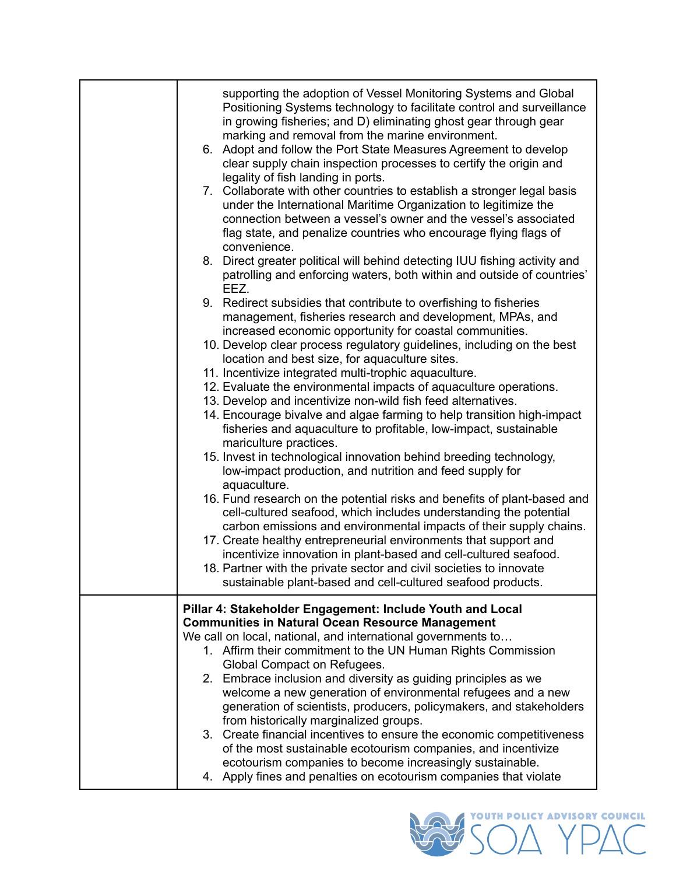| supporting the adoption of Vessel Monitoring Systems and Global<br>Positioning Systems technology to facilitate control and surveillance<br>in growing fisheries; and D) eliminating ghost gear through gear<br>marking and removal from the marine environment.<br>6. Adopt and follow the Port State Measures Agreement to develop<br>clear supply chain inspection processes to certify the origin and<br>legality of fish landing in ports.<br>7. Collaborate with other countries to establish a stronger legal basis<br>under the International Maritime Organization to legitimize the<br>connection between a vessel's owner and the vessel's associated<br>flag state, and penalize countries who encourage flying flags of |
|--------------------------------------------------------------------------------------------------------------------------------------------------------------------------------------------------------------------------------------------------------------------------------------------------------------------------------------------------------------------------------------------------------------------------------------------------------------------------------------------------------------------------------------------------------------------------------------------------------------------------------------------------------------------------------------------------------------------------------------|
| convenience.<br>8. Direct greater political will behind detecting IUU fishing activity and<br>patrolling and enforcing waters, both within and outside of countries'<br>EEZ.                                                                                                                                                                                                                                                                                                                                                                                                                                                                                                                                                         |
| 9. Redirect subsidies that contribute to overfishing to fisheries<br>management, fisheries research and development, MPAs, and<br>increased economic opportunity for coastal communities.                                                                                                                                                                                                                                                                                                                                                                                                                                                                                                                                            |
| 10. Develop clear process regulatory guidelines, including on the best<br>location and best size, for aquaculture sites.<br>11. Incentivize integrated multi-trophic aquaculture.                                                                                                                                                                                                                                                                                                                                                                                                                                                                                                                                                    |
| 12. Evaluate the environmental impacts of aquaculture operations.                                                                                                                                                                                                                                                                                                                                                                                                                                                                                                                                                                                                                                                                    |
| 13. Develop and incentivize non-wild fish feed alternatives.                                                                                                                                                                                                                                                                                                                                                                                                                                                                                                                                                                                                                                                                         |
| 14. Encourage bivalve and algae farming to help transition high-impact<br>fisheries and aquaculture to profitable, low-impact, sustainable<br>mariculture practices.                                                                                                                                                                                                                                                                                                                                                                                                                                                                                                                                                                 |
| 15. Invest in technological innovation behind breeding technology,<br>low-impact production, and nutrition and feed supply for<br>aquaculture.                                                                                                                                                                                                                                                                                                                                                                                                                                                                                                                                                                                       |
| 16. Fund research on the potential risks and benefits of plant-based and<br>cell-cultured seafood, which includes understanding the potential<br>carbon emissions and environmental impacts of their supply chains.                                                                                                                                                                                                                                                                                                                                                                                                                                                                                                                  |
| 17. Create healthy entrepreneurial environments that support and<br>incentivize innovation in plant-based and cell-cultured seafood.                                                                                                                                                                                                                                                                                                                                                                                                                                                                                                                                                                                                 |
| 18. Partner with the private sector and civil societies to innovate<br>sustainable plant-based and cell-cultured seafood products.                                                                                                                                                                                                                                                                                                                                                                                                                                                                                                                                                                                                   |
| Pillar 4: Stakeholder Engagement: Include Youth and Local                                                                                                                                                                                                                                                                                                                                                                                                                                                                                                                                                                                                                                                                            |
| <b>Communities in Natural Ocean Resource Management</b>                                                                                                                                                                                                                                                                                                                                                                                                                                                                                                                                                                                                                                                                              |
| We call on local, national, and international governments to                                                                                                                                                                                                                                                                                                                                                                                                                                                                                                                                                                                                                                                                         |
| 1. Affirm their commitment to the UN Human Rights Commission<br>Global Compact on Refugees.                                                                                                                                                                                                                                                                                                                                                                                                                                                                                                                                                                                                                                          |
| 2. Embrace inclusion and diversity as guiding principles as we<br>welcome a new generation of environmental refugees and a new<br>generation of scientists, producers, policymakers, and stakeholders                                                                                                                                                                                                                                                                                                                                                                                                                                                                                                                                |
| from historically marginalized groups.<br>3. Create financial incentives to ensure the economic competitiveness<br>of the most sustainable ecotourism companies, and incentivize                                                                                                                                                                                                                                                                                                                                                                                                                                                                                                                                                     |
| ecotourism companies to become increasingly sustainable.<br>4. Apply fines and penalties on ecotourism companies that violate                                                                                                                                                                                                                                                                                                                                                                                                                                                                                                                                                                                                        |

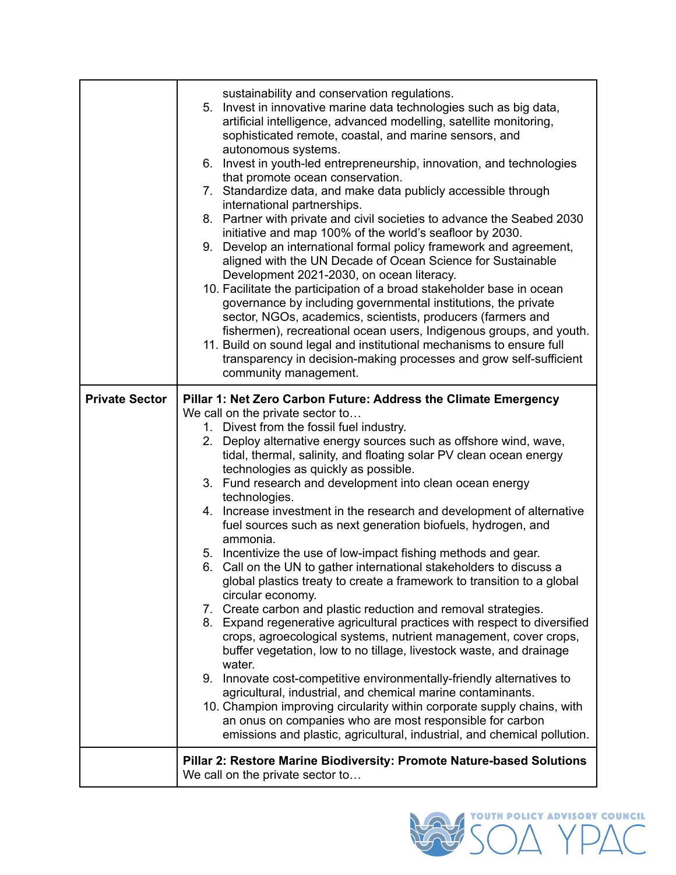|                       | sustainability and conservation regulations.<br>5. Invest in innovative marine data technologies such as big data,<br>artificial intelligence, advanced modelling, satellite monitoring,<br>sophisticated remote, coastal, and marine sensors, and<br>autonomous systems.<br>6. Invest in youth-led entrepreneurship, innovation, and technologies<br>that promote ocean conservation.<br>7. Standardize data, and make data publicly accessible through<br>international partnerships.<br>8. Partner with private and civil societies to advance the Seabed 2030<br>initiative and map 100% of the world's seafloor by 2030.<br>9. Develop an international formal policy framework and agreement,<br>aligned with the UN Decade of Ocean Science for Sustainable<br>Development 2021-2030, on ocean literacy.<br>10. Facilitate the participation of a broad stakeholder base in ocean<br>governance by including governmental institutions, the private<br>sector, NGOs, academics, scientists, producers (farmers and<br>fishermen), recreational ocean users, Indigenous groups, and youth.<br>11. Build on sound legal and institutional mechanisms to ensure full<br>transparency in decision-making processes and grow self-sufficient<br>community management. |  |
|-----------------------|-------------------------------------------------------------------------------------------------------------------------------------------------------------------------------------------------------------------------------------------------------------------------------------------------------------------------------------------------------------------------------------------------------------------------------------------------------------------------------------------------------------------------------------------------------------------------------------------------------------------------------------------------------------------------------------------------------------------------------------------------------------------------------------------------------------------------------------------------------------------------------------------------------------------------------------------------------------------------------------------------------------------------------------------------------------------------------------------------------------------------------------------------------------------------------------------------------------------------------------------------------------------------|--|
| <b>Private Sector</b> | Pillar 1: Net Zero Carbon Future: Address the Climate Emergency<br>We call on the private sector to                                                                                                                                                                                                                                                                                                                                                                                                                                                                                                                                                                                                                                                                                                                                                                                                                                                                                                                                                                                                                                                                                                                                                                     |  |
|                       | 1. Divest from the fossil fuel industry.                                                                                                                                                                                                                                                                                                                                                                                                                                                                                                                                                                                                                                                                                                                                                                                                                                                                                                                                                                                                                                                                                                                                                                                                                                |  |
|                       | 2. Deploy alternative energy sources such as offshore wind, wave,<br>tidal, thermal, salinity, and floating solar PV clean ocean energy                                                                                                                                                                                                                                                                                                                                                                                                                                                                                                                                                                                                                                                                                                                                                                                                                                                                                                                                                                                                                                                                                                                                 |  |
|                       | technologies as quickly as possible.<br>3. Fund research and development into clean ocean energy<br>technologies.                                                                                                                                                                                                                                                                                                                                                                                                                                                                                                                                                                                                                                                                                                                                                                                                                                                                                                                                                                                                                                                                                                                                                       |  |
|                       | 4. Increase investment in the research and development of alternative<br>fuel sources such as next generation biofuels, hydrogen, and<br>ammonia.                                                                                                                                                                                                                                                                                                                                                                                                                                                                                                                                                                                                                                                                                                                                                                                                                                                                                                                                                                                                                                                                                                                       |  |
|                       | 5. Incentivize the use of low-impact fishing methods and gear.<br>6. Call on the UN to gather international stakeholders to discuss a<br>global plastics treaty to create a framework to transition to a global<br>circular economy.                                                                                                                                                                                                                                                                                                                                                                                                                                                                                                                                                                                                                                                                                                                                                                                                                                                                                                                                                                                                                                    |  |
|                       | 7. Create carbon and plastic reduction and removal strategies.<br>8. Expand regenerative agricultural practices with respect to diversified<br>crops, agroecological systems, nutrient management, cover crops,<br>buffer vegetation, low to no tillage, livestock waste, and drainage<br>water.                                                                                                                                                                                                                                                                                                                                                                                                                                                                                                                                                                                                                                                                                                                                                                                                                                                                                                                                                                        |  |
|                       | 9. Innovate cost-competitive environmentally-friendly alternatives to<br>agricultural, industrial, and chemical marine contaminants.<br>10. Champion improving circularity within corporate supply chains, with<br>an onus on companies who are most responsible for carbon<br>emissions and plastic, agricultural, industrial, and chemical pollution.                                                                                                                                                                                                                                                                                                                                                                                                                                                                                                                                                                                                                                                                                                                                                                                                                                                                                                                 |  |
|                       | Pillar 2: Restore Marine Biodiversity: Promote Nature-based Solutions<br>We call on the private sector to                                                                                                                                                                                                                                                                                                                                                                                                                                                                                                                                                                                                                                                                                                                                                                                                                                                                                                                                                                                                                                                                                                                                                               |  |

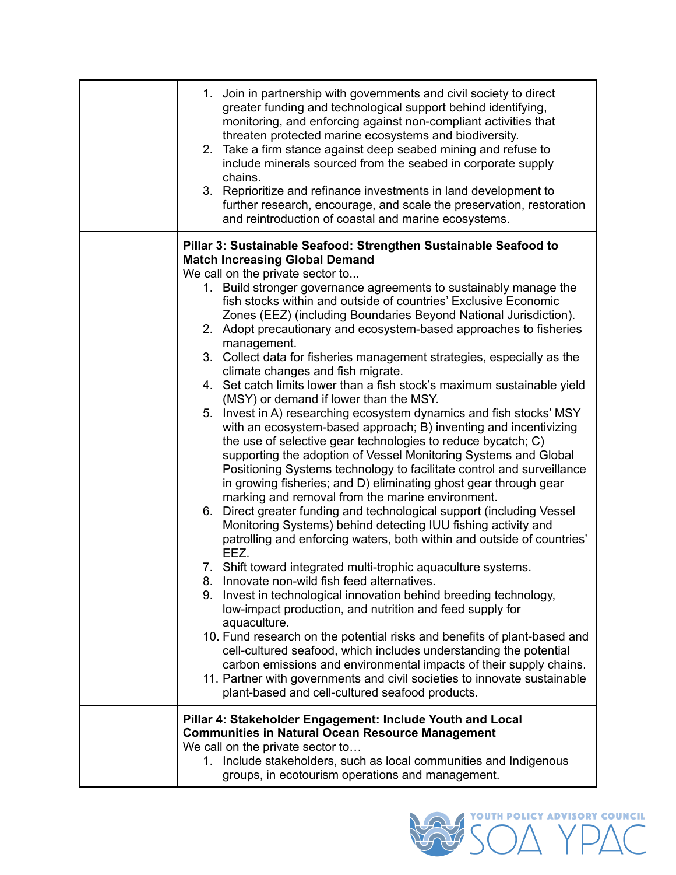| 1. Join in partnership with governments and civil society to direct<br>greater funding and technological support behind identifying,<br>monitoring, and enforcing against non-compliant activities that<br>threaten protected marine ecosystems and biodiversity.<br>2. Take a firm stance against deep seabed mining and refuse to<br>include minerals sourced from the seabed in corporate supply<br>chains.<br>3. Reprioritize and refinance investments in land development to<br>further research, encourage, and scale the preservation, restoration<br>and reintroduction of coastal and marine ecosystems.                                                                                                                                                                                                                                                                                                                                                                                                                                                                                                                                                                                                                                                                                                                                                                                                                                                                                                                                                                                                                                                                                                                                                                                                                                                                                                                                                 |
|--------------------------------------------------------------------------------------------------------------------------------------------------------------------------------------------------------------------------------------------------------------------------------------------------------------------------------------------------------------------------------------------------------------------------------------------------------------------------------------------------------------------------------------------------------------------------------------------------------------------------------------------------------------------------------------------------------------------------------------------------------------------------------------------------------------------------------------------------------------------------------------------------------------------------------------------------------------------------------------------------------------------------------------------------------------------------------------------------------------------------------------------------------------------------------------------------------------------------------------------------------------------------------------------------------------------------------------------------------------------------------------------------------------------------------------------------------------------------------------------------------------------------------------------------------------------------------------------------------------------------------------------------------------------------------------------------------------------------------------------------------------------------------------------------------------------------------------------------------------------------------------------------------------------------------------------------------------------|
| Pillar 3: Sustainable Seafood: Strengthen Sustainable Seafood to<br><b>Match Increasing Global Demand</b><br>We call on the private sector to<br>1. Build stronger governance agreements to sustainably manage the<br>fish stocks within and outside of countries' Exclusive Economic<br>Zones (EEZ) (including Boundaries Beyond National Jurisdiction).<br>2. Adopt precautionary and ecosystem-based approaches to fisheries<br>management.<br>3. Collect data for fisheries management strategies, especially as the<br>climate changes and fish migrate.<br>4. Set catch limits lower than a fish stock's maximum sustainable yield<br>(MSY) or demand if lower than the MSY.<br>5. Invest in A) researching ecosystem dynamics and fish stocks' MSY<br>with an ecosystem-based approach; B) inventing and incentivizing<br>the use of selective gear technologies to reduce bycatch; C)<br>supporting the adoption of Vessel Monitoring Systems and Global<br>Positioning Systems technology to facilitate control and surveillance<br>in growing fisheries; and D) eliminating ghost gear through gear<br>marking and removal from the marine environment.<br>6. Direct greater funding and technological support (including Vessel<br>Monitoring Systems) behind detecting IUU fishing activity and<br>patrolling and enforcing waters, both within and outside of countries'<br>EEZ.<br>7. Shift toward integrated multi-trophic aquaculture systems.<br>8. Innovate non-wild fish feed alternatives.<br>9. Invest in technological innovation behind breeding technology,<br>low-impact production, and nutrition and feed supply for<br>aquaculture.<br>10. Fund research on the potential risks and benefits of plant-based and<br>cell-cultured seafood, which includes understanding the potential<br>carbon emissions and environmental impacts of their supply chains.<br>11. Partner with governments and civil societies to innovate sustainable |
| plant-based and cell-cultured seafood products.<br>Pillar 4: Stakeholder Engagement: Include Youth and Local<br><b>Communities in Natural Ocean Resource Management</b><br>We call on the private sector to<br>1. Include stakeholders, such as local communities and Indigenous<br>groups, in ecotourism operations and management.                                                                                                                                                                                                                                                                                                                                                                                                                                                                                                                                                                                                                                                                                                                                                                                                                                                                                                                                                                                                                                                                                                                                                                                                                                                                                                                                                                                                                                                                                                                                                                                                                               |

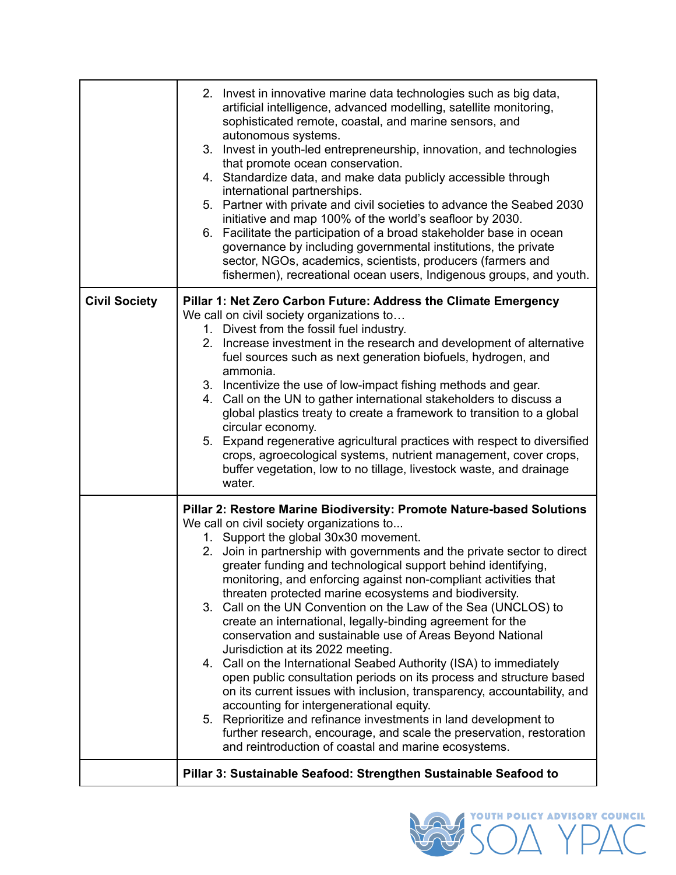|                      | 2. Invest in innovative marine data technologies such as big data,<br>artificial intelligence, advanced modelling, satellite monitoring,<br>sophisticated remote, coastal, and marine sensors, and<br>autonomous systems.<br>3. Invest in youth-led entrepreneurship, innovation, and technologies<br>that promote ocean conservation.<br>4. Standardize data, and make data publicly accessible through<br>international partnerships.<br>5. Partner with private and civil societies to advance the Seabed 2030<br>initiative and map 100% of the world's seafloor by 2030.<br>6. Facilitate the participation of a broad stakeholder base in ocean<br>governance by including governmental institutions, the private<br>sector, NGOs, academics, scientists, producers (farmers and<br>fishermen), recreational ocean users, Indigenous groups, and youth.                                                                                                                                                                                                                                                                                   |
|----------------------|-------------------------------------------------------------------------------------------------------------------------------------------------------------------------------------------------------------------------------------------------------------------------------------------------------------------------------------------------------------------------------------------------------------------------------------------------------------------------------------------------------------------------------------------------------------------------------------------------------------------------------------------------------------------------------------------------------------------------------------------------------------------------------------------------------------------------------------------------------------------------------------------------------------------------------------------------------------------------------------------------------------------------------------------------------------------------------------------------------------------------------------------------|
| <b>Civil Society</b> | Pillar 1: Net Zero Carbon Future: Address the Climate Emergency<br>We call on civil society organizations to<br>1. Divest from the fossil fuel industry.<br>2. Increase investment in the research and development of alternative<br>fuel sources such as next generation biofuels, hydrogen, and<br>ammonia.<br>3. Incentivize the use of low-impact fishing methods and gear.<br>4. Call on the UN to gather international stakeholders to discuss a<br>global plastics treaty to create a framework to transition to a global<br>circular economy.<br>5. Expand regenerative agricultural practices with respect to diversified<br>crops, agroecological systems, nutrient management, cover crops,<br>buffer vegetation, low to no tillage, livestock waste, and drainage<br>water.                                                                                                                                                                                                                                                                                                                                                         |
|                      | Pillar 2: Restore Marine Biodiversity: Promote Nature-based Solutions<br>We call on civil society organizations to<br>1. Support the global 30x30 movement.<br>2. Join in partnership with governments and the private sector to direct<br>greater funding and technological support behind identifying,<br>monitoring, and enforcing against non-compliant activities that<br>threaten protected marine ecosystems and biodiversity.<br>3. Call on the UN Convention on the Law of the Sea (UNCLOS) to<br>create an international, legally-binding agreement for the<br>conservation and sustainable use of Areas Beyond National<br>Jurisdiction at its 2022 meeting.<br>4. Call on the International Seabed Authority (ISA) to immediately<br>open public consultation periods on its process and structure based<br>on its current issues with inclusion, transparency, accountability, and<br>accounting for intergenerational equity.<br>5. Reprioritize and refinance investments in land development to<br>further research, encourage, and scale the preservation, restoration<br>and reintroduction of coastal and marine ecosystems. |
|                      | Pillar 3: Sustainable Seafood: Strengthen Sustainable Seafood to                                                                                                                                                                                                                                                                                                                                                                                                                                                                                                                                                                                                                                                                                                                                                                                                                                                                                                                                                                                                                                                                                |

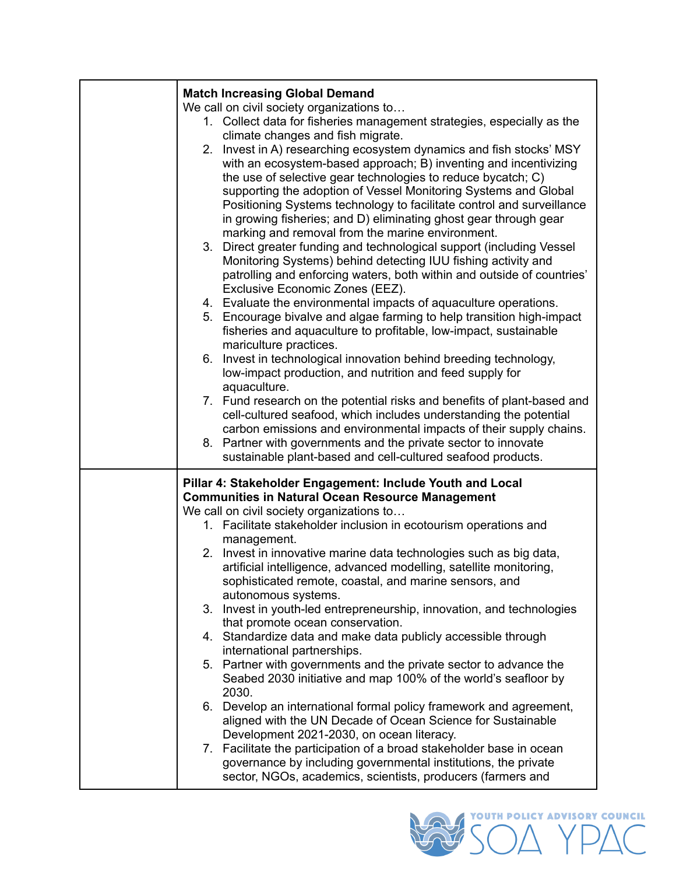| <b>Match Increasing Global Demand</b>                                                                                         |
|-------------------------------------------------------------------------------------------------------------------------------|
| We call on civil society organizations to                                                                                     |
| 1. Collect data for fisheries management strategies, especially as the                                                        |
| climate changes and fish migrate.                                                                                             |
| 2. Invest in A) researching ecosystem dynamics and fish stocks' MSY                                                           |
| with an ecosystem-based approach; B) inventing and incentivizing                                                              |
| the use of selective gear technologies to reduce bycatch; C)                                                                  |
| supporting the adoption of Vessel Monitoring Systems and Global                                                               |
| Positioning Systems technology to facilitate control and surveillance                                                         |
| in growing fisheries; and D) eliminating ghost gear through gear                                                              |
| marking and removal from the marine environment.                                                                              |
| Direct greater funding and technological support (including Vessel<br>3.                                                      |
| Monitoring Systems) behind detecting IUU fishing activity and                                                                 |
| patrolling and enforcing waters, both within and outside of countries'                                                        |
| Exclusive Economic Zones (EEZ).                                                                                               |
| 4. Evaluate the environmental impacts of aquaculture operations.                                                              |
| 5. Encourage bivalve and algae farming to help transition high-impact                                                         |
| fisheries and aquaculture to profitable, low-impact, sustainable                                                              |
|                                                                                                                               |
| mariculture practices.<br>6. Invest in technological innovation behind breeding technology,                                   |
|                                                                                                                               |
| low-impact production, and nutrition and feed supply for                                                                      |
| aquaculture.                                                                                                                  |
| 7. Fund research on the potential risks and benefits of plant-based and                                                       |
| cell-cultured seafood, which includes understanding the potential                                                             |
| carbon emissions and environmental impacts of their supply chains.                                                            |
|                                                                                                                               |
| 8. Partner with governments and the private sector to innovate                                                                |
| sustainable plant-based and cell-cultured seafood products.                                                                   |
|                                                                                                                               |
| Pillar 4: Stakeholder Engagement: Include Youth and Local                                                                     |
| <b>Communities in Natural Ocean Resource Management</b>                                                                       |
| We call on civil society organizations to                                                                                     |
| 1. Facilitate stakeholder inclusion in ecotourism operations and                                                              |
| management.                                                                                                                   |
| 2. Invest in innovative marine data technologies such as big data,                                                            |
| artificial intelligence, advanced modelling, satellite monitoring,                                                            |
| sophisticated remote, coastal, and marine sensors, and                                                                        |
| autonomous systems.                                                                                                           |
| Invest in youth-led entrepreneurship, innovation, and technologies<br>3.                                                      |
| that promote ocean conservation.                                                                                              |
| 4. Standardize data and make data publicly accessible through                                                                 |
| international partnerships.                                                                                                   |
| 5. Partner with governments and the private sector to advance the                                                             |
| Seabed 2030 initiative and map 100% of the world's seafloor by                                                                |
| 2030.                                                                                                                         |
| 6. Develop an international formal policy framework and agreement,                                                            |
| aligned with the UN Decade of Ocean Science for Sustainable                                                                   |
| Development 2021-2030, on ocean literacy.                                                                                     |
| 7. Facilitate the participation of a broad stakeholder base in ocean                                                          |
| governance by including governmental institutions, the private<br>sector, NGOs, academics, scientists, producers (farmers and |

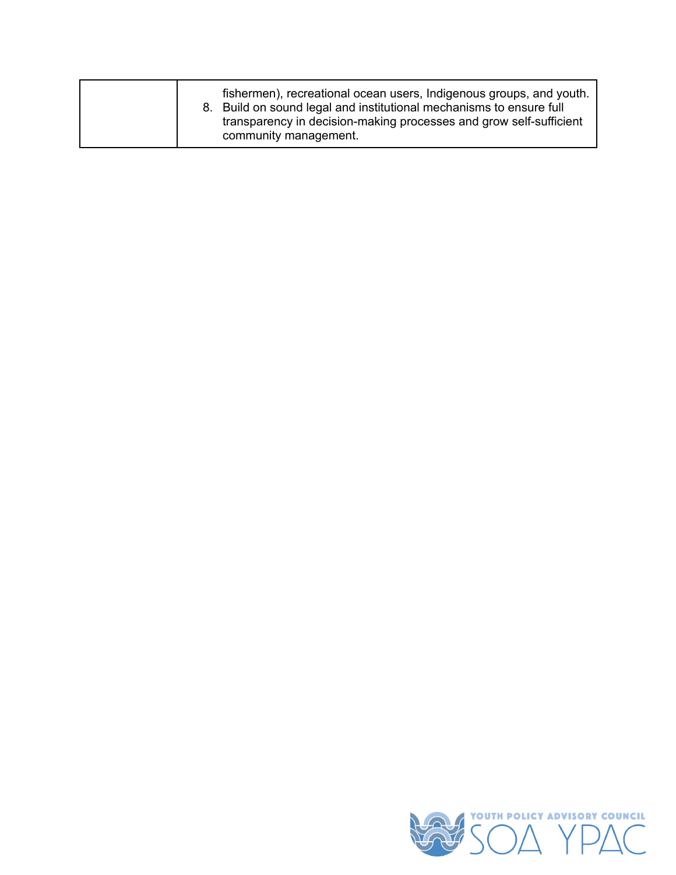| 8. | fishermen), recreational ocean users, Indigenous groups, and youth.<br>Build on sound legal and institutional mechanisms to ensure full<br>transparency in decision-making processes and grow self-sufficient<br>community management. |
|----|----------------------------------------------------------------------------------------------------------------------------------------------------------------------------------------------------------------------------------------|
|----|----------------------------------------------------------------------------------------------------------------------------------------------------------------------------------------------------------------------------------------|

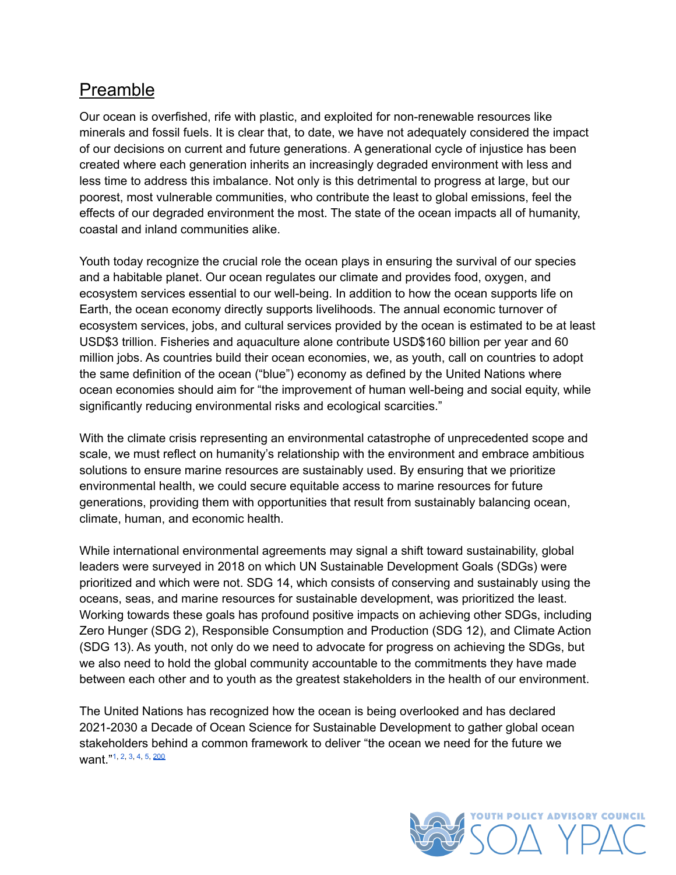#### <span id="page-10-0"></span>Preamble

Our ocean is overfished, rife with plastic, and exploited for non-renewable resources like minerals and fossil fuels. It is clear that, to date, we have not adequately considered the impact of our decisions on current and future generations. A generational cycle of injustice has been created where each generation inherits an increasingly degraded environment with less and less time to address this imbalance. Not only is this detrimental to progress at large, but our poorest, most vulnerable communities, who contribute the least to global emissions, feel the effects of our degraded environment the most. The state of the ocean impacts all of humanity, coastal and inland communities alike.

Youth today recognize the crucial role the ocean plays in ensuring the survival of our species and a habitable planet. Our ocean regulates our climate and provides food, oxygen, and ecosystem services essential to our well-being. In addition to how the ocean supports life on Earth, the ocean economy directly supports livelihoods. The annual economic turnover of ecosystem services, jobs, and cultural services provided by the ocean is estimated to be at least USD\$3 trillion. Fisheries and aquaculture alone contribute USD\$160 billion per year and 60 million jobs. As countries build their ocean economies, we, as youth, call on countries to adopt the same definition of the ocean ("blue") economy as defined by the United Nations where ocean economies should aim for "the improvement of human well-being and social equity, while significantly reducing environmental risks and ecological scarcities."

With the climate crisis representing an environmental catastrophe of unprecedented scope and scale, we must reflect on humanity's relationship with the environment and embrace ambitious solutions to ensure marine resources are sustainably used. By ensuring that we prioritize environmental health, we could secure equitable access to marine resources for future generations, providing them with opportunities that result from sustainably balancing ocean, climate, human, and economic health.

While international environmental agreements may signal a shift toward sustainability, global leaders were surveyed in 2018 on which UN Sustainable Development Goals (SDGs) were prioritized and which were not. SDG 14, which consists of conserving and sustainably using the oceans, seas, and marine resources for sustainable development, was prioritized the least. Working towards these goals has profound positive impacts on achieving other SDGs, including Zero Hunger (SDG 2), Responsible Consumption and Production (SDG 12), and Climate Action (SDG 13). As youth, not only do we need to advocate for progress on achieving the SDGs, but we also need to hold the global community accountable to the commitments they have made between each other and to youth as the greatest stakeholders in the health of our environment.

<span id="page-10-1"></span>The United Nations has recognized how the ocean is being overlooked and has declared 2021-2030 a Decade of Ocean Science for Sustainable Development to gather global ocean stakeholders behind a common framework to deliver "the ocean we need for the future we want."<sup>[1,](#page-27-1) [2,](#page-27-2) [3](#page-27-3), [4,](#page-27-4) [5,](#page-27-5) [200](#page-37-0)</sup>

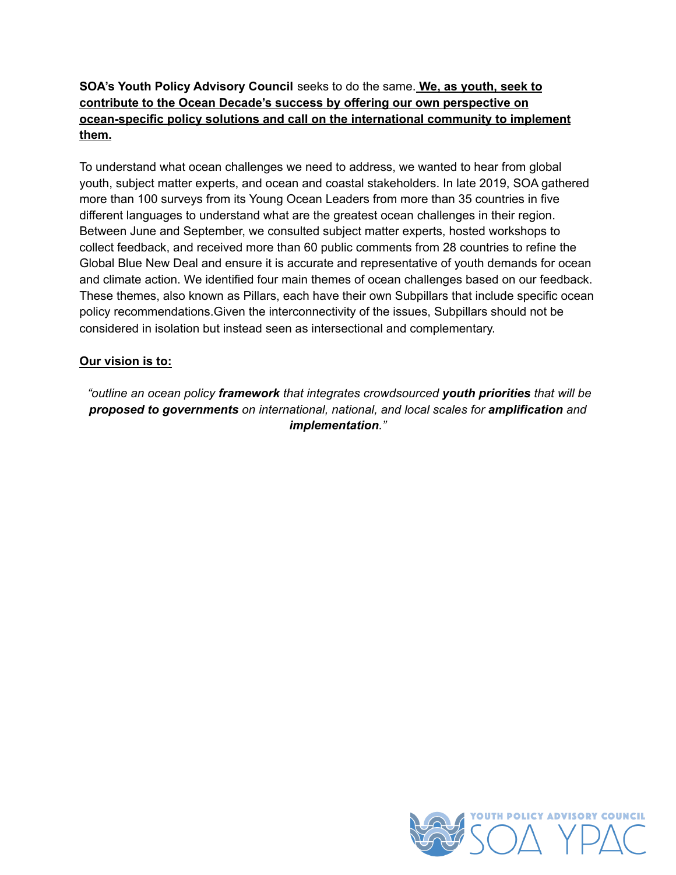#### **SOA's Youth Policy Advisory Council** seeks to do the same. **We, as youth, seek to contribute to the Ocean Decade's success by offering our own perspective on ocean-specific policy solutions and call on the international community to implement them.**

To understand what ocean challenges we need to address, we wanted to hear from global youth, subject matter experts, and ocean and coastal stakeholders. In late 2019, SOA gathered more than 100 surveys from its Young Ocean Leaders from more than 35 countries in five different languages to understand what are the greatest ocean challenges in their region. Between June and September, we consulted subject matter experts, hosted workshops to collect feedback, and received more than 60 public comments from 28 countries to refine the Global Blue New Deal and ensure it is accurate and representative of youth demands for ocean and climate action. We identified four main themes of ocean challenges based on our feedback. These themes, also known as Pillars, each have their own Subpillars that include specific ocean policy recommendations.Given the interconnectivity of the issues, Subpillars should not be considered in isolation but instead seen as intersectional and complementary.

#### **Our vision is to:**

*"outline an ocean policy framework that integrates crowdsourced youth priorities that will be proposed to governments on international, national, and local scales for amplification and implementation."*

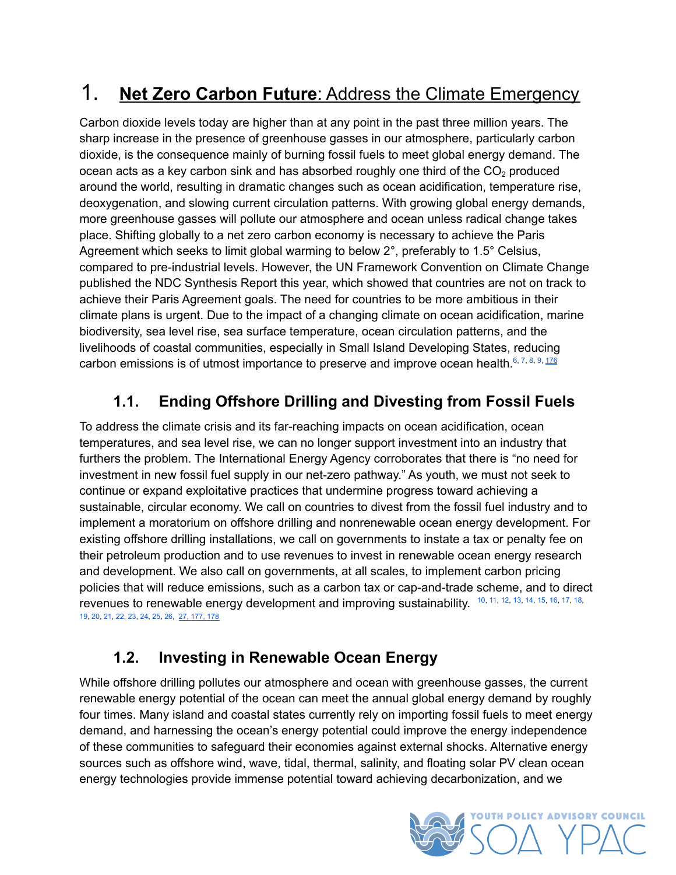# <span id="page-12-0"></span>1. **Net Zero Carbon Future**: Address the Climate Emergency

Carbon dioxide levels today are higher than at any point in the past three million years. The sharp increase in the presence of greenhouse gasses in our atmosphere, particularly carbon dioxide, is the consequence mainly of burning fossil fuels to meet global energy demand. The ocean acts as a key carbon sink and has absorbed roughly one third of the  $CO<sub>2</sub>$  produced around the world, resulting in dramatic changes such as ocean acidification, temperature rise, deoxygenation, and slowing current circulation patterns. With growing global energy demands, more greenhouse gasses will pollute our atmosphere and ocean unless radical change takes place. Shifting globally to a net zero carbon economy is necessary to achieve the Paris Agreement which seeks to limit global warming to below 2°, preferably to 1.5° Celsius, compared to pre-industrial levels. However, the UN Framework Convention on Climate Change published the NDC Synthesis Report this year, which showed that countries are not on track to achieve their Paris Agreement goals. The need for countries to be more ambitious in their climate plans is urgent. Due to the impact of a changing climate on ocean acidification, marine biodiversity, sea level rise, sea surface temperature, ocean circulation patterns, and the livelihoods of coastal communities, especially in Small Island Developing States, reducing carbon emissions is of utmost importance to preserve and improve ocean health.  $6, 7, 8, 9, 176$  $6, 7, 8, 9, 176$  $6, 7, 8, 9, 176$  $6, 7, 8, 9, 176$  $6, 7, 8, 9, 176$  $6, 7, 8, 9, 176$  $6, 7, 8, 9, 176$  $6, 7, 8, 9, 176$  $6, 7, 8, 9, 176$ 

#### <span id="page-12-3"></span><span id="page-12-1"></span>**1.1. Ending Offshore Drilling and Divesting from Fossil Fuels**

To address the climate crisis and its far-reaching impacts on ocean acidification, ocean temperatures, and sea level rise, we can no longer support investment into an industry that furthers the problem. The International Energy Agency corroborates that there is "no need for investment in new fossil fuel supply in our net-zero pathway." As youth, we must not seek to continue or expand exploitative practices that undermine progress toward achieving a sustainable, circular economy. We call on countries to divest from the fossil fuel industry and to implement a moratorium on offshore drilling and nonrenewable ocean energy development. For existing offshore drilling installations, we call on governments to instate a tax or penalty fee on their petroleum production and to use revenues to invest in renewable ocean energy research and development. We also call on governments, at all scales, to implement carbon pricing policies that will reduce emissions, such as a carbon tax or cap-and-trade scheme, and to direct revenues to renewable energy development and improving sustainability.  $10, 11, 12, 13, 14, 15, 16, 17, 18$  $10, 11, 12, 13, 14, 15, 16, 17, 18$  $10, 11, 12, 13, 14, 15, 16, 17, 18$  $10, 11, 12, 13, 14, 15, 16, 17, 18$  $10, 11, 12, 13, 14, 15, 16, 17, 18$  $10, 11, 12, 13, 14, 15, 16, 17, 18$  $10, 11, 12, 13, 14, 15, 16, 17, 18$  $10, 11, 12, 13, 14, 15, 16, 17, 18$  $10, 11, 12, 13, 14, 15, 16, 17, 18$  $10, 11, 12, 13, 14, 15, 16, 17, 18$  $10, 11, 12, 13, 14, 15, 16, 17, 18$  $10, 11, 12, 13, 14, 15, 16, 17, 18$  $10, 11, 12, 13, 14, 15, 16, 17, 18$  $10, 11, 12, 13, 14, 15, 16, 17, 18$  $10, 11, 12, 13, 14, 15, 16, 17, 18$  $10, 11, 12, 13, 14, 15, 16, 17, 18$  $10, 11, 12, 13, 14, 15, 16, 17, 18$ , [19](#page-28-0), [20](#page-28-1), [21](#page-28-2), [22](#page-28-3), [23](#page-28-4), [24](#page-28-5), [25](#page-28-6), [26](#page-28-7), 27, [177,](#page-35-1) [178](#page-35-2)

#### <span id="page-12-2"></span>**1.2. Investing in Renewable Ocean Energy**

While offshore drilling pollutes our atmosphere and ocean with greenhouse gasses, the current renewable energy potential of the ocean can meet the annual global energy demand by roughly four times. Many island and coastal states currently rely on importing fossil fuels to meet energy demand, and harnessing the ocean's energy potential could improve the energy independence of these communities to safeguard their economies against external shocks. Alternative energy sources such as offshore wind, wave, tidal, thermal, salinity, and floating solar PV clean ocean energy technologies provide immense potential toward achieving decarbonization, and we

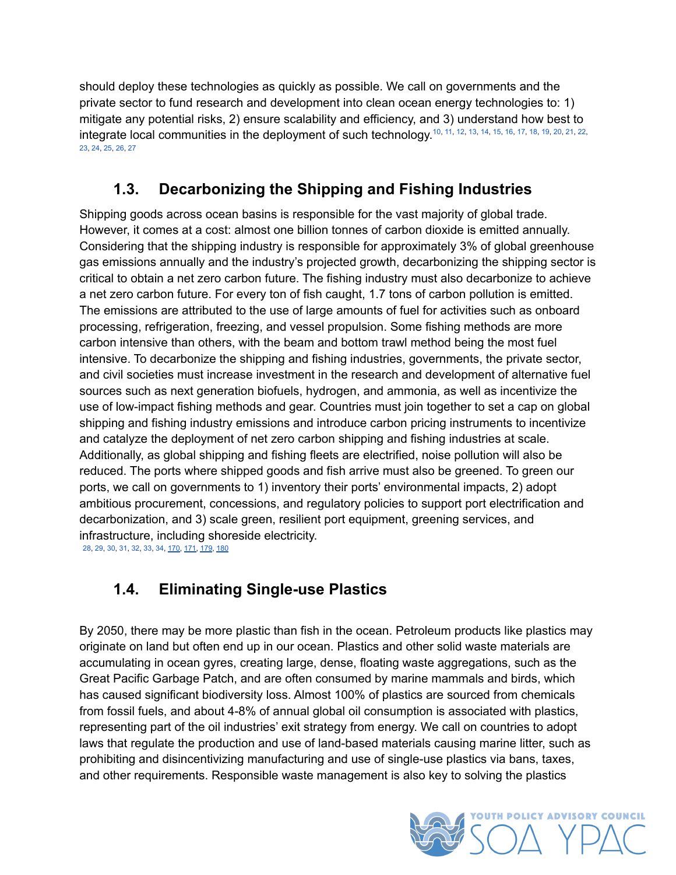should deploy these technologies as quickly as possible. We call on governments and the private sector to fund research and development into clean ocean energy technologies to: 1) mitigate any potential risks, 2) ensure scalability and efficiency, and 3) understand how best to integrate local communities in the deployment of such technology.<sup>[10](#page-27-10), [11,](#page-27-11) [12,](#page-27-12) [13,](#page-27-13) [14,](#page-27-14) [15,](#page-27-15) [16,](#page-27-16) [17,](#page-27-17) [18,](#page-27-18) [19,](#page-28-0) [20,](#page-28-1) [21,](#page-28-2) [22,](#page-28-3)</sup> [23](#page-28-4), [24](#page-28-5), [25](#page-28-6), [26](#page-28-7), [27](#page-28-8)

#### <span id="page-13-0"></span>**1.3. Decarbonizing the Shipping and Fishing Industries**

Shipping goods across ocean basins is responsible for the vast majority of global trade. However, it comes at a cost: almost one billion tonnes of carbon dioxide is emitted annually. Considering that the shipping industry is responsible for approximately 3% of global greenhouse gas emissions annually and the industry's projected growth, decarbonizing the shipping sector is critical to obtain a net zero carbon future. The fishing industry must also decarbonize to achieve a net zero carbon future. For every ton of fish caught, 1.7 tons of carbon pollution is emitted. The emissions are attributed to the use of large amounts of fuel for activities such as onboard processing, refrigeration, freezing, and vessel propulsion. Some fishing methods are more carbon intensive than others, with the beam and bottom trawl method being the most fuel intensive. To decarbonize the shipping and fishing industries, governments, the private sector, and civil societies must increase investment in the research and development of alternative fuel sources such as next generation biofuels, hydrogen, and ammonia, as well as incentivize the use of low-impact fishing methods and gear. Countries must join together to set a cap on global shipping and fishing industry emissions and introduce carbon pricing instruments to incentivize and catalyze the deployment of net zero carbon shipping and fishing industries at scale. Additionally, as global shipping and fishing fleets are electrified, noise pollution will also be reduced. The ports where shipped goods and fish arrive must also be greened. To green our ports, we call on governments to 1) inventory their ports' environmental impacts, 2) adopt ambitious procurement, concessions, and regulatory policies to support port electrification and decarbonization, and 3) scale green, resilient port equipment, greening services, and infrastructure, including shoreside electricity.

<span id="page-13-2"></span><span id="page-13-1"></span>[28](#page-28-9), [29](#page-28-10), [30](#page-28-11), [31](#page-28-12), [32](#page-28-13), [33](#page-28-14), [34](#page-28-15), [170](#page-35-3), [171,](#page-35-4) [179](#page-35-5), [180](#page-36-0)

#### **1.4. Eliminating Single-use Plastics**

By 2050, there may be more plastic than fish in the ocean. Petroleum products like plastics may originate on land but often end up in our ocean. Plastics and other solid waste materials are accumulating in ocean gyres, creating large, dense, floating waste aggregations, such as the Great Pacific Garbage Patch, and are often consumed by marine mammals and birds, which has caused significant biodiversity loss. Almost 100% of plastics are sourced from chemicals from fossil fuels, and about 4-8% of annual global oil consumption is associated with plastics, representing part of the oil industries' exit strategy from energy. We call on countries to adopt laws that regulate the production and use of land-based materials causing marine litter, such as prohibiting and disincentivizing manufacturing and use of single-use plastics via bans, taxes, and other requirements. Responsible waste management is also key to solving the plastics

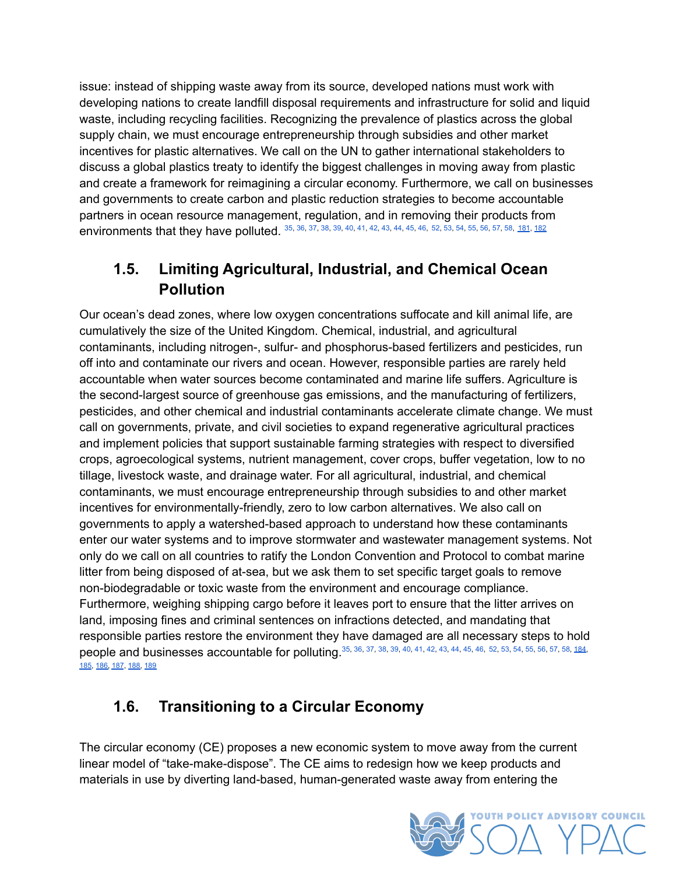issue: instead of shipping waste away from its source, developed nations must work with developing nations to create landfill disposal requirements and infrastructure for solid and liquid waste, including recycling facilities. Recognizing the prevalence of plastics across the global supply chain, we must encourage entrepreneurship through subsidies and other market incentives for plastic alternatives. We call on the UN to gather international stakeholders to discuss a global plastics treaty to identify the biggest challenges in moving away from plastic and create a framework for reimagining a circular economy. Furthermore, we call on businesses and governments to create carbon and plastic reduction strategies to become accountable partners in ocean resource management, regulation, and in removing their products from environments that they have polluted. <sup>[35](#page-28-16), [36](#page-28-17), [37](#page-28-18), [38](#page-29-0), [39](#page-29-1), [40](#page-29-2), [41](#page-29-3), [42](#page-29-4), [43](#page-29-5), [44](#page-29-6), [45](#page-29-7), [46](#page-29-8), [52](#page-29-9), [53](#page-29-10), [54](#page-29-11), [55](#page-29-12), [56](#page-29-13), [57](#page-29-14), [58](#page-29-15), <u>[181](#page-36-1), [182](#page-36-2)</u></sup>

#### <span id="page-14-2"></span>**1.5. Limiting Agricultural, Industrial, and Chemical Ocean Pollution**

<span id="page-14-0"></span>Our ocean's dead zones, where low oxygen concentrations suffocate and kill animal life, are cumulatively the size of the United Kingdom. Chemical, industrial, and agricultural contaminants, including nitrogen-, sulfur- and phosphorus-based fertilizers and pesticides, run off into and contaminate our rivers and ocean. However, responsible parties are rarely held accountable when water sources become contaminated and marine life suffers. Agriculture is the second-largest source of greenhouse gas emissions, and the manufacturing of fertilizers, pesticides, and other chemical and industrial contaminants accelerate climate change. We must call on governments, private, and civil societies to expand regenerative agricultural practices and implement policies that support sustainable farming strategies with respect to diversified crops, agroecological systems, nutrient management, cover crops, buffer vegetation, low to no tillage, livestock waste, and drainage water. For all agricultural, industrial, and chemical contaminants, we must encourage entrepreneurship through subsidies to and other market incentives for environmentally-friendly, zero to low carbon alternatives. We also call on governments to apply a watershed-based approach to understand how these contaminants enter our water systems and to improve stormwater and wastewater management systems. Not only do we call on all countries to ratify the London Convention and Protocol to combat marine litter from being disposed of at-sea, but we ask them to set specific target goals to remove non-biodegradable or toxic waste from the environment and encourage compliance. Furthermore, weighing shipping cargo before it leaves port to ensure that the litter arrives on land, imposing fines and criminal sentences on infractions detected, and mandating that responsible parties restore the environment they have damaged are all necessary steps to hold people and businesses accountable for polluting. [35](#page-28-16), [36](#page-28-17), [37](#page-28-18), [38](#page-29-0), [39](#page-29-1), [40](#page-29-2), [41](#page-29-3), [42](#page-29-4), [43](#page-29-5), [44](#page-29-6), [45](#page-29-7), [46](#page-29-8), [52](#page-29-9), [53](#page-29-10), [54](#page-29-11), [55](#page-29-12), [56](#page-29-13), [57](#page-29-14), [58](#page-29-15), [184](#page-36-3), [185](#page-36-4), [186,](#page-36-5) [187](#page-36-6), [188](#page-36-7), [189](#page-36-8)

## <span id="page-14-1"></span>**1.6. Transitioning to a Circular Economy**

The circular economy (CE) proposes a new economic system to move away from the current linear model of "take-make-dispose". The CE aims to redesign how we keep products and materials in use by diverting land-based, human-generated waste away from entering the

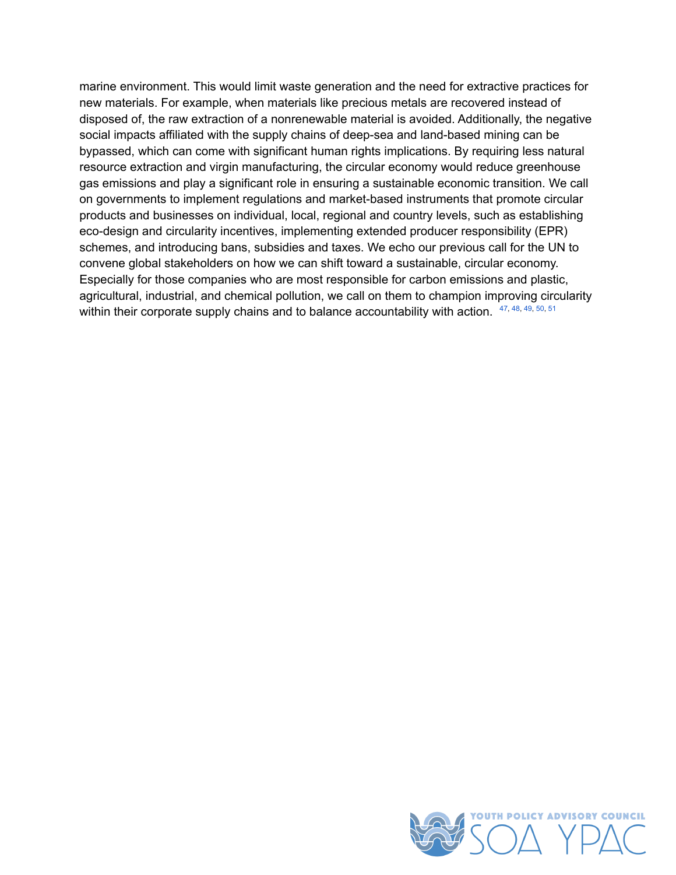<span id="page-15-0"></span>marine environment. This would limit waste generation and the need for extractive practices for new materials. For example, when materials like precious metals are recovered instead of disposed of, the raw extraction of a nonrenewable material is avoided. Additionally, the negative social impacts affiliated with the supply chains of deep-sea and land-based mining can be bypassed, which can come with significant human rights implications. By requiring less natural resource extraction and virgin manufacturing, the circular economy would reduce greenhouse gas emissions and play a significant role in ensuring a sustainable economic transition. We call on governments to implement regulations and market-based instruments that promote circular products and businesses on individual, local, regional and country levels, such as establishing eco-design and circularity incentives, implementing extended producer responsibility (EPR) schemes, and introducing bans, subsidies and taxes. We echo our previous call for the UN to convene global stakeholders on how we can shift toward a sustainable, circular economy. Especially for those companies who are most responsible for carbon emissions and plastic, agricultural, industrial, and chemical pollution, we call on them to champion improving circularity within their corporate supply chains and to balance accountability with action.  $47,48,49,50,51$  $47,48,49,50,51$  $47,48,49,50,51$  $47,48,49,50,51$  $47,48,49,50,51$  $47,48,49,50,51$  $47,48,49,50,51$  $47,48,49,50,51$  $47,48,49,50,51$ 

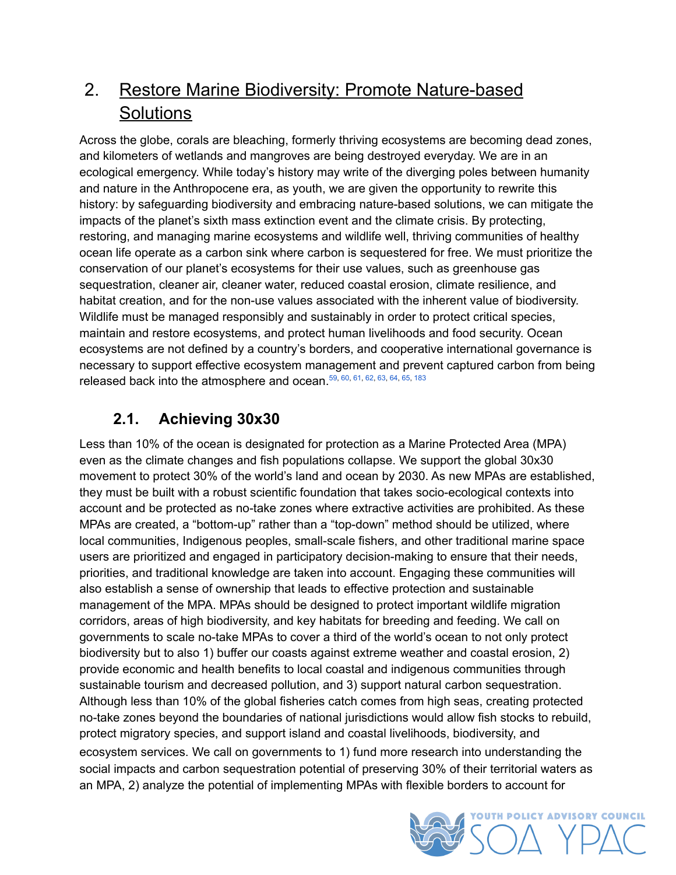## <span id="page-16-0"></span>2. Restore Marine Biodiversity: Promote Nature-based **Solutions**

Across the globe, corals are bleaching, formerly thriving ecosystems are becoming dead zones, and kilometers of wetlands and mangroves are being destroyed everyday. We are in an ecological emergency. While today's history may write of the diverging poles between humanity and nature in the Anthropocene era, as youth, we are given the opportunity to rewrite this history: by safeguarding biodiversity and embracing nature-based solutions, we can mitigate the impacts of the planet's sixth mass extinction event and the climate crisis. By protecting, restoring, and managing marine ecosystems and wildlife well, thriving communities of healthy ocean life operate as a carbon sink where carbon is sequestered for free. We must prioritize the conservation of our planet's ecosystems for their use values, such as greenhouse gas sequestration, cleaner air, cleaner water, reduced coastal erosion, climate resilience, and habitat creation, and for the non-use values associated with the inherent value of biodiversity. Wildlife must be managed responsibly and sustainably in order to protect critical species, maintain and restore ecosystems, and protect human livelihoods and food security. Ocean ecosystems are not defined by a country's borders, and cooperative international governance is necessary to support effective ecosystem management and prevent captured carbon from being released back into the atmosphere and ocean.  $59, 60, 61, 62, 63, 64, 65, 183$  $59, 60, 61, 62, 63, 64, 65, 183$  $59, 60, 61, 62, 63, 64, 65, 183$  $59, 60, 61, 62, 63, 64, 65, 183$  $59, 60, 61, 62, 63, 64, 65, 183$  $59, 60, 61, 62, 63, 64, 65, 183$  $59, 60, 61, 62, 63, 64, 65, 183$  $59, 60, 61, 62, 63, 64, 65, 183$  $59, 60, 61, 62, 63, 64, 65, 183$  $59, 60, 61, 62, 63, 64, 65, 183$  $59, 60, 61, 62, 63, 64, 65, 183$  $59, 60, 61, 62, 63, 64, 65, 183$  $59, 60, 61, 62, 63, 64, 65, 183$  $59, 60, 61, 62, 63, 64, 65, 183$  $59, 60, 61, 62, 63, 64, 65, 183$ 

## <span id="page-16-2"></span><span id="page-16-1"></span>**2.1. Achieving 30x30**

Less than 10% of the ocean is designated for protection as a Marine Protected Area (MPA) even as the climate changes and fish populations collapse. We support the global 30x30 movement to protect 30% of the world's land and ocean by 2030. As new MPAs are established, they must be built with a robust scientific foundation that takes socio-ecological contexts into account and be protected as no-take zones where extractive activities are prohibited. As these MPAs are created, a "bottom-up" rather than a "top-down" method should be utilized, where local communities, Indigenous peoples, small-scale fishers, and other traditional marine space users are prioritized and engaged in participatory decision-making to ensure that their needs, priorities, and traditional knowledge are taken into account. Engaging these communities will also establish a sense of ownership that leads to effective protection and sustainable management of the MPA. MPAs should be designed to protect important wildlife migration corridors, areas of high biodiversity, and key habitats for breeding and feeding. We call on governments to scale no-take MPAs to cover a third of the world's ocean to not only protect biodiversity but to also 1) buffer our coasts against extreme weather and coastal erosion, 2) provide economic and health benefits to local coastal and indigenous communities through sustainable tourism and decreased pollution, and 3) support natural carbon sequestration. Although less than 10% of the global fisheries catch comes from high seas, creating protected no-take zones beyond the boundaries of national jurisdictions would allow fish stocks to rebuild, protect migratory species, and support island and coastal livelihoods, biodiversity, and ecosystem services. We call on governments to 1) fund more research into understanding the social impacts and carbon sequestration potential of preserving 30% of their territorial waters as an MPA, 2) analyze the potential of implementing MPAs with flexible borders to account for

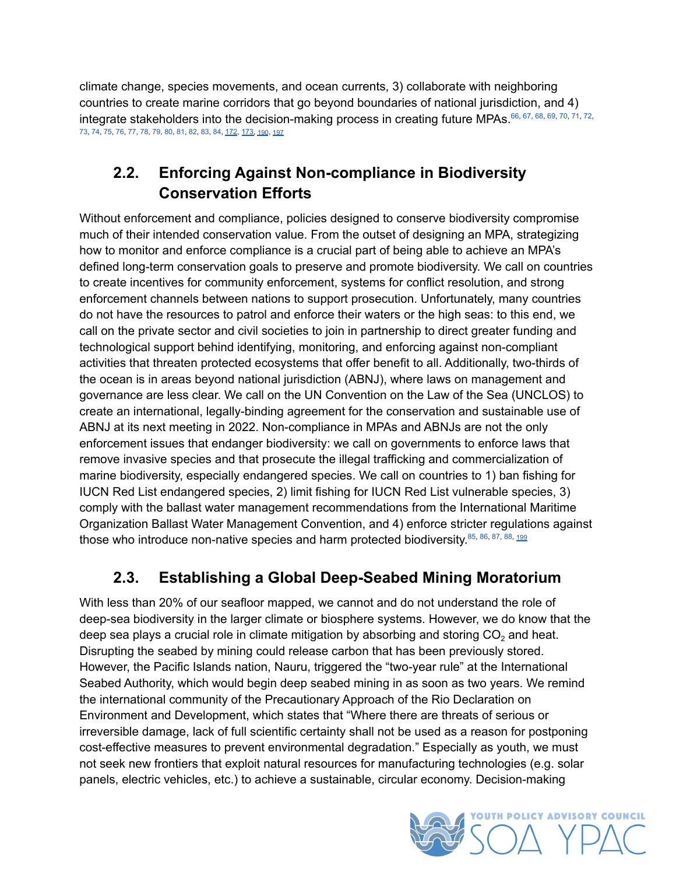<span id="page-17-3"></span>climate change, species movements, and ocean currents, 3) collaborate with neighboring countries to create marine corridors that go beyond boundaries of national jurisdiction, and 4) integrate stakeholders into the decision-making process in creating future MPAs.<sup>[66](#page-30-7), [67](#page-30-8), [68](#page-30-9), [69](#page-30-10), [70](#page-30-11), [71](#page-30-12), [72](#page-30-13),</sup> [73](#page-30-14), [74](#page-30-15), [75](#page-30-16), [76](#page-30-17), [77](#page-30-18), [78](#page-30-19), [79](#page-30-20), [80](#page-31-0), [81](#page-31-1), [82](#page-31-2), [83](#page-31-3), [84](#page-31-4), [172](#page-35-6), [173,](#page-35-7) [190](#page-36-10), [197](#page-37-1)

#### **2.2. Enforcing Against Non-compliance in Biodiversity Conservation Efforts**

<span id="page-17-0"></span>Without enforcement and compliance, policies designed to conserve biodiversity compromise much of their intended conservation value. From the outset of designing an MPA, strategizing how to monitor and enforce compliance is a crucial part of being able to achieve an MPA's defined long-term conservation goals to preserve and promote biodiversity. We call on countries to create incentives for community enforcement, systems for conflict resolution, and strong enforcement channels between nations to support prosecution. Unfortunately, many countries do not have the resources to patrol and enforce their waters or the high seas: to this end, we call on the private sector and civil societies to join in partnership to direct greater funding and technological support behind identifying, monitoring, and enforcing against non-compliant activities that threaten protected ecosystems that offer benefit to all. Additionally, two-thirds of the ocean is in areas beyond national jurisdiction (ABNJ), where laws on management and governance are less clear. We call on the UN Convention on the Law of the Sea (UNCLOS) to create an international, legally-binding agreement for the conservation and sustainable use of ABNJ at its next meeting in 2022. Non-compliance in MPAs and ABNJs are not the only enforcement issues that endanger biodiversity: we call on governments to enforce laws that remove invasive species and that prosecute the illegal trafficking and commercialization of marine biodiversity, especially endangered species. We call on countries to 1) ban fishing for IUCN Red List endangered species, 2) limit fishing for IUCN Red List vulnerable species, 3) comply with the ballast water management recommendations from the International Maritime Organization Ballast Water Management Convention, and 4) enforce stricter regulations against those who introduce non-native species and harm protected biodiversity.<sup>[85](#page-31-5), [86](#page-31-6), [87](#page-31-7), [88](#page-31-8), [199](#page-17-2)</sup>

## <span id="page-17-2"></span><span id="page-17-1"></span>**2.3. Establishing a Global Deep-Seabed Mining Moratorium**

With less than 20% of our seafloor mapped, we cannot and do not understand the role of deep-sea biodiversity in the larger climate or biosphere systems. However, we do know that the deep sea plays a crucial role in climate mitigation by absorbing and storing  $CO<sub>2</sub>$  and heat. Disrupting the seabed by mining could release carbon that has been previously stored. However, the Pacific Islands nation, Nauru, triggered the "two-year rule" at the International Seabed Authority, which would begin deep seabed mining in as soon as two years. We remind the international community of the Precautionary Approach of the Rio Declaration on Environment and Development, which states that "Where there are threats of serious or irreversible damage, lack of full scientific certainty shall not be used as a reason for postponing cost-effective measures to prevent environmental degradation." Especially as youth, we must not seek new frontiers that exploit natural resources for manufacturing technologies (e.g. solar panels, electric vehicles, etc.) to achieve a sustainable, circular economy. Decision-making

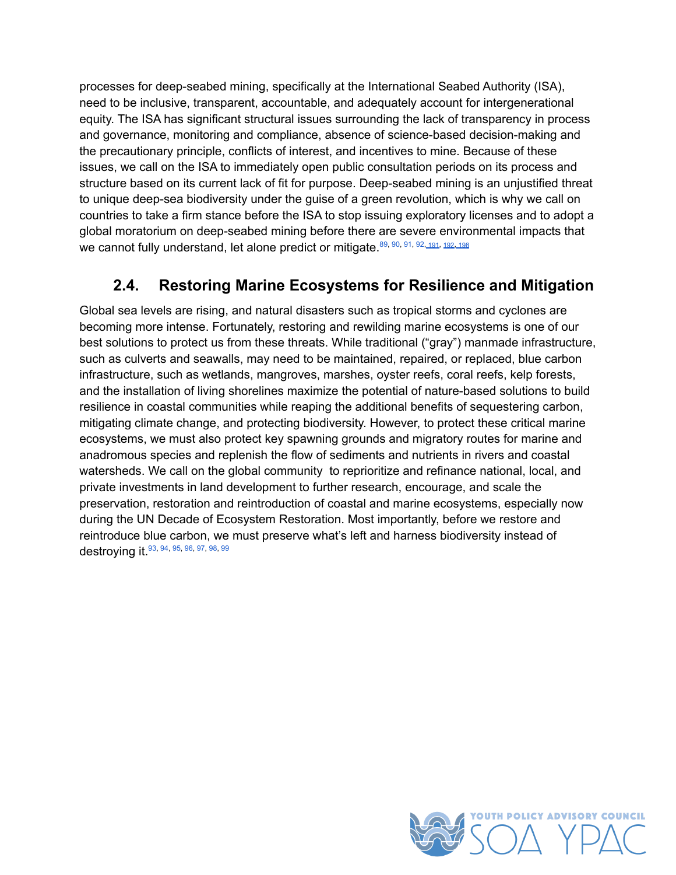processes for deep-seabed mining, specifically at the International Seabed Authority (ISA), need to be inclusive, transparent, accountable, and adequately account for intergenerational equity. The ISA has significant structural issues surrounding the lack of transparency in process and governance, monitoring and compliance, absence of science-based decision-making and the precautionary principle, conflicts of interest, and incentives to mine. Because of these issues, we call on the ISA to immediately open public consultation periods on its process and structure based on its current lack of fit for purpose. Deep-seabed mining is an unjustified threat to unique deep-sea biodiversity under the guise of a green revolution, which is why we call on countries to take a firm stance before the ISA to stop issuing exploratory licenses and to adopt a global moratorium on deep-seabed mining before there are severe environmental impacts that we cannot fully understand, let alone predict or mitigate.<sup>[89](#page-31-9), [90](#page-31-10), [91](#page-31-11), [92](#page-31-12), [191](#page-36-11), [192](#page-36-12), [198](#page-37-2)</sup>

#### <span id="page-18-0"></span>**2.4. Restoring Marine Ecosystems for Resilience and Mitigation**

<span id="page-18-1"></span>Global sea levels are rising, and natural disasters such as tropical storms and cyclones are becoming more intense. Fortunately, restoring and rewilding marine ecosystems is one of our best solutions to protect us from these threats. While traditional ("gray") manmade infrastructure, such as culverts and seawalls, may need to be maintained, repaired, or replaced, blue carbon infrastructure, such as wetlands, mangroves, marshes, oyster reefs, coral reefs, kelp forests, and the installation of living shorelines maximize the potential of nature-based solutions to build resilience in coastal communities while reaping the additional benefits of sequestering carbon, mitigating climate change, and protecting biodiversity. However, to protect these critical marine ecosystems, we must also protect key spawning grounds and migratory routes for marine and anadromous species and replenish the flow of sediments and nutrients in rivers and coastal watersheds. We call on the global community to reprioritize and refinance national, local, and private investments in land development to further research, encourage, and scale the preservation, restoration and reintroduction of coastal and marine ecosystems, especially now during the UN Decade of Ecosystem Restoration. Most importantly, before we restore and reintroduce blue carbon, we must preserve what's left and harness biodiversity instead of **destroying it**.<sup>[93,](#page-31-13) [94,](#page-31-14) [95,](#page-31-15) [96,](#page-31-16) [97,](#page-31-17) [98,](#page-31-18) [99](#page-32-0)</sup>

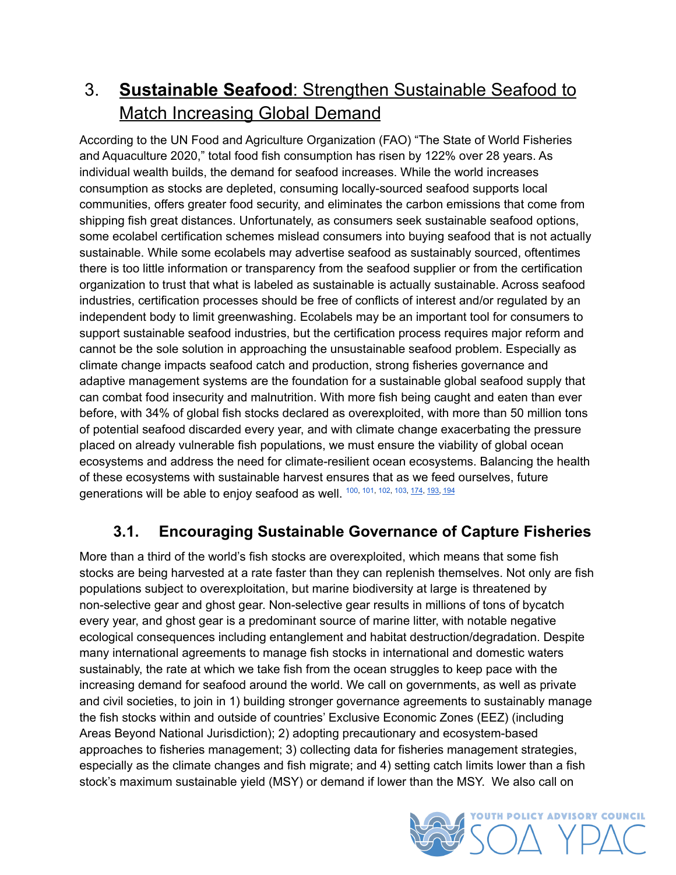## <span id="page-19-0"></span>3. **Sustainable Seafood**: Strengthen Sustainable Seafood to Match Increasing Global Demand

According to the UN Food and Agriculture Organization (FAO) "The State of World Fisheries and Aquaculture 2020," total food fish consumption has risen by 122% over 28 years. As individual wealth builds, the demand for seafood increases. While the world increases consumption as stocks are depleted, consuming locally-sourced seafood supports local communities, offers greater food security, and eliminates the carbon emissions that come from shipping fish great distances. Unfortunately, as consumers seek sustainable seafood options, some ecolabel certification schemes mislead consumers into buying seafood that is not actually sustainable. While some ecolabels may advertise seafood as sustainably sourced, oftentimes there is too little information or transparency from the seafood supplier or from the certification organization to trust that what is labeled as sustainable is actually sustainable. Across seafood industries, certification processes should be free of conflicts of interest and/or regulated by an independent body to limit greenwashing. Ecolabels may be an important tool for consumers to support sustainable seafood industries, but the certification process requires major reform and cannot be the sole solution in approaching the unsustainable seafood problem. Especially as climate change impacts seafood catch and production, strong fisheries governance and adaptive management systems are the foundation for a sustainable global seafood supply that can combat food insecurity and malnutrition. With more fish being caught and eaten than ever before, with 34% of global fish stocks declared as overexploited, with more than 50 million tons of potential seafood discarded every year, and with climate change exacerbating the pressure placed on already vulnerable fish populations, we must ensure the viability of global ocean ecosystems and address the need for climate-resilient ocean ecosystems. Balancing the health of these ecosystems with sustainable harvest ensures that as we feed ourselves, future generations will be able to enjoy seafood as well. <sup>[100](#page-32-1), [101](#page-32-2), [102,](#page-32-3) [103](#page-32-4), [174](#page-35-8), [193,](#page-36-13) [194](#page-36-14)</sup>

## <span id="page-19-2"></span><span id="page-19-1"></span>**3.1. Encouraging Sustainable Governance of Capture Fisheries**

More than a third of the world's fish stocks are overexploited, which means that some fish stocks are being harvested at a rate faster than they can replenish themselves. Not only are fish populations subject to overexploitation, but marine biodiversity at large is threatened by non-selective gear and ghost gear. Non-selective gear results in millions of tons of bycatch every year, and ghost gear is a predominant source of marine litter, with notable negative ecological consequences including entanglement and habitat destruction/degradation. Despite many international agreements to manage fish stocks in international and domestic waters sustainably, the rate at which we take fish from the ocean struggles to keep pace with the increasing demand for seafood around the world. We call on governments, as well as private and civil societies, to join in 1) building stronger governance agreements to sustainably manage the fish stocks within and outside of countries' Exclusive Economic Zones (EEZ) (including Areas Beyond National Jurisdiction); 2) adopting precautionary and ecosystem-based approaches to fisheries management; 3) collecting data for fisheries management strategies, especially as the climate changes and fish migrate; and 4) setting catch limits lower than a fish stock's maximum sustainable yield (MSY) or demand if lower than the MSY. We also call on

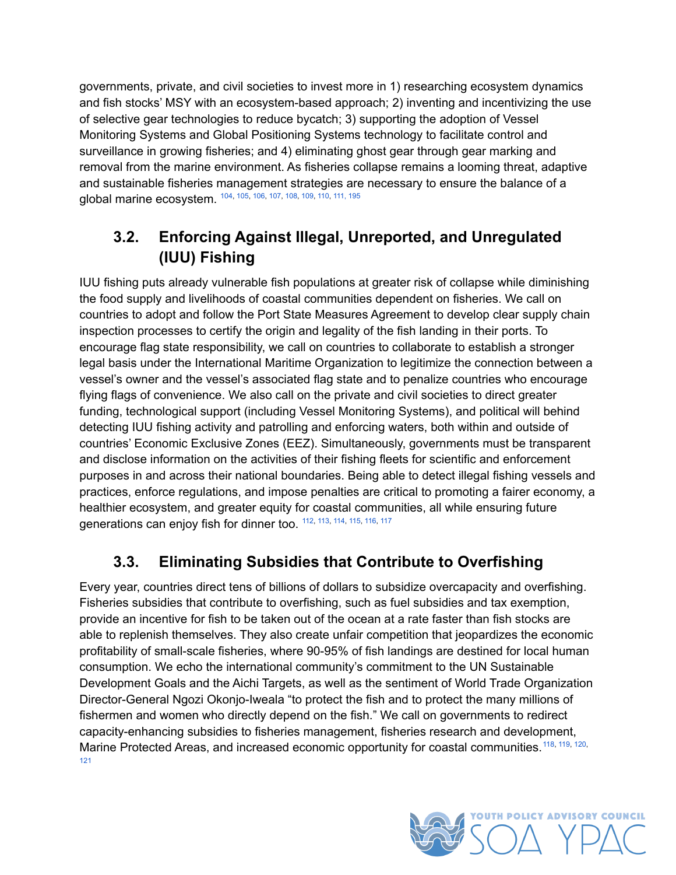governments, private, and civil societies to invest more in 1) researching ecosystem dynamics and fish stocks' MSY with an ecosystem-based approach; 2) inventing and incentivizing the use of selective gear technologies to reduce bycatch; 3) supporting the adoption of Vessel Monitoring Systems and Global Positioning Systems technology to facilitate control and surveillance in growing fisheries; and 4) eliminating ghost gear through gear marking and removal from the marine environment. As fisheries collapse remains a looming threat, adaptive and sustainable fisheries management strategies are necessary to ensure the balance of a global marine ecosystem.  $104, 105, 106, 107, 108, 109, 110, 111, 195$  $104, 105, 106, 107, 108, 109, 110, 111, 195$  $104, 105, 106, 107, 108, 109, 110, 111, 195$  $104, 105, 106, 107, 108, 109, 110, 111, 195$  $104, 105, 106, 107, 108, 109, 110, 111, 195$  $104, 105, 106, 107, 108, 109, 110, 111, 195$  $104, 105, 106, 107, 108, 109, 110, 111, 195$  $104, 105, 106, 107, 108, 109, 110, 111, 195$  $104, 105, 106, 107, 108, 109, 110, 111, 195$  $104, 105, 106, 107, 108, 109, 110, 111, 195$  $104, 105, 106, 107, 108, 109, 110, 111, 195$  $104, 105, 106, 107, 108, 109, 110, 111, 195$  $104, 105, 106, 107, 108, 109, 110, 111, 195$  $104, 105, 106, 107, 108, 109, 110, 111, 195$  $104, 105, 106, 107, 108, 109, 110, 111, 195$  $104, 105, 106, 107, 108, 109, 110, 111, 195$ 

#### <span id="page-20-2"></span>**3.2. Enforcing Against Illegal, Unreported, and Unregulated (IUU) Fishing**

<span id="page-20-0"></span>IUU fishing puts already vulnerable fish populations at greater risk of collapse while diminishing the food supply and livelihoods of coastal communities dependent on fisheries. We call on countries to adopt and follow the Port State Measures Agreement to develop clear supply chain inspection processes to certify the origin and legality of the fish landing in their ports. To encourage flag state responsibility, we call on countries to collaborate to establish a stronger legal basis under the International Maritime Organization to legitimize the connection between a vessel's owner and the vessel's associated flag state and to penalize countries who encourage flying flags of convenience. We also call on the private and civil societies to direct greater funding, technological support (including Vessel Monitoring Systems), and political will behind detecting IUU fishing activity and patrolling and enforcing waters, both within and outside of countries' Economic Exclusive Zones (EEZ). Simultaneously, governments must be transparent and disclose information on the activities of their fishing fleets for scientific and enforcement purposes in and across their national boundaries. Being able to detect illegal fishing vessels and practices, enforce regulations, and impose penalties are critical to promoting a fairer economy, a healthier ecosystem, and greater equity for coastal communities, all while ensuring future generations can enjoy fish for dinner too. <sup>[112](#page-32-13), [113](#page-32-14), [114,](#page-32-15) [115,](#page-32-16) [116,](#page-32-17) [117](#page-32-18)</sup>

#### <span id="page-20-3"></span><span id="page-20-1"></span>**3.3. Eliminating Subsidies that Contribute to Overfishing**

<span id="page-20-4"></span>Every year, countries direct tens of billions of dollars to subsidize overcapacity and overfishing. Fisheries subsidies that contribute to overfishing, such as fuel subsidies and tax exemption, provide an incentive for fish to be taken out of the ocean at a rate faster than fish stocks are able to replenish themselves. They also create unfair competition that jeopardizes the economic profitability of small-scale fisheries, where 90-95% of fish landings are destined for local human consumption. We echo the international community's commitment to the UN Sustainable Development Goals and the Aichi Targets, as well as the sentiment of World Trade Organization Director-General Ngozi Okonjo-Iweala "to protect the fish and to protect the many millions of fishermen and women who directly depend on the fish." We call on governments to redirect capacity-enhancing subsidies to fisheries management, fisheries research and development, Marine Protected Areas, and increased economic opportunity for coastal communities.<sup>[118](#page-33-0), [119](#page-33-1), [120](#page-33-2),</sup> [121](#page-33-3)

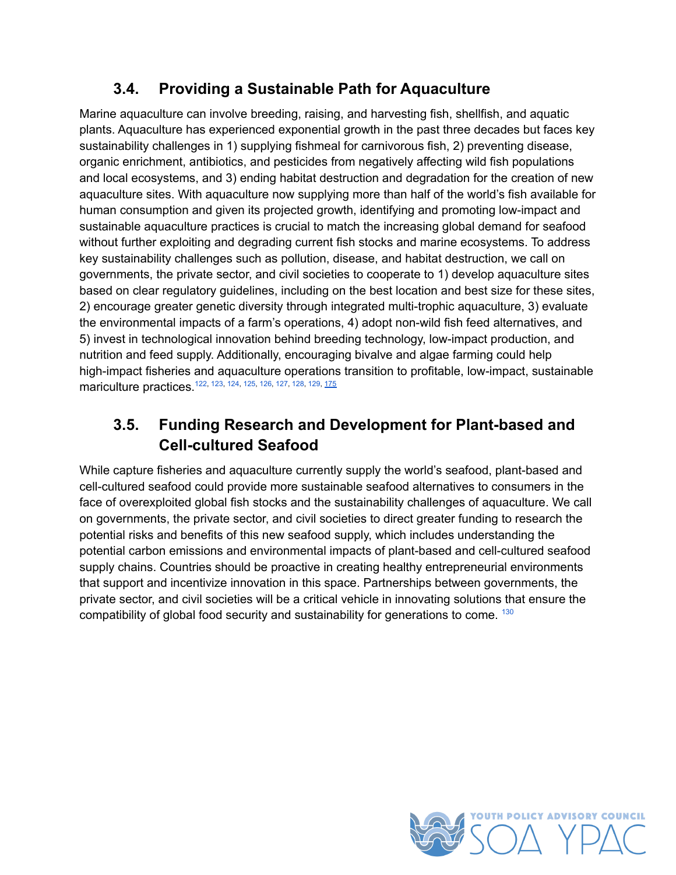#### **3.4. Providing a Sustainable Path for Aquaculture**

<span id="page-21-0"></span>Marine aquaculture can involve breeding, raising, and harvesting fish, shellfish, and aquatic plants. Aquaculture has experienced exponential growth in the past three decades but faces key sustainability challenges in 1) supplying fishmeal for carnivorous fish, 2) preventing disease, organic enrichment, antibiotics, and pesticides from negatively affecting wild fish populations and local ecosystems, and 3) ending habitat destruction and degradation for the creation of new aquaculture sites. With aquaculture now supplying more than half of the world's fish available for human consumption and given its projected growth, identifying and promoting low-impact and sustainable aquaculture practices is crucial to match the increasing global demand for seafood without further exploiting and degrading current fish stocks and marine ecosystems. To address key sustainability challenges such as pollution, disease, and habitat destruction, we call on governments, the private sector, and civil societies to cooperate to 1) develop aquaculture sites based on clear regulatory guidelines, including on the best location and best size for these sites, 2) encourage greater genetic diversity through integrated multi-trophic aquaculture, 3) evaluate the environmental impacts of a farm's operations, 4) adopt non-wild fish feed alternatives, and 5) invest in technological innovation behind breeding technology, low-impact production, and nutrition and feed supply. Additionally, encouraging bivalve and algae farming could help high-impact fisheries and aquaculture operations transition to profitable, low-impact, sustainable mariculture practices.<sup>[122](#page-33-4), [123](#page-33-5), [124,](#page-33-6) [125](#page-33-7), [126](#page-33-8), [127,](#page-33-9) [128,](#page-33-10) [129](#page-33-11), <u>[175](#page-35-9)</u></sup>

## <span id="page-21-2"></span>**3.5. Funding Research and Development for Plant-based and Cell-cultured Seafood**

<span id="page-21-3"></span><span id="page-21-1"></span>While capture fisheries and aquaculture currently supply the world's seafood, plant-based and cell-cultured seafood could provide more sustainable seafood alternatives to consumers in the face of overexploited global fish stocks and the sustainability challenges of aquaculture. We call on governments, the private sector, and civil societies to direct greater funding to research the potential risks and benefits of this new seafood supply, which includes understanding the potential carbon emissions and environmental impacts of plant-based and cell-cultured seafood supply chains. Countries should be proactive in creating healthy entrepreneurial environments that support and incentivize innovation in this space. Partnerships between governments, the private sector, and civil societies will be a critical vehicle in innovating solutions that ensure the compatibility of global food security and sustainability for generations to come. [130](#page-33-12)

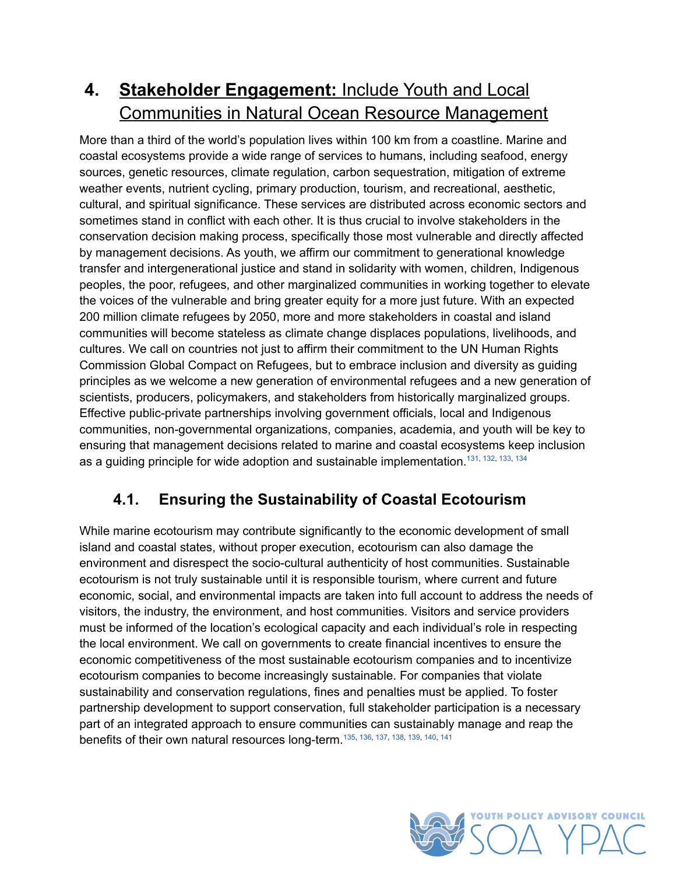## <span id="page-22-0"></span>**4. Stakeholder Engagement:** Include Youth and Local Communities in Natural Ocean Resource Management

More than a third of the world's population lives within 100 km from a coastline. Marine and coastal ecosystems provide a wide range of services to humans, including seafood, energy sources, genetic resources, climate regulation, carbon sequestration, mitigation of extreme weather events, nutrient cycling, primary production, tourism, and recreational, aesthetic, cultural, and spiritual significance. These services are distributed across economic sectors and sometimes stand in conflict with each other. It is thus crucial to involve stakeholders in the conservation decision making process, specifically those most vulnerable and directly affected by management decisions. As youth, we affirm our commitment to generational knowledge transfer and intergenerational justice and stand in solidarity with women, children, Indigenous peoples, the poor, refugees, and other marginalized communities in working together to elevate the voices of the vulnerable and bring greater equity for a more just future. With an expected 200 million climate refugees by 2050, more and more stakeholders in coastal and island communities will become stateless as climate change displaces populations, livelihoods, and cultures. We call on countries not just to affirm their commitment to the UN Human Rights Commission Global Compact on Refugees, but to embrace inclusion and diversity as guiding principles as we welcome a new generation of environmental refugees and a new generation of scientists, producers, policymakers, and stakeholders from historically marginalized groups. Effective public-private partnerships involving government officials, local and Indigenous communities, non-governmental organizations, companies, academia, and youth will be key to ensuring that management decisions related to marine and coastal ecosystems keep inclusion as a guiding principle for wide adoption and sustainable implementation.<sup>[131,](#page-33-13) [132](#page-33-14), [133](#page-33-15), [134](#page-33-16)</sup>

## <span id="page-22-2"></span><span id="page-22-1"></span>**4.1. Ensuring the Sustainability of Coastal Ecotourism**

<span id="page-22-3"></span>While marine ecotourism may contribute significantly to the economic development of small island and coastal states, without proper execution, ecotourism can also damage the environment and disrespect the socio-cultural authenticity of host communities. Sustainable ecotourism is not truly sustainable until it is responsible tourism, where current and future economic, social, and environmental impacts are taken into full account to address the needs of visitors, the industry, the environment, and host communities. Visitors and service providers must be informed of the location's ecological capacity and each individual's role in respecting the local environment. We call on governments to create financial incentives to ensure the economic competitiveness of the most sustainable ecotourism companies and to incentivize ecotourism companies to become increasingly sustainable. For companies that violate sustainability and conservation regulations, fines and penalties must be applied. To foster partnership development to support conservation, full stakeholder participation is a necessary part of an integrated approach to ensure communities can sustainably manage and reap the benefits of their own natural resources long-term.<sup>[135,](#page-33-17) [136,](#page-33-18) [137](#page-33-19), [138,](#page-33-20) [139,](#page-33-21) [140](#page-34-0), [141](#page-34-1)</sup>

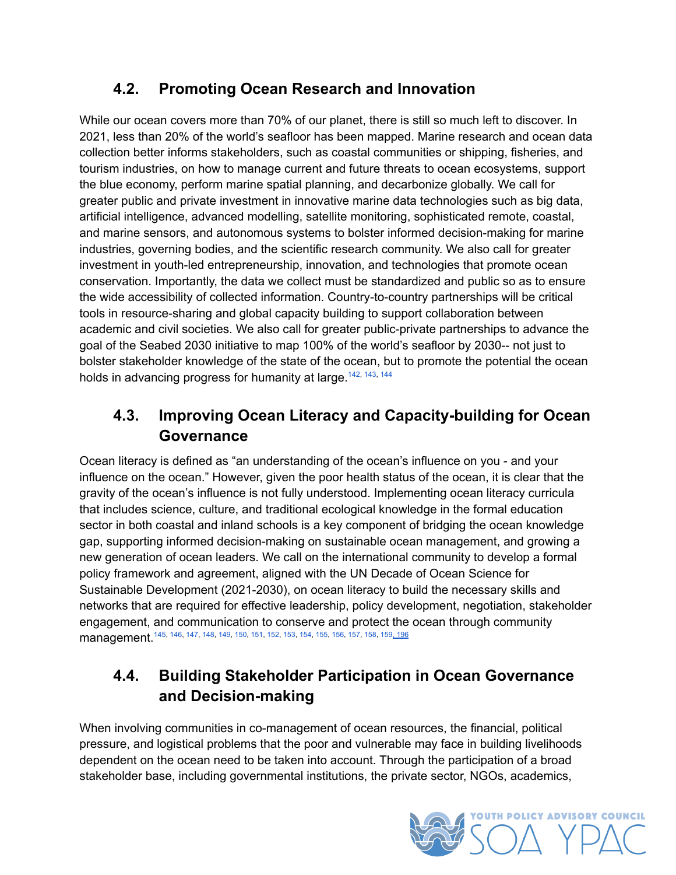## **4.2. Promoting Ocean Research and Innovation**

<span id="page-23-0"></span>While our ocean covers more than 70% of our planet, there is still so much left to discover. In 2021, less than 20% of the world's seafloor has been mapped. Marine research and ocean data collection better informs stakeholders, such as coastal communities or shipping, fisheries, and tourism industries, on how to manage current and future threats to ocean ecosystems, support the blue economy, perform marine spatial planning, and decarbonize globally. We call for greater public and private investment in innovative marine data technologies such as big data, artificial intelligence, advanced modelling, satellite monitoring, sophisticated remote, coastal, and marine sensors, and autonomous systems to bolster informed decision-making for marine industries, governing bodies, and the scientific research community. We also call for greater investment in youth-led entrepreneurship, innovation, and technologies that promote ocean conservation. Importantly, the data we collect must be standardized and public so as to ensure the wide accessibility of collected information. Country-to-country partnerships will be critical tools in resource-sharing and global capacity building to support collaboration between academic and civil societies. We also call for greater public-private partnerships to advance the goal of the Seabed 2030 initiative to map 100% of the world's seafloor by 2030-- not just to bolster stakeholder knowledge of the state of the ocean, but to promote the potential the ocean holds in advancing progress for humanity at large.<sup>[142](#page-34-2), [143,](#page-34-3) [144](#page-34-4)</sup>

## <span id="page-23-3"></span>**4.3. Improving Ocean Literacy and Capacity-building for Ocean Governance**

<span id="page-23-1"></span>Ocean literacy is defined as "an understanding of the ocean's influence on you - and your influence on the ocean." However, given the poor health status of the ocean, it is clear that the gravity of the ocean's influence is not fully understood. Implementing ocean literacy curricula that includes science, culture, and traditional ecological knowledge in the formal education sector in both coastal and inland schools is a key component of bridging the ocean knowledge gap, supporting informed decision-making on sustainable ocean management, and growing a new generation of ocean leaders. We call on the international community to develop a formal policy framework and agreement, aligned with the UN Decade of Ocean Science for Sustainable Development (2021-2030), on ocean literacy to build the necessary skills and networks that are required for effective leadership, policy development, negotiation, stakeholder engagement, and communication to conserve and protect the ocean through community management. <sup>[145](#page-34-5), [146,](#page-34-6) [147,](#page-34-7) [148](#page-34-8), [149,](#page-34-9) [150,](#page-34-10) [151](#page-34-11), [152,](#page-34-12) [153,](#page-34-13) [154](#page-34-14), [155,](#page-34-15) [156,](#page-34-16) [157](#page-34-17), [158,](#page-34-18) 159<u>, [196](#page-37-3)</u></sup>

#### <span id="page-23-4"></span>**4.4. Building Stakeholder Participation in Ocean Governance and Decision-making**

<span id="page-23-2"></span>When involving communities in co-management of ocean resources, the financial, political pressure, and logistical problems that the poor and vulnerable may face in building livelihoods dependent on the ocean need to be taken into account. Through the participation of a broad stakeholder base, including governmental institutions, the private sector, NGOs, academics,

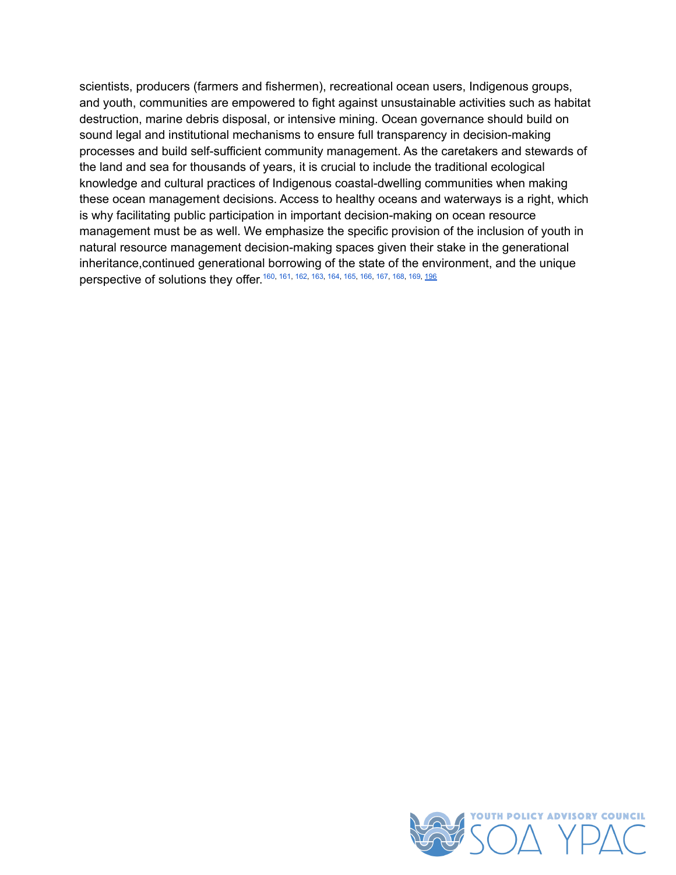<span id="page-24-0"></span>scientists, producers (farmers and fishermen), recreational ocean users, Indigenous groups, and youth, communities are empowered to fight against unsustainable activities such as habitat destruction, marine debris disposal, or intensive mining. Ocean governance should build on sound legal and institutional mechanisms to ensure full transparency in decision-making processes and build self-sufficient community management. As the caretakers and stewards of the land and sea for thousands of years, it is crucial to include the traditional ecological knowledge and cultural practices of Indigenous coastal-dwelling communities when making these ocean management decisions. Access to healthy oceans and waterways is a right, which is why facilitating public participation in important decision-making on ocean resource management must be as well. We emphasize the specific provision of the inclusion of youth in natural resource management decision-making spaces given their stake in the generational inheritance,continued generational borrowing of the state of the environment, and the unique **perspective of solutions they offer.** [160](#page-34-20), [161,](#page-34-21) [162](#page-35-10), [163](#page-35-11), [164,](#page-35-12) [165](#page-35-13), [166](#page-35-14), [167,](#page-35-15) [168](#page-35-16), [169](#page-35-17), <u>[196](#page-37-3)</u>

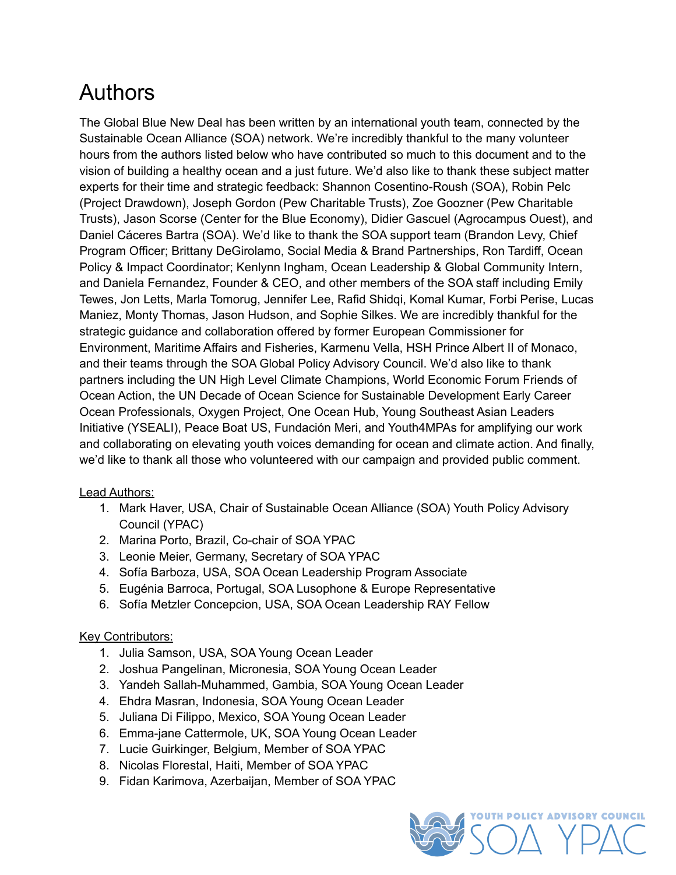# <span id="page-25-0"></span>Authors

The Global Blue New Deal has been written by an international youth team, connected by the Sustainable Ocean Alliance (SOA) network. We're incredibly thankful to the many volunteer hours from the authors listed below who have contributed so much to this document and to the vision of building a healthy ocean and a just future. We'd also like to thank these subject matter experts for their time and strategic feedback: Shannon Cosentino-Roush (SOA), Robin Pelc (Project Drawdown), Joseph Gordon (Pew Charitable Trusts), Zoe Goozner (Pew Charitable Trusts), Jason Scorse (Center for the Blue Economy), Didier Gascuel (Agrocampus Ouest), and Daniel Cáceres Bartra (SOA). We'd like to thank the SOA support team (Brandon Levy, Chief Program Officer; Brittany DeGirolamo, Social Media & Brand Partnerships, Ron Tardiff, Ocean Policy & Impact Coordinator; Kenlynn Ingham, Ocean Leadership & Global Community Intern, and Daniela Fernandez, Founder & CEO, and other members of the SOA staff including Emily Tewes, Jon Letts, Marla Tomorug, Jennifer Lee, Rafid Shidqi, Komal Kumar, Forbi Perise, Lucas Maniez, Monty Thomas, Jason Hudson, and Sophie Silkes. We are incredibly thankful for the strategic guidance and collaboration offered by former European Commissioner for Environment, Maritime Affairs and Fisheries, Karmenu Vella, HSH Prince Albert II of Monaco, and their teams through the SOA Global Policy Advisory Council. We'd also like to thank partners including the UN High Level Climate Champions, World Economic Forum Friends of Ocean Action, the UN Decade of Ocean Science for Sustainable Development Early Career Ocean Professionals, Oxygen Project, One Ocean Hub, Young Southeast Asian Leaders Initiative (YSEALI), Peace Boat US, Fundación Meri, and Youth4MPAs for amplifying our work and collaborating on elevating youth voices demanding for ocean and climate action. And finally, we'd like to thank all those who volunteered with our campaign and provided public comment.

#### Lead Authors:

- 1. Mark Haver, USA, Chair of Sustainable Ocean Alliance (SOA) Youth Policy Advisory Council (YPAC)
- 2. Marina Porto, Brazil, Co-chair of SOA YPAC
- 3. Leonie Meier, Germany, Secretary of SOA YPAC
- 4. Sofía Barboza, USA, SOA Ocean Leadership Program Associate
- 5. Eugénia Barroca, Portugal, SOA Lusophone & Europe Representative
- 6. Sofía Metzler Concepcion, USA, SOA Ocean Leadership RAY Fellow

#### Key Contributors:

- 1. Julia Samson, USA, SOA Young Ocean Leader
- 2. Joshua Pangelinan, Micronesia, SOA Young Ocean Leader
- 3. Yandeh Sallah-Muhammed, Gambia, SOA Young Ocean Leader
- 4. Ehdra Masran, Indonesia, SOA Young Ocean Leader
- 5. Juliana Di Filippo, Mexico, SOA Young Ocean Leader
- 6. Emma-jane Cattermole, UK, SOA Young Ocean Leader
- 7. Lucie Guirkinger, Belgium, Member of SOA YPAC
- 8. Nicolas Florestal, Haiti, Member of SOA YPAC
- 9. Fidan Karimova, Azerbaijan, Member of SOA YPAC

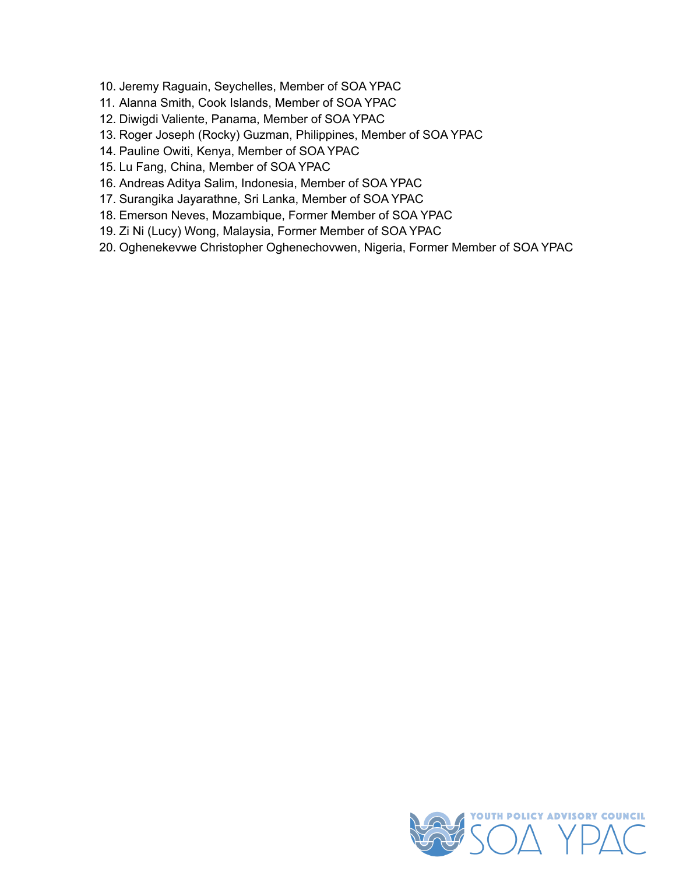- 10. Jeremy Raguain, Seychelles, Member of SOA YPAC
- 11. Alanna Smith, Cook Islands, Member of SOA YPAC
- 12. Diwigdi Valiente, Panama, Member of SOA YPAC
- 13. Roger Joseph (Rocky) Guzman, Philippines, Member of SOA YPAC
- 14. Pauline Owiti, Kenya, Member of SOA YPAC
- 15. Lu Fang, China, Member of SOA YPAC
- 16. Andreas Aditya Salim, Indonesia, Member of SOA YPAC
- 17. Surangika Jayarathne, Sri Lanka, Member of SOA YPAC
- 18. Emerson Neves, Mozambique, Former Member of SOA YPAC
- 19. Zi Ni (Lucy) Wong, Malaysia, Former Member of SOA YPAC
- 20. Oghenekevwe Christopher Oghenechovwen, Nigeria, Former Member of SOA YPAC

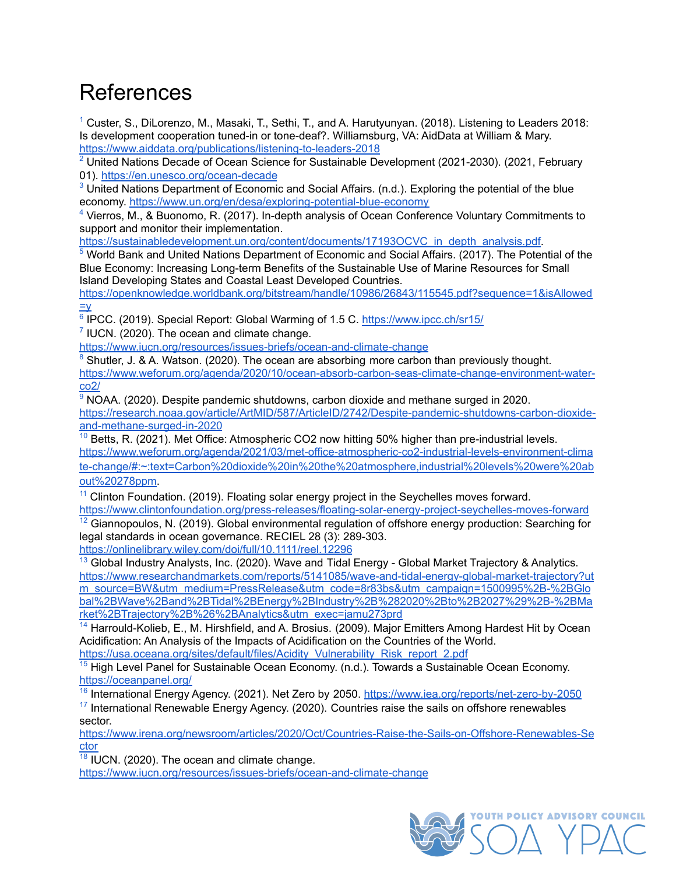# <span id="page-27-0"></span>References

<span id="page-27-1"></span> $1$  Custer, S., DiLorenzo, M., Masaki, T., Sethi, T., and A. Harutyunyan. (2018). Listening to Leaders 2018: Is development cooperation tuned-in or tone-deaf?. Williamsburg, VA: AidData at William & Mary. <https://www.aiddata.org/publications/listening-to-leaders-2018>

<span id="page-27-2"></span> $2$  United Nations Decade of Ocean Science for Sustainable Development (2021-2030). (2021, February 01). <https://en.unesco.org/ocean-decade>

<span id="page-27-3"></span> $3$  United Nations Department of Economic and Social Affairs. (n.d.). Exploring the potential of the blue economy. <https://www.un.org/en/desa/exploring-potential-blue-economy>

<span id="page-27-4"></span>[4](https://docs.google.com/document/d/1B7a32_F0O-_3Q591XjA3T4gO8y4nYu4mdraW80_InKI/edit#bookmark=id.jcb4b2j8sjze) Vierros, M., & Buonomo, R. (2017). In-depth analysis of Ocean Conference Voluntary Commitments to support and monitor their implementation.

[https://sustainabledevelopment.un.org/content/documents/17193OCVC\\_in\\_depth\\_analysis.pdf.](https://sustainabledevelopment.un.org/content/documents/17193OCVC_in_depth_analysis.pdf)

<span id="page-27-5"></span>[5](#page-10-1) World Bank and United Nations Department of Economic and Social Affairs. (2017). The Potential of the Blue Economy: Increasing Long-term Benefits of the Sustainable Use of Marine Resources for Small Island Developing States and Coastal Least Developed Countries.

[https://openknowledge.worldbank.org/bitstream/handle/10986/26843/115545.pdf?sequence=1&isAllowed](https://openknowledge.worldbank.org/bitstream/handle/10986/26843/115545.pdf?sequence=1&isAllowed=y)  $=V$ 

<span id="page-27-6"></span><sup>[6](https://docs.google.com/document/d/1B7a32_F0O-_3Q591XjA3T4gO8y4nYu4mdraW80_InKI/edit#bookmark=id.mly9rtrb6132)</sup> IPCC. (2019). Special Report: Global Warming of 1.5 C. <https://www.ipcc.ch/sr15/>

<span id="page-27-7"></span> $<sup>7</sup>$  $<sup>7</sup>$  $<sup>7</sup>$  IUCN. (2020). The ocean and climate change.</sup>

<https://www.iucn.org/resources/issues-briefs/ocean-and-climate-change>

<span id="page-27-8"></span><sup>[8](https://docs.google.com/document/d/1B7a32_F0O-_3Q591XjA3T4gO8y4nYu4mdraW80_InKI/edit#bookmark=id.4hlfwd2w19n1)</sup> Shutler, J. & A. Watson. (2020). The ocean are absorbing more carbon than previously thought. [https://www.weforum.org/agenda/2020/10/ocean-absorb-carbon-seas-climate-change-environment-water](https://www.weforum.org/agenda/2020/10/oceans-absorb-carbon-seas-climate-change-environment-water-co2/)[co2/](https://www.weforum.org/agenda/2020/10/oceans-absorb-carbon-seas-climate-change-environment-water-co2/)

<span id="page-27-9"></span> $9$  NOAA. (2020). Despite pandemic shutdowns, carbon dioxide and methane surged in 2020. [https://research.noaa.gov/article/ArtMID/587/ArticleID/2742/Despite-pandemic-shutdowns-carbon-dioxide](https://research.noaa.gov/article/ArtMID/587/ArticleID/2742/Despite-pandemic-shutdowns-carbon-dioxide-and-methane-surged-in-2020)[and-methane-surged-in-2020](https://research.noaa.gov/article/ArtMID/587/ArticleID/2742/Despite-pandemic-shutdowns-carbon-dioxide-and-methane-surged-in-2020)

<span id="page-27-10"></span> $10$  Betts, R. (2021). Met Office: Atmospheric CO2 now hitting 50% higher than pre-industrial levels. [https://www.weforum.org/agenda/2021/03/met-office-atmospheric-co2-industrial-levels-environment-clima](https://www.weforum.org/agenda/2021/03/met-office-atmospheric-co2-industrial-levels-environment-climate-change/#:~:text=Carbon%20dioxide%20in%20the%20atmosphere,industrial%20levels%20were%20about%20278ppm) [te-change/#:~:text=Carbon%20dioxide%20in%20the%20atmosphere,industrial%20levels%20were%20ab](https://www.weforum.org/agenda/2021/03/met-office-atmospheric-co2-industrial-levels-environment-climate-change/#:~:text=Carbon%20dioxide%20in%20the%20atmosphere,industrial%20levels%20were%20about%20278ppm) [out%20278ppm](https://www.weforum.org/agenda/2021/03/met-office-atmospheric-co2-industrial-levels-environment-climate-change/#:~:text=Carbon%20dioxide%20in%20the%20atmosphere,industrial%20levels%20were%20about%20278ppm).

<span id="page-27-11"></span> $11$  Clinton Foundation. (2019). Floating solar energy project in the Seychelles moves forward.

<span id="page-27-12"></span><https://www.clintonfoundation.org/press-releases/floating-solar-energy-project-seychelles-moves-forward>  $12$  Giannopoulos, N. (2019). Global environmental regulation of offshore energy production: Searching for legal standards in ocean governance. RECIEL 28 (3): 289-303.

<https://onlinelibrary.wiley.com/doi/full/10.1111/reel.12296>

<span id="page-27-13"></span> $13$  Global Industry Analysts, Inc. (2020). Wave and Tidal Energy - Global Market Trajectory & Analytics. [https://www.researchandmarkets.com/reports/5141085/wave-and-tidal-energy-global-market-trajectory?ut](https://www.researchandmarkets.com/reports/5141085/wave-and-tidal-energy-global-market-trajectory?utm_source=BW&utm_medium=PressRelease&utm_code=8r83bs&utm_campaign=1500995%2B-%2BGlobal%2BWave%2Band%2BTidal%2BEnergy%2BIndustry%2B%282020%2Bto%2B2027%29%2B-%2BMarket%2BTrajectory%2B%26%2BAnalytics&utm_exec=jamu273prd) [m\\_source=BW&utm\\_medium=PressRelease&utm\\_code=8r83bs&utm\\_campaign=1500995%2B-%2BGlo](https://www.researchandmarkets.com/reports/5141085/wave-and-tidal-energy-global-market-trajectory?utm_source=BW&utm_medium=PressRelease&utm_code=8r83bs&utm_campaign=1500995%2B-%2BGlobal%2BWave%2Band%2BTidal%2BEnergy%2BIndustry%2B%282020%2Bto%2B2027%29%2B-%2BMarket%2BTrajectory%2B%26%2BAnalytics&utm_exec=jamu273prd) [bal%2BWave%2Band%2BTidal%2BEnergy%2BIndustry%2B%282020%2Bto%2B2027%29%2B-%2BMa](https://www.researchandmarkets.com/reports/5141085/wave-and-tidal-energy-global-market-trajectory?utm_source=BW&utm_medium=PressRelease&utm_code=8r83bs&utm_campaign=1500995%2B-%2BGlobal%2BWave%2Band%2BTidal%2BEnergy%2BIndustry%2B%282020%2Bto%2B2027%29%2B-%2BMarket%2BTrajectory%2B%26%2BAnalytics&utm_exec=jamu273prd) [rket%2BTrajectory%2B%26%2BAnalytics&utm\\_exec=jamu273prd](https://www.researchandmarkets.com/reports/5141085/wave-and-tidal-energy-global-market-trajectory?utm_source=BW&utm_medium=PressRelease&utm_code=8r83bs&utm_campaign=1500995%2B-%2BGlobal%2BWave%2Band%2BTidal%2BEnergy%2BIndustry%2B%282020%2Bto%2B2027%29%2B-%2BMarket%2BTrajectory%2B%26%2BAnalytics&utm_exec=jamu273prd)

<span id="page-27-14"></span><sup>[14](https://docs.google.com/document/d/1B7a32_F0O-_3Q591XjA3T4gO8y4nYu4mdraW80_InKI/edit#bookmark=id.c70wnqxpbr5l)</sup> Harrould-Kolieb, E., M. Hirshfield, and A. Brosius. (2009). Major Emitters Among Hardest Hit by Ocean Acidification: An Analysis of the Impacts of Acidification on the Countries of the World. [https://usa.oceana.org/sites/default/files/Acidity\\_Vulnerability\\_Risk\\_report\\_2.pdf](https://usa.oceana.org/sites/default/files/Acidity_Vulnerability_Risk_report_2.pdf)

<span id="page-27-15"></span> $15$  High Level Panel for Sustainable Ocean Economy. (n.d.). Towards a Sustainable Ocean Economy. <https://oceanpanel.org/>

<span id="page-27-16"></span><sup>[16](https://docs.google.com/document/d/1B7a32_F0O-_3Q591XjA3T4gO8y4nYu4mdraW80_InKI/edit#bookmark=id.2cywneqjwwmr)</sup> International Energy Agency. (2021). Net Zero by 2050. <https://www.iea.org/reports/net-zero-by-2050>

<span id="page-27-17"></span> $17$  International Renewable Energy Agency. (2020). Countries raise the sails on offshore renewables sector.

[https://www.irena.org/newsroom/articles/2020/Oct/Countries-Raise-the-Sails-on-Offshore-Renewables-Se](https://www.irena.org/newsroom/articles/2020/Oct/Countries-Raise-the-Sails-on-Offshore-Renewables-Sector) [ctor](https://www.irena.org/newsroom/articles/2020/Oct/Countries-Raise-the-Sails-on-Offshore-Renewables-Sector)

<span id="page-27-18"></span> $18$  IUCN. (2020). The ocean and climate change.

<https://www.iucn.org/resources/issues-briefs/ocean-and-climate-change>

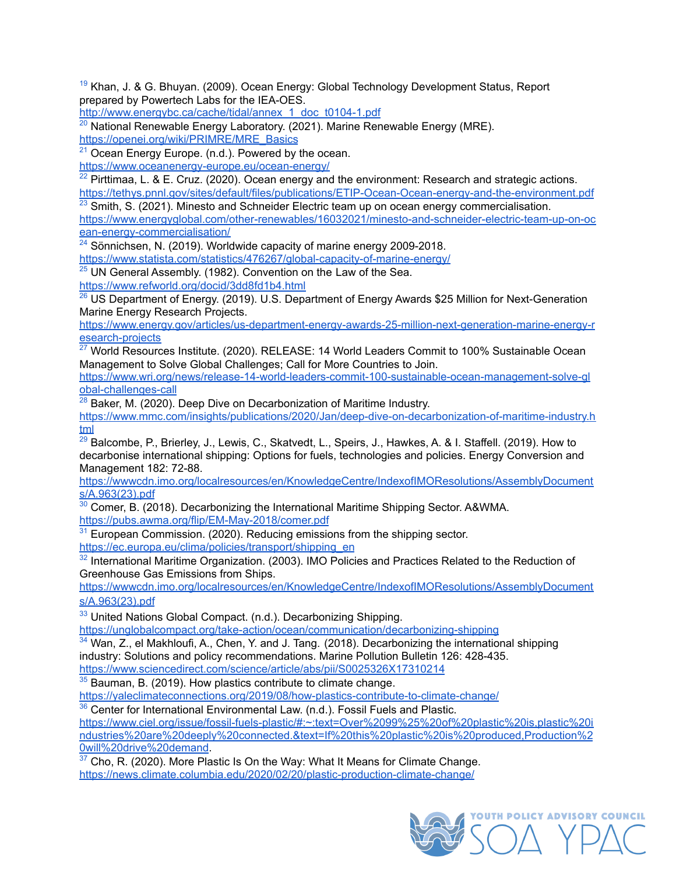<span id="page-28-0"></span><sup>[19](https://docs.google.com/document/d/1B7a32_F0O-_3Q591XjA3T4gO8y4nYu4mdraW80_InKI/edit#bookmark=id.9qc7kp8c4oiz)</sup> Khan, J. & G. Bhuyan, (2009). Ocean Energy: Global Technology Development Status, Report prepared by Powertech Labs for the IEA-OES.

[http://www.energybc.ca/cache/tidal/annex\\_1\\_doc\\_t0104-1.pdf](http://www.energybc.ca/cache/tidal/annex_1_doc_t0104-1.pdf)

<span id="page-28-1"></span> $^{20}$  $^{20}$  $^{20}$  National Renewable Energy Laboratory. (2021). Marine Renewable Energy (MRE). [https://openei.org/wiki/PRIMRE/MRE\\_Basics](https://openei.org/wiki/PRIMRE/MRE_Basics)

<span id="page-28-2"></span><sup>[21](https://docs.google.com/document/d/1B7a32_F0O-_3Q591XjA3T4gO8y4nYu4mdraW80_InKI/edit#bookmark=id.jqff75u2lbvi)</sup> Ocean Energy Europe. (n.d.). Powered by the ocean.

<https://www.oceanenergy-europe.eu/ocean-energy/>

<span id="page-28-3"></span> $22$  Pirttimaa, L. & E. Cruz. (2020). Ocean energy and the environment: Research and strategic actions. <https://tethys.pnnl.gov/sites/default/files/publications/ETIP-Ocean-Ocean-energy-and-the-environment.pdf>

<span id="page-28-4"></span> $23$  Smith, S. (2021). Minesto and Schneider Electric team up on ocean energy commercialisation. [https://www.energyglobal.com/other-renewables/16032021/minesto-and-schneider-electric-team-up-on-oc](https://www.energyglobal.com/other-renewables/16032021/minesto-and-schneider-electric-team-up-on-ocean-energy-commercialisation/)

[ean-energy-commercialisation/](https://www.energyglobal.com/other-renewables/16032021/minesto-and-schneider-electric-team-up-on-ocean-energy-commercialisation/)

<span id="page-28-5"></span> $24$  Sönnichsen, N. (2019). Worldwide capacity of marine energy 2009-2018.

<https://www.statista.com/statistics/476267/global-capacity-of-marine-energy/>

<span id="page-28-6"></span> $25$  UN General Assembly. (1982). Convention on the Law of the Sea.

<https://www.refworld.org/docid/3dd8fd1b4.html>

<span id="page-28-7"></span><sup>[26](https://docs.google.com/document/d/1B7a32_F0O-_3Q591XjA3T4gO8y4nYu4mdraW80_InKI/edit#bookmark=id.8yd08pkdu33j)</sup> US Department of Energy. (2019). U.S. Department of Energy Awards \$25 Million for Next-Generation Marine Energy Research Projects.

[https://www.energy.gov/articles/us-department-energy-awards-25-million-next-generation-marine-energy-r](https://www.energy.gov/articles/us-department-energy-awards-25-million-next-generation-marine-energy-research-projects) [esearch-projects](https://www.energy.gov/articles/us-department-energy-awards-25-million-next-generation-marine-energy-research-projects)

<span id="page-28-8"></span> $\frac{27}{27}$  World Resources Institute. (2020). RELEASE: 14 World Leaders Commit to 100% Sustainable Ocean Management to Solve Global Challenges; Call for More Countries to Join.

[https://www.wri.org/news/release-14-world-leaders-commit-100-sustainable-ocean-management-solve-gl](https://www.wri.org/news/release-14-world-leaders-commit-100-sustainable-ocean-management-solve-global-challenges-call) [obal-challenges-call](https://www.wri.org/news/release-14-world-leaders-commit-100-sustainable-ocean-management-solve-global-challenges-call)

<span id="page-28-9"></span> $28$  Baker, M. (2020). Deep Dive on Decarbonization of Maritime Industry.

[https://www.mmc.com/insights/publications/2020/Jan/deep-dive-on-decarbonization-of-maritime-industry.h](https://www.mmc.com/insights/publications/2020/Jan/deep-dive-on-decarbonization-of-maritime-industry.html) [tml](https://www.mmc.com/insights/publications/2020/Jan/deep-dive-on-decarbonization-of-maritime-industry.html)

<span id="page-28-10"></span><sup>[29](https://docs.google.com/document/d/1B7a32_F0O-_3Q591XjA3T4gO8y4nYu4mdraW80_InKI/edit#bookmark=id.wgacekuhqja6)</sup> Balcombe, P., Brierley, J., Lewis, C., Skatvedt, L., Speirs, J., Hawkes, A. & I. Staffell. (2019). How to decarbonise international shipping: Options for fuels, technologies and policies. Energy Conversion and Management 182: 72-88.

[https://wwwcdn.imo.org/localresources/en/KnowledgeCentre/IndexofIMOResolutions/AssemblyDocument](https://wwwcdn.imo.org/localresources/en/KnowledgeCentre/IndexofIMOResolutions/AssemblyDocuments/A.963(23).pdf) [s/A.963\(23\).pdf](https://wwwcdn.imo.org/localresources/en/KnowledgeCentre/IndexofIMOResolutions/AssemblyDocuments/A.963(23).pdf)

<span id="page-28-11"></span> $30$  Comer, B. (2018). Decarbonizing the International Maritime Shipping Sector. A&WMA. <https://pubs.awma.org/flip/EM-May-2018/comer.pdf>

<span id="page-28-12"></span> $31$  European Commission. (2020). Reducing emissions from the shipping sector.

[https://ec.europa.eu/clima/policies/transport/shipping\\_en](https://ec.europa.eu/clima/policies/transport/shipping_en)

<span id="page-28-13"></span> $32$  International Maritime Organization. (2003). IMO Policies and Practices Related to the Reduction of Greenhouse Gas Emissions from Ships.

[https://wwwcdn.imo.org/localresources/en/KnowledgeCentre/IndexofIMOResolutions/AssemblyDocument](https://wwwcdn.imo.org/localresources/en/KnowledgeCentre/IndexofIMOResolutions/AssemblyDocuments/A.963(23).pdf) [s/A.963\(23\).pdf](https://wwwcdn.imo.org/localresources/en/KnowledgeCentre/IndexofIMOResolutions/AssemblyDocuments/A.963(23).pdf)

<span id="page-28-14"></span> $33$  United Nations Global Compact. (n.d.). Decarbonizing Shipping.

<https://unglobalcompact.org/take-action/ocean/communication/decarbonizing-shipping>

<span id="page-28-15"></span> $34$  Wan, Z., el Makhloufi, A., Chen, Y. and J. Tang. (2018). Decarbonizing the international shipping industry: Solutions and policy recommendations. Marine Pollution Bulletin 126: 428-435. <https://www.sciencedirect.com/science/article/abs/pii/S0025326X17310214>

<span id="page-28-16"></span><sup>[35](https://docs.google.com/document/d/1B7a32_F0O-_3Q591XjA3T4gO8y4nYu4mdraW80_InKI/edit#bookmark=id.rpnr30a2jqdc)</sup> Bauman, B. (2019). How plastics contribute to climate change.

<https://yaleclimateconnections.org/2019/08/how-plastics-contribute-to-climate-change/>

<span id="page-28-17"></span> $36$  Center for International Environmental Law. (n.d.). Fossil Fuels and Plastic. [https://www.ciel.org/issue/fossil-fuels-plastic/#:~:text=Over%2099%25%20of%20plastic%20is,plastic%20i](https://www.ciel.org/issue/fossil-fuels-plastic/#:~:text=Over%2099%25%20of%20plastic%20is,plastic%20industries%20are%20deeply%20connected.&text=If%20this%20plastic%20is%20produced,Production%20will%20drive%20demand) [ndustries%20are%20deeply%20connected.&text=If%20this%20plastic%20is%20produced,Production%2](https://www.ciel.org/issue/fossil-fuels-plastic/#:~:text=Over%2099%25%20of%20plastic%20is,plastic%20industries%20are%20deeply%20connected.&text=If%20this%20plastic%20is%20produced,Production%20will%20drive%20demand) [0will%20drive%20demand](https://www.ciel.org/issue/fossil-fuels-plastic/#:~:text=Over%2099%25%20of%20plastic%20is,plastic%20industries%20are%20deeply%20connected.&text=If%20this%20plastic%20is%20produced,Production%20will%20drive%20demand).

<span id="page-28-18"></span> $37$  Cho, R. (2020). More Plastic Is On the Way: What It Means for Climate Change. <https://news.climate.columbia.edu/2020/02/20/plastic-production-climate-change/>

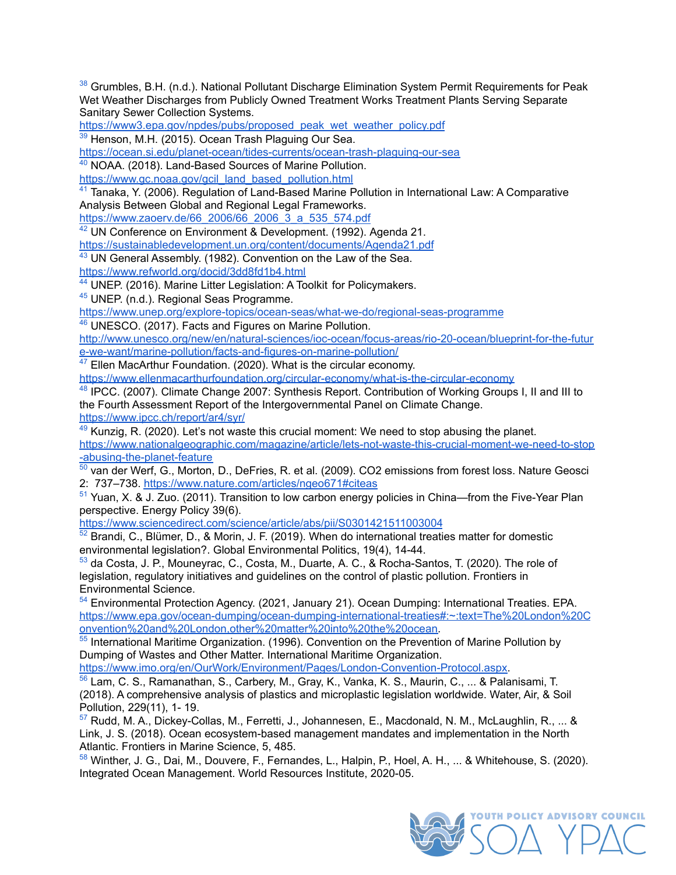<span id="page-29-0"></span><sup>[38](https://docs.google.com/document/d/1B7a32_F0O-_3Q591XjA3T4gO8y4nYu4mdraW80_InKI/edit#bookmark=id.u4t6qjg46jc)</sup> Grumbles, B.H. (n.d.). National Pollutant Discharge Elimination System Permit Requirements for Peak Wet Weather Discharges from Publicly Owned Treatment Works Treatment Plants Serving Separate Sanitary Sewer Collection Systems.

[https://www3.epa.gov/npdes/pubs/proposed\\_peak\\_wet\\_weather\\_policy.pdf](https://www3.epa.gov/npdes/pubs/proposed_peak_wet_weather_policy.pdf)

<span id="page-29-1"></span>[39](https://docs.google.com/document/d/1B7a32_F0O-_3Q591XjA3T4gO8y4nYu4mdraW80_InKI/edit#bookmark=id.ir0m5ne68acx) Henson, M.H. (2015). Ocean Trash Plaguing Our Sea.

<https://ocean.si.edu/planet-ocean/tides-currents/ocean-trash-plaguing-our-sea>

<span id="page-29-2"></span>[40](https://docs.google.com/document/d/1B7a32_F0O-_3Q591XjA3T4gO8y4nYu4mdraW80_InKI/edit#bookmark=id.nkjvx9b5ahq3) NOAA. (2018). Land-Based Sources of Marine Pollution.

[https://www.gc.noaa.gov/gcil\\_land\\_based\\_pollution.html](https://www.gc.noaa.gov/gcil_land_based_pollution.html)

<span id="page-29-3"></span>[41](https://docs.google.com/document/d/1B7a32_F0O-_3Q591XjA3T4gO8y4nYu4mdraW80_InKI/edit#bookmark=id.psw6jo1uu0mw) Tanaka, Y. (2006). Regulation of Land-Based Marine Pollution in International Law: A Comparative Analysis Between Global and Regional Legal Frameworks.

[https://www.zaoerv.de/66\\_2006/66\\_2006\\_3\\_a\\_535\\_574.pdf](https://www.zaoerv.de/66_2006/66_2006_3_a_535_574.pdf)

<span id="page-29-4"></span> $42$  UN Conference on Environment & Development. (1992). Agenda 21.

<https://sustainabledevelopment.un.org/content/documents/Agenda21.pdf>

<span id="page-29-5"></span><sup>[43](https://docs.google.com/document/d/1B7a32_F0O-_3Q591XjA3T4gO8y4nYu4mdraW80_InKI/edit#bookmark=id.oiaq7dw4g17h)</sup> UN General Assembly. (1982). Convention on the Law of the Sea.

<https://www.refworld.org/docid/3dd8fd1b4.html>

<span id="page-29-6"></span>[44](https://docs.google.com/document/d/1B7a32_F0O-_3Q591XjA3T4gO8y4nYu4mdraW80_InKI/edit#bookmark=id.677berg7dsm8) UNEP. (2016). Marine Litter Legislation: A Toolkit for Policymakers.

<span id="page-29-7"></span><sup>[45](https://docs.google.com/document/d/1B7a32_F0O-_3Q591XjA3T4gO8y4nYu4mdraW80_InKI/edit#bookmark=id.vywm7or5tova)</sup> UNEP. (n.d.). Regional Seas Programme.

[https://www.unep.org/explore-topics/ocean-seas/what-we-do/regional-seas-programme](https://www.unep.org/explore-topics/oceans-seas/what-we-do/regional-seas-programme)

<span id="page-29-8"></span>[46](#page-14-2) UNESCO. (2017). Facts and Figures on Marine Pollution.

[http://www.unesco.org/new/en/natural-sciences/ioc-ocean/focus-areas/rio-20-ocean/blueprint-for-the-futur](http://www.unesco.org/new/en/natural-sciences/ioc-oceans/focus-areas/rio-20-ocean/blueprint-for-the-future-we-want/marine-pollution/facts-and-figures-on-marine-pollution/) [e-we-want/marine-pollution/facts-and-figures-on-marine-pollution/](http://www.unesco.org/new/en/natural-sciences/ioc-oceans/focus-areas/rio-20-ocean/blueprint-for-the-future-we-want/marine-pollution/facts-and-figures-on-marine-pollution/)

<span id="page-29-16"></span><sup>[47](https://docs.google.com/document/d/1B7a32_F0O-_3Q591XjA3T4gO8y4nYu4mdraW80_InKI/edit#bookmark=id.b1ah74e2urwo)</sup> Ellen MacArthur Foundation. (2020). What is the circular economy.

<https://www.ellenmacarthurfoundation.org/circular-economy/what-is-the-circular-economy>

<span id="page-29-17"></span><sup>[48](https://docs.google.com/document/d/1B7a32_F0O-_3Q591XjA3T4gO8y4nYu4mdraW80_InKI/edit#bookmark=id.wli6icaiumwk)</sup> IPCC. (2007). Climate Change 2007: Synthesis Report. Contribution of Working Groups I, II and III to the Fourth Assessment Report of the Intergovernmental Panel on Climate Change. <https://www.ipcc.ch/report/ar4/syr/>

<span id="page-29-18"></span> $49$  Kunzig, R. (2020). Let's not waste this crucial moment: We need to stop abusing the planet. [https://www.nationalgeographic.com/magazine/article/lets-not-waste-this-crucial-moment-we-need-to-stop](https://www.nationalgeographic.com/magazine/article/lets-not-waste-this-crucial-moment-we-need-to-stop-abusing-the-planet-feature) [-abusing-the-planet-feature](https://www.nationalgeographic.com/magazine/article/lets-not-waste-this-crucial-moment-we-need-to-stop-abusing-the-planet-feature)

<span id="page-29-19"></span>[50](https://docs.google.com/document/d/1B7a32_F0O-_3Q591XjA3T4gO8y4nYu4mdraW80_InKI/edit#bookmark=id.lzqonu8j0igc) van der Werf, G., Morton, D., DeFries, R. et al. (2009). CO2 emissions from forest loss. Nature Geosci 2: 737–738. <https://www.nature.com/articles/ngeo671#citeas>

<span id="page-29-20"></span>[51](#page-15-0) Yuan, X. & J. Zuo. (2011). Transition to low carbon energy policies in China—from the Five-Year Plan perspective. Energy Policy 39(6).

<https://www.sciencedirect.com/science/article/abs/pii/S0301421511003004>

<span id="page-29-9"></span> $52$  Brandi, C., Blümer, D., & Morin, J. F. (2019). When do international treaties matter for domestic environmental legislation?. Global Environmental Politics, 19(4), 14-44.

<span id="page-29-10"></span>[53](https://docs.google.com/document/d/1B7a32_F0O-_3Q591XjA3T4gO8y4nYu4mdraW80_InKI/edit#bookmark=id.grvsppgurcab) da Costa, J. P., Mouneyrac, C., Costa, M., Duarte, A. C., & Rocha-Santos, T. (2020). The role of legislation, regulatory initiatives and guidelines on the control of plastic pollution. Frontiers in Environmental Science.

<span id="page-29-11"></span>[54](https://docs.google.com/document/d/1B7a32_F0O-_3Q591XjA3T4gO8y4nYu4mdraW80_InKI/edit#bookmark=id.nbeifte6tb88) Environmental Protection Agency. (2021, January 21). Ocean Dumping: International Treaties. EPA. [https://www.epa.gov/ocean-dumping/ocean-dumping-international-treaties#:~:text=The%20London%20C](https://www.epa.gov/ocean-dumping/ocean-dumping-international-treaties#:~:text=The%20London%20Convention%20and%20London,other%20matter%20into%20the%20ocean) [onvention%20and%20London,other%20matter%20into%20the%20ocean.](https://www.epa.gov/ocean-dumping/ocean-dumping-international-treaties#:~:text=The%20London%20Convention%20and%20London,other%20matter%20into%20the%20ocean)

<span id="page-29-12"></span><sup>[55](https://docs.google.com/document/d/1B7a32_F0O-_3Q591XjA3T4gO8y4nYu4mdraW80_InKI/edit#bookmark=id.txnbkt81pz1z)</sup> International Maritime Organization. (1996). Convention on the Prevention of Marine Pollution by Dumping of Wastes and Other Matter. International Maritime Organization.

[https://www.imo.org/en/OurWork/Environment/Pages/London-Convention-Protocol.aspx.](https://www.imo.org/en/OurWork/Environment/Pages/London-Convention-Protocol.aspx)

<span id="page-29-13"></span>[56](https://docs.google.com/document/d/1B7a32_F0O-_3Q591XjA3T4gO8y4nYu4mdraW80_InKI/edit#bookmark=id.fdwgrnd6bji9) Lam, C. S., Ramanathan, S., Carbery, M., Gray, K., Vanka, K. S., Maurin, C., ... & Palanisami, T. (2018). A comprehensive analysis of plastics and microplastic legislation worldwide. Water, Air, & Soil Pollution, 229(11), 1- 19.

<span id="page-29-14"></span>[57](https://docs.google.com/document/d/1B7a32_F0O-_3Q591XjA3T4gO8y4nYu4mdraW80_InKI/edit#bookmark=id.4zd20rqa0hpv) Rudd, M. A., Dickey-Collas, M., Ferretti, J., Johannesen, E., Macdonald, N. M., McLaughlin, R., ... & Link, J. S. (2018). Ocean ecosystem-based management mandates and implementation in the North Atlantic. Frontiers in Marine Science, 5, 485.

<span id="page-29-15"></span><sup>58</sup> Winther, J. G., Dai, M., Douvere, F., Fernandes, L., Halpin, P., Hoel, A. H., ... & Whitehouse, S. (2020). Integrated Ocean Management. World Resources Institute, 2020-05.

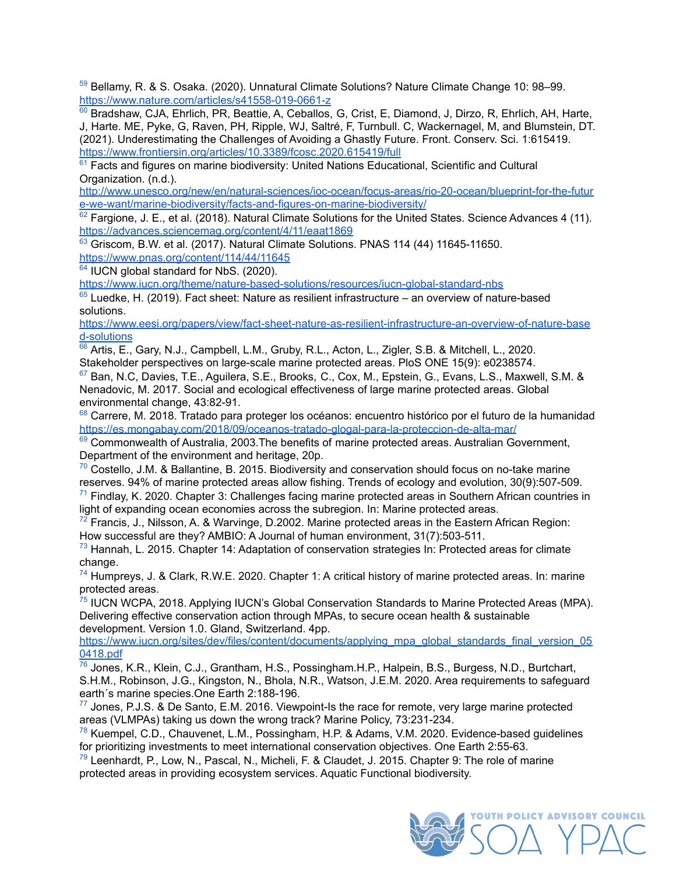<span id="page-30-0"></span>[59](https://docs.google.com/document/d/1B7a32_F0O-_3Q591XjA3T4gO8y4nYu4mdraW80_InKI/edit#bookmark=id.69xha130jfec) Bellamy, R. & S. Osaka. (2020). Unnatural Climate Solutions? Nature Climate Change 10: 98–99. <https://www.nature.com/articles/s41558-019-0661-z>

<span id="page-30-1"></span>Bradshaw, CJA, Ehrlich, PR, Beattie, A, Ceballos, G, Crist, E, Diamond, J, Dirzo, R, Ehrlich, AH, Harte, J, Harte. ME, Pyke, G, Raven, PH, Ripple, WJ, Saltré, F, Turnbull. C, Wackernagel, M, and Blumstein, DT. (2021). Underestimating the Challenges of Avoiding a Ghastly Future. Front. Conserv. Sci. 1:615419. <https://www.frontiersin.org/articles/10.3389/fcosc.2020.615419/full>

<span id="page-30-2"></span> $61$  Facts and figures on marine biodiversity: United Nations Educational, Scientific and Cultural Organization. (n.d.).

[http://www.unesco.org/new/en/natural-sciences/ioc-ocean/focus-areas/rio-20-ocean/blueprint-for-the-futur](http://www.unesco.org/new/en/natural-sciences/ioc-oceans/focus-areas/rio-20-ocean/blueprint-for-the-future-we-want/marine-biodiversity/facts-and-figures-on-marine-biodiversity/) [e-we-want/marine-biodiversity/facts-and-figures-on-marine-biodiversity/](http://www.unesco.org/new/en/natural-sciences/ioc-oceans/focus-areas/rio-20-ocean/blueprint-for-the-future-we-want/marine-biodiversity/facts-and-figures-on-marine-biodiversity/)

<span id="page-30-3"></span> $62$  Fargione, J. E., et al. (2018). Natural Climate Solutions for the United States. Science Advances 4 (11). <https://advances.sciencemag.org/content/4/11/eaat1869>

<span id="page-30-4"></span> $63$  Griscom, B.W. et al. (2017). Natural Climate Solutions. PNAS 114 (44) 11645-11650. <https://www.pnas.org/content/114/44/11645>

<span id="page-30-5"></span><sup>[64](https://docs.google.com/document/d/1B7a32_F0O-_3Q591XjA3T4gO8y4nYu4mdraW80_InKI/edit#bookmark=id.d0bt5q2u6lmu)</sup> IUCN global standard for NbS. (2020).

<https://www.iucn.org/theme/nature-based-solutions/resources/iucn-global-standard-nbs>

<span id="page-30-6"></span> $65$  Luedke, H. (2019). Fact sheet: Nature as resilient infrastructure – an overview of nature-based solutions.

[https://www.eesi.org/papers/view/fact-sheet-nature-as-resilient-infrastructure-an-overview-of-nature-base](https://www.eesi.org/papers/view/fact-sheet-nature-as-resilient-infrastructure-an-overview-of-nature-based-solutions) [d-solutions](https://www.eesi.org/papers/view/fact-sheet-nature-as-resilient-infrastructure-an-overview-of-nature-based-solutions)

<span id="page-30-7"></span>[66](https://docs.google.com/document/d/1B7a32_F0O-_3Q591XjA3T4gO8y4nYu4mdraW80_InKI/edit#bookmark=id.fce722aoj9ke) Artis, E., Gary, N.J., Campbell, L.M., Gruby, R.L., Acton, L., Zigler, S.B. & Mitchell, L., 2020. Stakeholder perspectives on large-scale marine protected areas. PloS ONE 15(9): e0238574.

<span id="page-30-8"></span>[67](https://docs.google.com/document/d/1B7a32_F0O-_3Q591XjA3T4gO8y4nYu4mdraW80_InKI/edit#bookmark=id.ecv2usom67vy) Ban, N.C, Davies, T.E., Aguilera, S.E., Brooks, C., Cox, M., Epstein, G., Evans, L.S., Maxwell, S.M. & Nenadovic, M. 2017. Social and ecological effectiveness of large marine protected areas. Global environmental change, 43:82-91.

<span id="page-30-9"></span><sup>[68](https://docs.google.com/document/d/1B7a32_F0O-_3Q591XjA3T4gO8y4nYu4mdraW80_InKI/edit#bookmark=id.5iujl46x81d6)</sup> Carrere, M. 2018. Tratado para proteger los océanos: encuentro histórico por el futuro de la humanidad <https://es.mongabay.com/2018/09/oceanos-tratado-glogal-para-la-proteccion-de-alta-mar/>

<span id="page-30-10"></span>[69](https://docs.google.com/document/d/1B7a32_F0O-_3Q591XjA3T4gO8y4nYu4mdraW80_InKI/edit#bookmark=id.lehs0nr1qvt0) Commonwealth of Australia, 2003. The benefits of marine protected areas. Australian Government, Department of the environment and heritage, 20p.

<span id="page-30-11"></span> $70$  Costello, J.M. & Ballantine, B. 2015. Biodiversity and conservation should focus on no-take marine reserves. 94% of marine protected areas allow fishing. Trends of ecology and evolution, 30(9):507-509.

<span id="page-30-12"></span> $71$  Findlay, K. 2020. Chapter 3: Challenges facing marine protected areas in Southern African countries in light of expanding ocean economies across the subregion. In: Marine protected areas.

<span id="page-30-13"></span> $72$  Francis, J., Nilsson, A. & Warvinge, D.2002. Marine protected areas in the Eastern African Region: How successful are they? AMBIO: A Journal of human environment, 31(7):503-511.

<span id="page-30-14"></span> $^{73}$  $^{73}$  $^{73}$  Hannah, L. 2015. Chapter 14: Adaptation of conservation strategies In: Protected areas for climate change.

<span id="page-30-15"></span> $74$  Humpreys, J. & Clark, R.W.E. 2020. Chapter 1: A critical history of marine protected areas. In: marine

<span id="page-30-16"></span>protected areas.<br><sup>[75](https://docs.google.com/document/d/1B7a32_F0O-_3Q591XjA3T4gO8y4nYu4mdraW80_InKI/edit#bookmark=id.ii355v9bepdw)</sup> IUCN WCPA, 2018. Applying IUCN's Global Conservation Standards to Marine Protected Areas (MPA). Delivering effective conservation action through MPAs, to secure ocean health & sustainable development. Version 1.0. Gland, Switzerland. 4pp.

[https://www.iucn.org/sites/dev/files/content/documents/applying\\_mpa\\_global\\_standards\\_final\\_version\\_05](https://www.iucn.org/sites/dev/files/content/documents/applying_mpa_global_standards_final_version_050418.pdf) [0418.pdf](https://www.iucn.org/sites/dev/files/content/documents/applying_mpa_global_standards_final_version_050418.pdf)

<span id="page-30-17"></span>[76](https://docs.google.com/document/d/1B7a32_F0O-_3Q591XjA3T4gO8y4nYu4mdraW80_InKI/edit#bookmark=id.ib6cjkdd8h7z) Jones, K.R., Klein, C.J., Grantham, H.S., Possingham.H.P., Halpein, B.S., Burgess, N.D., Burtchart, S.H.M., Robinson, J.G., Kingston, N., Bhola, N.R., Watson, J.E.M. 2020. Area requirements to safeguard earth´s marine species.One Earth 2:188-196.

<span id="page-30-18"></span> $77$  Jones, P.J.S. & De Santo, E.M. 2016. Viewpoint-Is the race for remote, very large marine protected areas (VLMPAs) taking us down the wrong track? Marine Policy, 73:231-234.

<span id="page-30-19"></span> $^{78}$  $^{78}$  $^{78}$  Kuempel, C.D., Chauvenet, L.M., Possingham, H.P. & Adams, V.M. 2020. Evidence-based guidelines for prioritizing investments to meet international conservation objectives. One Earth 2:55-63.

<span id="page-30-20"></span> $79$  Leenhardt, P., Low, N., Pascal, N., Micheli, F. & Claudet, J. 2015. Chapter 9: The role of marine protected areas in providing ecosystem services. Aquatic Functional biodiversity.

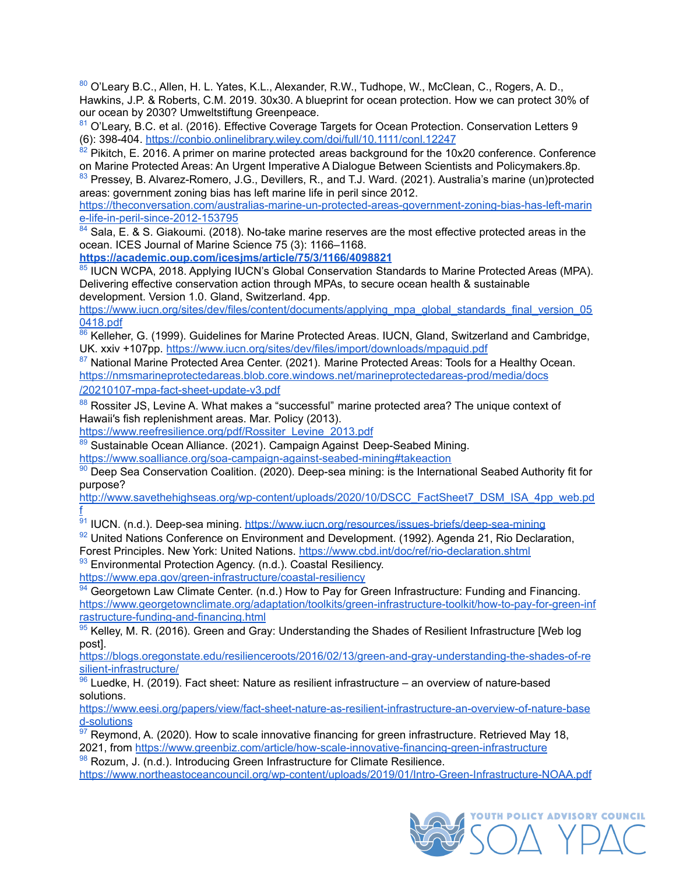<span id="page-31-0"></span>[80](https://docs.google.com/document/d/1B7a32_F0O-_3Q591XjA3T4gO8y4nYu4mdraW80_InKI/edit#bookmark=id.7zf5fl11q1cy) O'Leary B.C., Allen, H. L. Yates, K.L., Alexander, R.W., Tudhope, W., McClean, C., Rogers, A. D., Hawkins, J.P. & Roberts, C.M. 2019. 30x30. A blueprint for ocean protection. How we can protect 30% of our ocean by 2030? Umweltstiftung Greenpeace.

<span id="page-31-1"></span>[81](https://docs.google.com/document/d/1B7a32_F0O-_3Q591XjA3T4gO8y4nYu4mdraW80_InKI/edit#bookmark=id.k83zk46sbwzn) O'Leary, B.C. et al. (2016). Effective Coverage Targets for Ocean Protection. Conservation Letters 9 (6): 398-404. <https://conbio.onlinelibrary.wiley.com/doi/full/10.1111/conl.12247>

<span id="page-31-2"></span> $\frac{82}{2}$  $\frac{82}{2}$  $\frac{82}{2}$  Pikitch, E. 2016. A primer on marine protected areas background for the 10x20 conference. Conference on Marine Protected Areas: An Urgent Imperative A Dialogue Between Scientists and Policymakers.8p.

<span id="page-31-3"></span>[83](https://docs.google.com/document/d/1B7a32_F0O-_3Q591XjA3T4gO8y4nYu4mdraW80_InKI/edit#bookmark=id.5r4zpcs3fz8g) Pressey, B. Alvarez-Romero, J.G., Devillers, R., and T.J. Ward. (2021). Australia's marine (un)protected areas: government zoning bias has left marine life in peril since 2012.

[https://theconversation.com/australias-marine-un-protected-areas-government-zoning-bias-has-left-marin](https://theconversation.com/australias-marine-un-protected-areas-government-zoning-bias-has-left-marine-life-in-peril-since-2012-153795) [e-life-in-peril-since-2012-153795](https://theconversation.com/australias-marine-un-protected-areas-government-zoning-bias-has-left-marine-life-in-peril-since-2012-153795)

<span id="page-31-4"></span> $84$  Sala, E. & S. Giakoumi. (2018). No-take marine reserves are the most effective protected areas in the ocean. ICES Journal of Marine Science 75 (3): 1166–1168.

**<https://academic.oup.com/icesjms/article/75/3/1166/4098821>**

<span id="page-31-5"></span>[85](https://docs.google.com/document/d/1B7a32_F0O-_3Q591XjA3T4gO8y4nYu4mdraW80_InKI/edit#bookmark=id.8ymlssgne11t) IUCN WCPA, 2018. Applying IUCN's Global Conservation Standards to Marine Protected Areas (MPA). Delivering effective conservation action through MPAs, to secure ocean health & sustainable development. Version 1.0. Gland, Switzerland. 4pp.

[https://www.iucn.org/sites/dev/files/content/documents/applying\\_mpa\\_global\\_standards\\_final\\_version\\_05](https://www.iucn.org/sites/dev/files/content/documents/applying_mpa_global_standards_final_version_050418.pdf) [0418.pdf](https://www.iucn.org/sites/dev/files/content/documents/applying_mpa_global_standards_final_version_050418.pdf)

<span id="page-31-6"></span>[86](https://docs.google.com/document/d/1B7a32_F0O-_3Q591XjA3T4gO8y4nYu4mdraW80_InKI/edit#bookmark=id.w7q2unc4y4zo) Kelleher, G. (1999). Guidelines for Marine Protected Areas. IUCN, Gland, Switzerland and Cambridge, UK. xxiv +107pp. <https://www.iucn.org/sites/dev/files/import/downloads/mpaguid.pdf>

<span id="page-31-7"></span>[87](https://docs.google.com/document/d/1B7a32_F0O-_3Q591XjA3T4gO8y4nYu4mdraW80_InKI/edit#bookmark=id.wtnugn2f14rg) National Marine Protected Area Center. (2021). Marine Protected Areas: Tools for a Healthy Ocean. [https://nmsmarineprotectedareas.blob.core.windows.net/marineprotectedareas-prod/media/docs](https://nmsmarineprotectedareas.blob.core.windows.net/marineprotectedareas-prod/media/docs/20210107-mpa-fact-sheet-update-v3.pdf)

[/20210107-mpa-fact-sheet-update-v3.pdf](https://nmsmarineprotectedareas.blob.core.windows.net/marineprotectedareas-prod/media/docs/20210107-mpa-fact-sheet-update-v3.pdf)

<span id="page-31-8"></span>[88](#page-17-2) Rossiter JS, Levine A. What makes a "successful" marine protected area? The unique context of Hawaii′s fish replenishment areas. Mar. Policy (2013).

[https://www.reefresilience.org/pdf/Rossiter\\_Levine\\_2013.pdf](https://www.reefresilience.org/pdf/Rossiter_Levine_2013.pdf)

<span id="page-31-9"></span>[89](https://docs.google.com/document/d/1B7a32_F0O-_3Q591XjA3T4gO8y4nYu4mdraW80_InKI/edit#bookmark=id.x7rj7dxvw1q2) Sustainable Ocean Alliance. (2021). Campaign Against Deep-Seabed Mining.

<https://www.soalliance.org/soa-campaign-against-seabed-mining#takeaction>

<span id="page-31-10"></span>[90](https://docs.google.com/document/d/1B7a32_F0O-_3Q591XjA3T4gO8y4nYu4mdraW80_InKI/edit#bookmark=id.d1hwjl5euc8n) Deep Sea Conservation Coalition. (2020). Deep-sea mining: is the International Seabed Authority fit for purpose?

[http://www.savethehighseas.org/wp-content/uploads/2020/10/DSCC\\_FactSheet7\\_DSM\\_ISA\\_4pp\\_web.pd](http://www.savethehighseas.org/wp-content/uploads/2020/10/DSCC_FactSheet7_DSM_ISA_4pp_web.pdf) [f](http://www.savethehighseas.org/wp-content/uploads/2020/10/DSCC_FactSheet7_DSM_ISA_4pp_web.pdf)

<span id="page-31-11"></span>[91](https://docs.google.com/document/d/1B7a32_F0O-_3Q591XjA3T4gO8y4nYu4mdraW80_InKI/edit#bookmark=id.nm5eo1mn6y16) IUCN. (n.d.). Deep-sea mining. <https://www.iucn.org/resources/issues-briefs/deep-sea-mining>

<span id="page-31-12"></span>92 United Nations Conference on Environment and Development. (1992). Agenda 21, Rio Declaration,

Forest Principles. New York: United Nations. <https://www.cbd.int/doc/ref/rio-declaration.shtml>

<span id="page-31-13"></span>[93](https://docs.google.com/document/d/1B7a32_F0O-_3Q591XjA3T4gO8y4nYu4mdraW80_InKI/edit#bookmark=id.z5d35xoja3de) Environmental Protection Agency. (n.d.). Coastal Resiliency.

<https://www.epa.gov/green-infrastructure/coastal-resiliency>

<span id="page-31-14"></span> $94$  Georgetown Law Climate Center. (n.d.) How to Pay for Green Infrastructure: Funding and Financing. [https://www.georgetownclimate.org/adaptation/toolkits/green-infrastructure-toolkit/how-to-pay-for-green-inf](https://www.georgetownclimate.org/adaptation/toolkits/green-infrastructure-toolkit/how-to-pay-for-green-infrastructure-funding-and-financing.html) [rastructure-funding-and-financing.html](https://www.georgetownclimate.org/adaptation/toolkits/green-infrastructure-toolkit/how-to-pay-for-green-infrastructure-funding-and-financing.html)

<span id="page-31-15"></span> $95$  Kelley, M. R. (2016). Green and Gray: Understanding the Shades of Resilient Infrastructure [Web log post].

[https://blogs.oregonstate.edu/resilienceroots/2016/02/13/green-and-gray-understanding-the-shades-of-re](https://blogs.oregonstate.edu/resilienceroots/2016/02/13/green-and-gray-understanding-the-shades-of-resilient-infrastructure/) [silient-infrastructure/](https://blogs.oregonstate.edu/resilienceroots/2016/02/13/green-and-gray-understanding-the-shades-of-resilient-infrastructure/)

<span id="page-31-16"></span> $96$  Luedke, H. (2019). Fact sheet: Nature as resilient infrastructure – an overview of nature-based solutions.

[https://www.eesi.org/papers/view/fact-sheet-nature-as-resilient-infrastructure-an-overview-of-nature-base](https://www.eesi.org/papers/view/fact-sheet-nature-as-resilient-infrastructure-an-overview-of-nature-based-solutions) [d-solutions](https://www.eesi.org/papers/view/fact-sheet-nature-as-resilient-infrastructure-an-overview-of-nature-based-solutions)

<span id="page-31-17"></span> $97$  Reymond, A. (2020). How to scale innovative financing for green infrastructure. Retrieved May 18, 2021, from <https://www.greenbiz.com/article/how-scale-innovative-financing-green-infrastructure>

<span id="page-31-18"></span>[98](https://docs.google.com/document/d/1B7a32_F0O-_3Q591XjA3T4gO8y4nYu4mdraW80_InKI/edit#bookmark=id.la30x4qon84e) Rozum, J. (n.d.). Introducing Green Infrastructure for Climate Resilience. <https://www.northeastoceancouncil.org/wp-content/uploads/2019/01/Intro-Green-Infrastructure-NOAA.pdf>

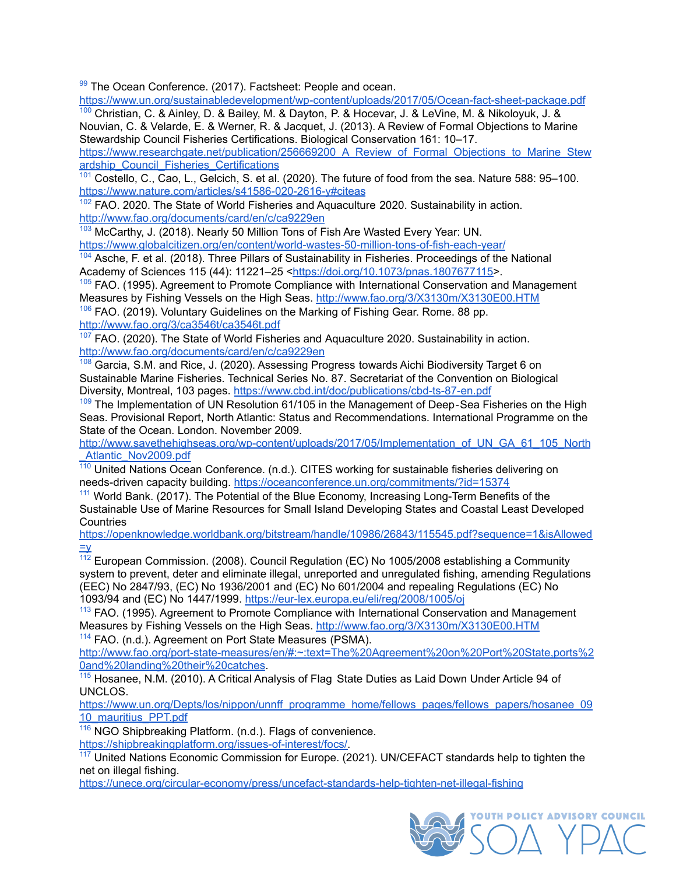<span id="page-32-0"></span> $99$  The Ocean Conference. (2017). Factsheet: People and ocean.

<https://www.un.org/sustainabledevelopment/wp-content/uploads/2017/05/Ocean-fact-sheet-package.pdf>

<span id="page-32-1"></span>[100](https://docs.google.com/document/d/1B7a32_F0O-_3Q591XjA3T4gO8y4nYu4mdraW80_InKI/edit#bookmark=id.n8bdrkssloff) Christian, C. & Ainley, D. & Bailey, M. & Dayton, P. & Hocevar, J. & LeVine, M. & Nikoloyuk, J. & Nouvian, C. & Velarde, E. & Werner, R. & Jacquet, J. (2013). A Review of Formal Objections to Marine Stewardship Council Fisheries Certifications. Biological Conservation 161: 10–17. [https://www.researchgate.net/publication/256669200\\_A\\_Review\\_of\\_Formal\\_Objections\\_to\\_Marine\\_Stew](https://www.researchgate.net/publication/256669200_A_Review_of_Formal_Objections_to_Marine_Stewardship_Council_Fisheries_Certifications) [ardship\\_Council\\_Fisheries\\_Certifications](https://www.researchgate.net/publication/256669200_A_Review_of_Formal_Objections_to_Marine_Stewardship_Council_Fisheries_Certifications)

<span id="page-32-2"></span>[101](https://docs.google.com/document/d/1B7a32_F0O-_3Q591XjA3T4gO8y4nYu4mdraW80_InKI/edit#bookmark=id.9qh8rjm2dyop) Costello, C., Cao, L., Gelcich, S. et al. (2020). The future of food from the sea. Nature 588: 95–100. <https://www.nature.com/articles/s41586-020-2616-y#citeas>

<span id="page-32-3"></span><sup>[102](https://docs.google.com/document/d/1B7a32_F0O-_3Q591XjA3T4gO8y4nYu4mdraW80_InKI/edit#bookmark=id.bc9n032uk4sh)</sup> FAO. 2020. The State of World Fisheries and Aquaculture 2020. Sustainability in action. <http://www.fao.org/documents/card/en/c/ca9229en>

<span id="page-32-4"></span>[103](#page-19-2) McCarthy, J. (2018). Nearly 50 Million Tons of Fish Are Wasted Every Year: UN. <https://www.globalcitizen.org/en/content/world-wastes-50-million-tons-of-fish-each-year/>

<span id="page-32-5"></span>[104](https://docs.google.com/document/d/1B7a32_F0O-_3Q591XjA3T4gO8y4nYu4mdraW80_InKI/edit#bookmark=id.ktfg1q6zbcbr) Asche, F. et al. (2018). Three Pillars of Sustainability in Fisheries. Proceedings of the National Academy of Sciences 115 (44): 11221–25 [<https://doi.org/10.1073/pnas.1807677115>](https://doi.org/10.1073/pnas.1807677115).

<span id="page-32-6"></span><sup>[105](https://docs.google.com/document/d/1B7a32_F0O-_3Q591XjA3T4gO8y4nYu4mdraW80_InKI/edit#bookmark=id.oqlwttcng5c5)</sup> FAO. (1995). Agreement to Promote Compliance with International Conservation and Management Measures by Fishing Vessels on the High Seas. <http://www.fao.org/3/X3130m/X3130E00.HTM>

<span id="page-32-7"></span>[106](https://docs.google.com/document/d/1B7a32_F0O-_3Q591XjA3T4gO8y4nYu4mdraW80_InKI/edit#bookmark=id.vewk4xa36fqg) FAO. (2019). Voluntary Guidelines on the Marking of Fishing Gear. Rome. 88 pp. <http://www.fao.org/3/ca3546t/ca3546t.pdf>

<span id="page-32-8"></span> $107$  FAO. (2020). The State of World Fisheries and Aquaculture 2020. Sustainability in action. <http://www.fao.org/documents/card/en/c/ca9229en>

<span id="page-32-9"></span><sup>[108](https://docs.google.com/document/d/1B7a32_F0O-_3Q591XjA3T4gO8y4nYu4mdraW80_InKI/edit#bookmark=id.ud3ogfieiqyl)</sup> Garcia, S.M. and Rice, J. (2020). Assessing Progress towards Aichi Biodiversity Target 6 on Sustainable Marine Fisheries. Technical Series No. 87. Secretariat of the Convention on Biological Diversity, Montreal, 103 pages. <https://www.cbd.int/doc/publications/cbd-ts-87-en.pdf>

<span id="page-32-10"></span> $109$  The Implementation of UN Resolution 61/105 in the Management of Deep-Sea Fisheries on the High Seas. Provisional Report, North Atlantic: Status and Recommendations. International Programme on the State of the Ocean. London. November 2009.

http://www.savethehighseas.org/wp-content/uploads/2017/05/Implementation of UN GA 61 105 North Atlantic\_Nov2009.pdf

<span id="page-32-11"></span>[110](https://docs.google.com/document/d/1B7a32_F0O-_3Q591XjA3T4gO8y4nYu4mdraW80_InKI/edit#bookmark=id.2xdsczoy5vgq) United Nations Ocean Conference. (n.d.). CITES working for sustainable fisheries delivering on needs-driven capacity building. <https://oceanconference.un.org/commitments/?id=15374>

<span id="page-32-12"></span><sup>[111](#page-20-2)</sup> World Bank. (2017). The Potential of the Blue Economy, Increasing Long-Term Benefits of the Sustainable Use of Marine Resources for Small Island Developing States and Coastal Least Developed **Countries** 

[https://openknowledge.worldbank.org/bitstream/handle/10986/26843/115545.pdf?sequence=1&isAllowed](https://openknowledge.worldbank.org/bitstream/handle/10986/26843/115545.pdf?sequence=1&isAllowed=y)  $\equiv$ y

<span id="page-32-13"></span> $112$  European Commission. (2008). Council Regulation (EC) No 1005/2008 establishing a Community system to prevent, deter and eliminate illegal, unreported and unregulated fishing, amending Regulations (EEC) No 2847/93, (EC) No 1936/2001 and (EC) No 601/2004 and repealing Regulations (EC) No 1093/94 and (EC) No 1447/1999. <https://eur-lex.europa.eu/eli/reg/2008/1005/oj>

<span id="page-32-14"></span><sup>[113](https://docs.google.com/document/d/1B7a32_F0O-_3Q591XjA3T4gO8y4nYu4mdraW80_InKI/edit#bookmark=id.wxsxu61b8ps6)</sup> FAO. (1995). Agreement to Promote Compliance with International Conservation and Management Measures by Fishing Vessels on the High Seas. <http://www.fao.org/3/X3130m/X3130E00.HTM> [114](https://docs.google.com/document/d/1B7a32_F0O-_3Q591XjA3T4gO8y4nYu4mdraW80_InKI/edit#bookmark=id.yyhl45wemfjs) FAO. (n.d.). Agreement on Port State Measures (PSMA).

<span id="page-32-15"></span>http://www.fao.org/port-state-measures/en/#:~:text=The%20Agreement%20on%20Port%20State.ports%2 [0and%20landing%20their%20catches](http://www.fao.org/port-state-measures/en/#:~:text=The%20Agreement%20on%20Port%20State,ports%20and%20landing%20their%20catches).

<span id="page-32-16"></span>[115](https://docs.google.com/document/d/1B7a32_F0O-_3Q591XjA3T4gO8y4nYu4mdraW80_InKI/edit#bookmark=id.1x5g2ybh4514) Hosanee, N.M. (2010). A Critical Analysis of Flag State Duties as Laid Down Under Article 94 of UNCLOS.

[https://www.un.org/Depts/los/nippon/unnff\\_programme\\_home/fellows\\_pages/fellows\\_papers/hosanee\\_09](https://www.un.org/Depts/los/nippon/unnff_programme_home/fellows_pages/fellows_papers/hosanee_0910_mauritius_PPT.pdf) [10\\_mauritius\\_PPT.pdf](https://www.un.org/Depts/los/nippon/unnff_programme_home/fellows_pages/fellows_papers/hosanee_0910_mauritius_PPT.pdf)

<span id="page-32-17"></span>[116](https://docs.google.com/document/d/1B7a32_F0O-_3Q591XjA3T4gO8y4nYu4mdraW80_InKI/edit#bookmark=id.14s85d1ibwc2) NGO Shipbreaking Platform. (n.d.). Flags of convenience.

[https://shipbreakingplatform.org/issues-of-interest/focs/.](https://shipbreakingplatform.org/issues-of-interest/focs/)

<span id="page-32-18"></span> $\frac{117}{117}$  $\frac{117}{117}$  $\frac{117}{117}$  United Nations Economic Commission for Europe. (2021). UN/CEFACT standards help to tighten the net on illegal fishing.

<https://unece.org/circular-economy/press/uncefact-standards-help-tighten-net-illegal-fishing>

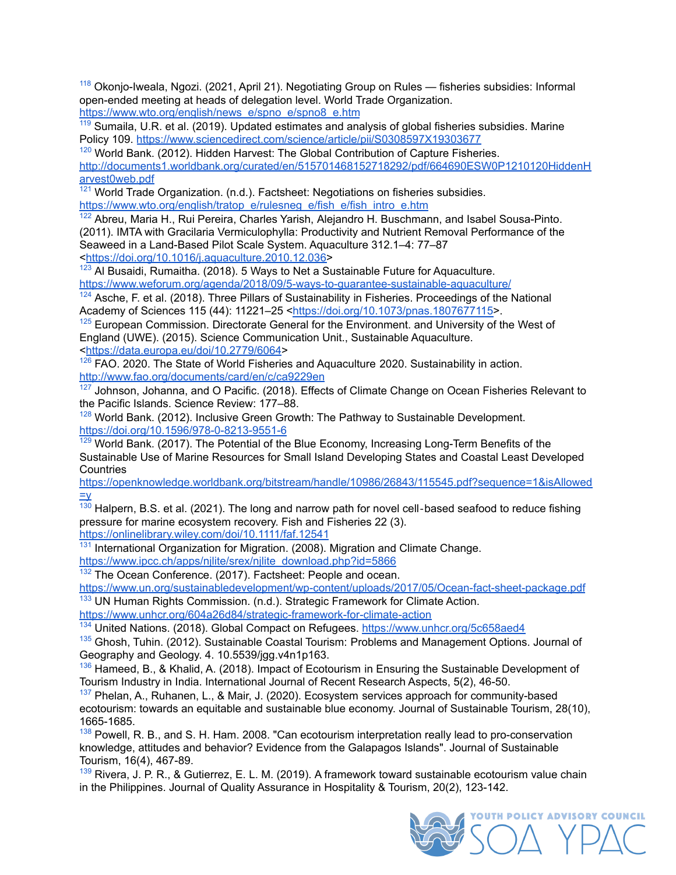<span id="page-33-0"></span><sup>[118](https://docs.google.com/document/d/1B7a32_F0O-_3Q591XjA3T4gO8y4nYu4mdraW80_InKI/edit#bookmark=id.mxve5phngilt)</sup> Okonio-Iweala, Ngozi. (2021, April 21). Negotiating Group on Rules — fisheries subsidies: Informal open-ended meeting at heads of delegation level. World Trade Organization. [https://www.wto.org/english/news\\_e/spno\\_e/spno8\\_e.htm](https://www.wto.org/english/news_e/spno_e/spno8_e.htm)

<span id="page-33-1"></span><sup>[119](https://docs.google.com/document/d/1B7a32_F0O-_3Q591XjA3T4gO8y4nYu4mdraW80_InKI/edit#bookmark=id.1tthls5ehoaj)</sup> Sumaila, U.R. et al. (2019). Updated estimates and analysis of global fisheries subsidies. Marine Policy 109. <https://www.sciencedirect.com/science/article/pii/S0308597X19303677>

<span id="page-33-2"></span> $120$  World Bank. (2012). Hidden Harvest: The Global Contribution of Capture Fisheries. [http://documents1.worldbank.org/curated/en/515701468152718292/pdf/664690ESW0P1210120HiddenH](http://documents1.worldbank.org/curated/en/515701468152718292/pdf/664690ESW0P1210120HiddenHarvest0web.pdf) [arvest0web.pdf](http://documents1.worldbank.org/curated/en/515701468152718292/pdf/664690ESW0P1210120HiddenHarvest0web.pdf)

<span id="page-33-3"></span> $\frac{121}{21}$  $\frac{121}{21}$  $\frac{121}{21}$  World Trade Organization. (n.d.). Factsheet: Negotiations on fisheries subsidies. [https://www.wto.org/english/tratop\\_e/rulesneg\\_e/fish\\_e/fish\\_intro\\_e.htm](https://www.wto.org/english/tratop_e/rulesneg_e/fish_e/fish_intro_e.htm)

<span id="page-33-4"></span>[122](https://docs.google.com/document/d/1B7a32_F0O-_3Q591XjA3T4gO8y4nYu4mdraW80_InKI/edit#bookmark=id.4hngnsb0mogg) Abreu, Maria H., Rui Pereira, Charles Yarish, Alejandro H. Buschmann, and Isabel Sousa-Pinto. (2011). IMTA with Gracilaria Vermiculophylla: Productivity and Nutrient Removal Performance of the Seaweed in a Land-Based Pilot Scale System. Aquaculture 312.1–4: 77–87 <[https://doi.org/10.1016/j.aquaculture.2010.12.036>](https://doi.org/10.1016/j.aquaculture.2010.12.036)

<span id="page-33-5"></span> $123$  Al Busaidi, Rumaitha. (2018). 5 Ways to Net a Sustainable Future for Aquaculture. <https://www.weforum.org/agenda/2018/09/5-ways-to-guarantee-sustainable-aquaculture/>

<span id="page-33-6"></span><sup>[124](https://docs.google.com/document/d/1B7a32_F0O-_3Q591XjA3T4gO8y4nYu4mdraW80_InKI/edit#bookmark=id.9zgwb11amzxo)</sup> Asche, F. et al. (2018). Three Pillars of Sustainability in Fisheries. Proceedings of the National Academy of Sciences 115 (44): 11221–25 [<https://doi.org/10.1073/pnas.1807677115>](https://doi.org/10.1073/pnas.1807677115).

<span id="page-33-7"></span> $125$  European Commission. Directorate General for the Environment, and University of the West of England (UWE). (2015). Science Communication Unit., Sustainable Aquaculture. <<https://data.europa.eu/doi/10.2779/6064>>

<span id="page-33-8"></span> $126$  FAO. 2020. The State of World Fisheries and Aquaculture 2020. Sustainability in action. <http://www.fao.org/documents/card/en/c/ca9229en>

<span id="page-33-9"></span> $127$  Johnson, Johanna, and O Pacific. (2018). Effects of Climate Change on Ocean Fisheries Relevant to the Pacific Islands. Science Review: 177–88.

<span id="page-33-10"></span> $128$  World Bank. (2012). Inclusive Green Growth: The Pathway to Sustainable Development. <https://doi.org/10.1596/978-0-8213-9551-6>

<span id="page-33-11"></span> $129$  World Bank. (2017). The Potential of the Blue Economy, Increasing Long-Term Benefits of the Sustainable Use of Marine Resources for Small Island Developing States and Coastal Least Developed **Countries** 

[https://openknowledge.worldbank.org/bitstream/handle/10986/26843/115545.pdf?sequence=1&isAllowed](https://openknowledge.worldbank.org/bitstream/handle/10986/26843/115545.pdf?sequence=1&isAllowed=y)  $=V$ 

<span id="page-33-12"></span> $\frac{130}{130}$  $\frac{130}{130}$  $\frac{130}{130}$  Halpern, B.S. et al. (2021). The long and narrow path for novel cell-based seafood to reduce fishing pressure for marine ecosystem recovery. Fish and Fisheries 22 (3).

<https://onlinelibrary.wiley.com/doi/10.1111/faf.12541>

<span id="page-33-13"></span><sup>[131](https://docs.google.com/document/d/1B7a32_F0O-_3Q591XjA3T4gO8y4nYu4mdraW80_InKI/edit#bookmark=id.7k0kgbu6is0r)</sup> International Organization for Migration. (2008). Migration and Climate Change. [https://www.ipcc.ch/apps/njlite/srex/njlite\\_download.php?id=5866](https://www.ipcc.ch/apps/njlite/srex/njlite_download.php?id=5866)

<span id="page-33-14"></span><sup>[132](https://docs.google.com/document/d/1B7a32_F0O-_3Q591XjA3T4gO8y4nYu4mdraW80_InKI/edit#bookmark=id.e4ovrlohcbu9)</sup> The Ocean Conference. (2017). Factsheet: People and ocean.

<https://www.un.org/sustainabledevelopment/wp-content/uploads/2017/05/Ocean-fact-sheet-package.pdf> <sup>[133](https://docs.google.com/document/d/1B7a32_F0O-_3Q591XjA3T4gO8y4nYu4mdraW80_InKI/edit#bookmark=id.m30hxwu3c5oy)</sup> UN Human Rights Commission. (n.d.). Strategic Framework for Climate Action.

<span id="page-33-15"></span><https://www.unhcr.org/604a26d84/strategic-framework-for-climate-action>

<span id="page-33-16"></span><sup>[134](#page-22-2)</sup> United Nations. (2018). Global Compact on Refugees. <https://www.unhcr.org/5c658aed4>

<span id="page-33-17"></span><sup>[135](https://docs.google.com/document/d/1B7a32_F0O-_3Q591XjA3T4gO8y4nYu4mdraW80_InKI/edit#bookmark=id.6712b1zcbkap)</sup> Ghosh, Tuhin. (2012). Sustainable Coastal Tourism: Problems and Management Options. Journal of Geography and Geology. 4. 10.5539/jgg.v4n1p163.

<span id="page-33-18"></span>[136](https://docs.google.com/document/d/1B7a32_F0O-_3Q591XjA3T4gO8y4nYu4mdraW80_InKI/edit#bookmark=id.789l8gea185y) Hameed, B., & Khalid, A. (2018). Impact of Ecotourism in Ensuring the Sustainable Development of Tourism Industry in India. International Journal of Recent Research Aspects, 5(2), 46-50.

<span id="page-33-19"></span> $137$  Phelan, A., Ruhanen, L., & Mair, J. (2020). Ecosystem services approach for community-based ecotourism: towards an equitable and sustainable blue economy. Journal of Sustainable Tourism, 28(10), 1665-1685.

<span id="page-33-20"></span><sup>[138](https://docs.google.com/document/d/1B7a32_F0O-_3Q591XjA3T4gO8y4nYu4mdraW80_InKI/edit#bookmark=id.nhbgkhtwbpbm)</sup> Powell, R. B., and S. H. Ham. 2008. "Can ecotourism interpretation really lead to pro-conservation knowledge, attitudes and behavior? Evidence from the Galapagos Islands". Journal of Sustainable Tourism, 16(4), 467-89.

<span id="page-33-21"></span> $139$  Rivera, J. P. R., & Gutierrez, E. L. M. (2019). A framework toward sustainable ecotourism value chain in the Philippines. Journal of Quality Assurance in Hospitality & Tourism, 20(2), 123-142.

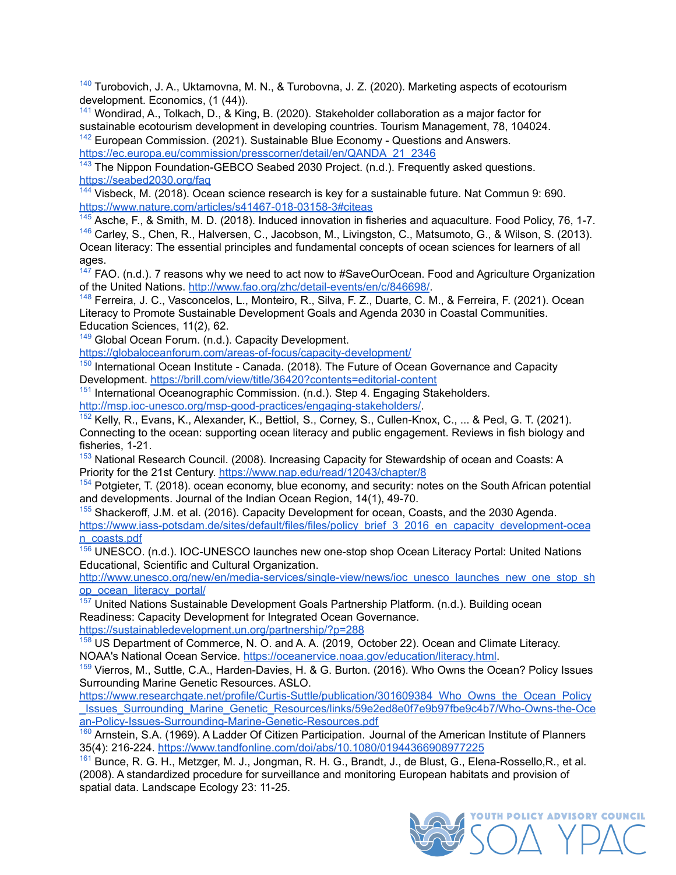<span id="page-34-0"></span><sup>[140](https://docs.google.com/document/d/1B7a32_F0O-_3Q591XjA3T4gO8y4nYu4mdraW80_InKI/edit#bookmark=id.3d2uc4t4m1p)</sup> Turobovich, J. A., Uktamovna, M. N., & Turobovna, J. Z. (2020). Marketing aspects of ecotourism development. Economics, (1 (44)).

<span id="page-34-1"></span>[141](#page-22-3) Wondirad, A., Tolkach, D., & King, B. (2020). Stakeholder collaboration as a major factor for sustainable ecotourism development in developing countries. Tourism Management, 78, 104024. [142](https://docs.google.com/document/d/1B7a32_F0O-_3Q591XjA3T4gO8y4nYu4mdraW80_InKI/edit#bookmark=id.lh9uyenxvy90) European Commission. (2021). Sustainable Blue Economy - Questions and Answers.

<span id="page-34-2"></span>[https://ec.europa.eu/commission/presscorner/detail/en/QANDA\\_21\\_2346](https://ec.europa.eu/commission/presscorner/detail/en/QANDA_21_2346)

<span id="page-34-3"></span><sup>[143](https://docs.google.com/document/d/1B7a32_F0O-_3Q591XjA3T4gO8y4nYu4mdraW80_InKI/edit#bookmark=id.ot39dj2a1og)</sup> The Nippon Foundation-GEBCO Seabed 2030 Project. (n.d.). Frequently asked questions. <https://seabed2030.org/faq>

<span id="page-34-4"></span>[144](#page-23-3) Visbeck, M. (2018). Ocean science research is key for a sustainable future. Nat Commun 9: 690. <https://www.nature.com/articles/s41467-018-03158-3#citeas>

<span id="page-34-6"></span><span id="page-34-5"></span><sup>[145](https://docs.google.com/document/d/1B7a32_F0O-_3Q591XjA3T4gO8y4nYu4mdraW80_InKI/edit#bookmark=id.aduaoz6j7ai)</sup> Asche, F., & Smith, M. D. (2018). Induced innovation in fisheries and aquaculture. Food Policy, 76, 1-7. [146](https://docs.google.com/document/d/1B7a32_F0O-_3Q591XjA3T4gO8y4nYu4mdraW80_InKI/edit#bookmark=id.2kwpqsijmrmy) Carley, S., Chen, R., Halversen, C., Jacobson, M., Livingston, C., Matsumoto, G., & Wilson, S. (2013). Ocean literacy: The essential principles and fundamental concepts of ocean sciences for learners of all ages.

<span id="page-34-7"></span> $147$  FAO. (n.d.). 7 reasons why we need to act now to #SaveOurOcean. Food and Agriculture Organization of the United Nations. <http://www.fao.org/zhc/detail-events/en/c/846698/>.

<span id="page-34-8"></span>[148](https://docs.google.com/document/d/1B7a32_F0O-_3Q591XjA3T4gO8y4nYu4mdraW80_InKI/edit#bookmark=id.pxvadv91547i) Ferreira, J. C., Vasconcelos, L., Monteiro, R., Silva, F. Z., Duarte, C. M., & Ferreira, F. (2021). Ocean Literacy to Promote Sustainable Development Goals and Agenda 2030 in Coastal Communities. Education Sciences, 11(2), 62.

<span id="page-34-9"></span><sup>[149](https://docs.google.com/document/d/1B7a32_F0O-_3Q591XjA3T4gO8y4nYu4mdraW80_InKI/edit#bookmark=id.v8srbtky10lx)</sup> Global Ocean Forum. (n.d.). Capacity Development.

<https://globaloceanforum.com/areas-of-focus/capacity-development/>

<span id="page-34-10"></span><sup>[150](https://docs.google.com/document/d/1B7a32_F0O-_3Q591XjA3T4gO8y4nYu4mdraW80_InKI/edit#bookmark=id.rrvk9objls8x)</sup> International Ocean Institute - Canada. (2018). The Future of Ocean Governance and Capacity Development. <https://brill.com/view/title/36420?contents=editorial-content>

<span id="page-34-11"></span><sup>[151](https://docs.google.com/document/d/1B7a32_F0O-_3Q591XjA3T4gO8y4nYu4mdraW80_InKI/edit#bookmark=id.gro9mv2to1g6)</sup> International Oceanographic Commission. (n.d.). Step 4. Engaging Stakeholders. <http://msp.ioc-unesco.org/msp-good-practices/engaging-stakeholders/>.

<span id="page-34-12"></span>[152](https://docs.google.com/document/d/1B7a32_F0O-_3Q591XjA3T4gO8y4nYu4mdraW80_InKI/edit#bookmark=id.o9t3juean826) Kelly, R., Evans, K., Alexander, K., Bettiol, S., Corney, S., Cullen-Knox, C., ... & Pecl, G. T. (2021). Connecting to the ocean: supporting ocean literacy and public engagement. Reviews in fish biology and fisheries, 1-21.

<span id="page-34-13"></span><sup>[153](https://docs.google.com/document/d/1B7a32_F0O-_3Q591XjA3T4gO8y4nYu4mdraW80_InKI/edit#bookmark=id.qiz22wjxonbc)</sup> National Research Council. (2008). Increasing Capacity for Stewardship of ocean and Coasts: A Priority for the 21st Century. <https://www.nap.edu/read/12043/chapter/8>

<span id="page-34-14"></span>[154](https://docs.google.com/document/d/1B7a32_F0O-_3Q591XjA3T4gO8y4nYu4mdraW80_InKI/edit#bookmark=id.d2a9sx642wmh) Potgieter, T. (2018). ocean economy, blue economy, and security: notes on the South African potential and developments. Journal of the Indian Ocean Region, 14(1), 49-70.

<span id="page-34-15"></span><sup>[155](https://docs.google.com/document/d/1B7a32_F0O-_3Q591XjA3T4gO8y4nYu4mdraW80_InKI/edit#bookmark=id.pf89acfx5cln)</sup> Shackeroff, J.M. et al. (2016). Capacity Development for ocean, Coasts, and the 2030 Agenda. [https://www.iass-potsdam.de/sites/default/files/files/policy\\_brief\\_3\\_2016\\_en\\_capacity\\_development-ocea](https://www.iass-potsdam.de/sites/default/files/files/policy_brief_3_2016_en_capacity_development-oceans_coasts.pdf) [n\\_coasts.pdf](https://www.iass-potsdam.de/sites/default/files/files/policy_brief_3_2016_en_capacity_development-oceans_coasts.pdf)

<span id="page-34-16"></span> $15\overline{6}$  UNESCO. (n.d.). IOC-UNESCO launches new one-stop shop Ocean Literacy Portal: United Nations Educational, Scientific and Cultural Organization.

[http://www.unesco.org/new/en/media-services/single-view/news/ioc\\_unesco\\_launches\\_new\\_one\\_stop\\_sh](http://www.unesco.org/new/en/media-services/single-view/news/ioc_unesco_launches_new_one_stop_shop_ocean_literacy_portal/) [op\\_ocean\\_literacy\\_portal/](http://www.unesco.org/new/en/media-services/single-view/news/ioc_unesco_launches_new_one_stop_shop_ocean_literacy_portal/)

<span id="page-34-17"></span> $157$  United Nations Sustainable Development Goals Partnership Platform. (n.d.). Building ocean Readiness: Capacity Development for Integrated Ocean Governance. <https://sustainabledevelopment.un.org/partnership/?p=288>

<span id="page-34-18"></span>[158](https://docs.google.com/document/d/1B7a32_F0O-_3Q591XjA3T4gO8y4nYu4mdraW80_InKI/edit#bookmark=id.oj39dsnc5shu) US Department of Commerce, N. O. and A. A. (2019, October 22). Ocean and Climate Literacy. NOAA's National Ocean Service. [https://oceanervice.noaa.gov/education/literacy.html.](https://oceanervice.noaa.gov/education/literacy.html)

<span id="page-34-19"></span>[159](#page-23-4) Vierros, M., Suttle, C.A., Harden-Davies, H. & G. Burton. (2016). Who Owns the Ocean? Policy Issues Surrounding Marine Genetic Resources. ASLO.

[https://www.researchgate.net/profile/Curtis-Suttle/publication/301609384\\_Who\\_Owns\\_the\\_Ocean\\_Policy](https://www.researchgate.net/profile/Curtis-Suttle/publication/301609384_Who_Owns_the_Ocean_Policy_Issues_Surrounding_Marine_Genetic_Resources/links/59e2ed8e0f7e9b97fbe9c4b7/Who-Owns-the-Ocean-Policy-Issues-Surrounding-Marine-Genetic-Resources.pdf)\_ [\\_Issues\\_Surrounding\\_Marine\\_Genetic\\_Resources/links/59e2ed8e0f7e9b97fbe9c4b7/Who-Owns-the-Oce](https://www.researchgate.net/profile/Curtis-Suttle/publication/301609384_Who_Owns_the_Ocean_Policy_Issues_Surrounding_Marine_Genetic_Resources/links/59e2ed8e0f7e9b97fbe9c4b7/Who-Owns-the-Ocean-Policy-Issues-Surrounding-Marine-Genetic-Resources.pdf) [an-Policy-Issues-Surrounding-Marine-Genetic-Resources.pdf](https://www.researchgate.net/profile/Curtis-Suttle/publication/301609384_Who_Owns_the_Ocean_Policy_Issues_Surrounding_Marine_Genetic_Resources/links/59e2ed8e0f7e9b97fbe9c4b7/Who-Owns-the-Ocean-Policy-Issues-Surrounding-Marine-Genetic-Resources.pdf)

<span id="page-34-20"></span>[160](https://docs.google.com/document/d/1B7a32_F0O-_3Q591XjA3T4gO8y4nYu4mdraW80_InKI/edit#bookmark=id.gp2io2dxe3yo) Arnstein, S.A. (1969). A Ladder Of Citizen Participation. Journal of the American Institute of Planners 35(4): 216-224. <https://www.tandfonline.com/doi/abs/10.1080/01944366908977225>

<span id="page-34-21"></span>[161](https://docs.google.com/document/d/1B7a32_F0O-_3Q591XjA3T4gO8y4nYu4mdraW80_InKI/edit#bookmark=id.kxx4drfbad5x) Bunce, R. G. H., Metzger, M. J., Jongman, R. H. G., Brandt, J., de Blust, G., Elena-Rossello,R., et al. (2008). A standardized procedure for surveillance and monitoring European habitats and provision of spatial data. Landscape Ecology 23: 11-25.

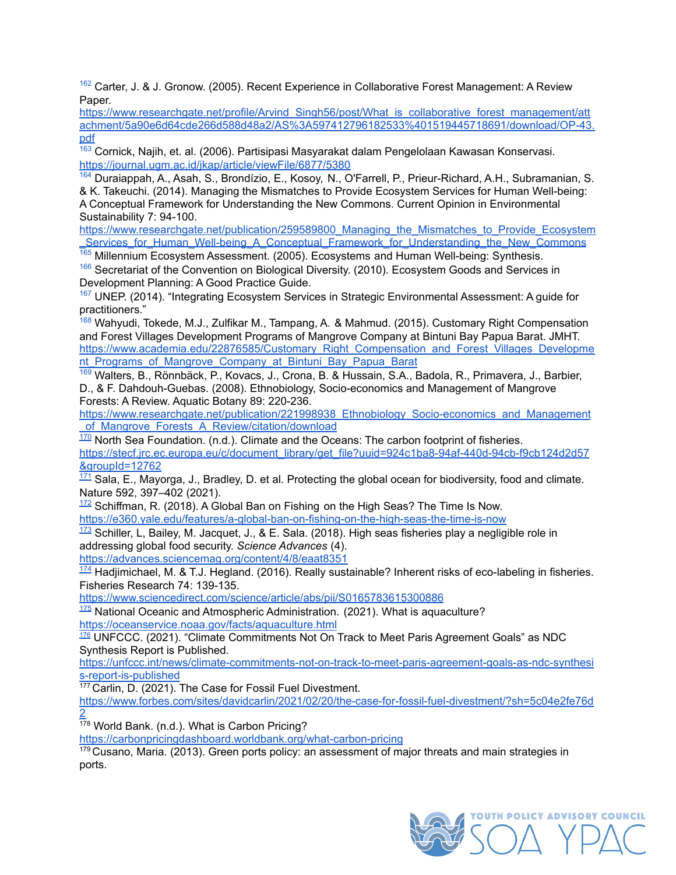<span id="page-35-10"></span><sup>[162](https://docs.google.com/document/d/1B7a32_F0O-_3Q591XjA3T4gO8y4nYu4mdraW80_InKI/edit#bookmark=id.n81rrvj634cl)</sup> Carter, J. & J. Gronow. (2005). Recent Experience in Collaborative Forest Management: A Review Paper

[https://www.researchgate.net/profile/Arvind\\_Singh56/post/What\\_is\\_collaborative\\_forest\\_management/att](https://www.researchgate.net/profile/Arvind_Singh56/post/What_is_collaborative_forest_management/attachment/5a90e6d64cde266d588d48a2/AS%3A597412796182533%401519445718691/download/OP-43.pdf) [achment/5a90e6d64cde266d588d48a2/AS%3A597412796182533%401519445718691/download/OP-43.](https://www.researchgate.net/profile/Arvind_Singh56/post/What_is_collaborative_forest_management/attachment/5a90e6d64cde266d588d48a2/AS%3A597412796182533%401519445718691/download/OP-43.pdf) [pdf](https://www.researchgate.net/profile/Arvind_Singh56/post/What_is_collaborative_forest_management/attachment/5a90e6d64cde266d588d48a2/AS%3A597412796182533%401519445718691/download/OP-43.pdf)

<span id="page-35-11"></span>[163](https://docs.google.com/document/d/1B7a32_F0O-_3Q591XjA3T4gO8y4nYu4mdraW80_InKI/edit#bookmark=id.35xlsarhqbfn) Cornick, Najih, et. al. (2006). Partisipasi Masyarakat dalam Pengelolaan Kawasan Konservasi. <https://journal.ugm.ac.id/jkap/article/viewFile/6877/5380>

<span id="page-35-12"></span>[164](https://docs.google.com/document/d/1B7a32_F0O-_3Q591XjA3T4gO8y4nYu4mdraW80_InKI/edit#bookmark=id.jh2notvcghgd) Duraiappah, A., Asah, S., Brondízio, E., Kosoy, N., O'Farrell, P., Prieur-Richard, A.H., Subramanian, S. & K. Takeuchi. (2014). Managing the Mismatches to Provide Ecosystem Services for Human Well-being: A Conceptual Framework for Understanding the New Commons. Current Opinion in Environmental Sustainability 7: 94-100.

https://www.researchgate.net/publication/259589800 Managing the Mismatches to Provide Ecosystem [\\_Services\\_for\\_Human\\_Well-being\\_A\\_Conceptual\\_Framework\\_for\\_Understanding\\_the\\_New\\_Commons](https://www.researchgate.net/publication/259589800_Managing_the_Mismatches_to_Provide_Ecosystem_Services_for_Human_Well-being_A_Conceptual_Framework_for_Understanding_the_New_Commons)

<span id="page-35-13"></span><sup>[165](https://docs.google.com/document/d/1B7a32_F0O-_3Q591XjA3T4gO8y4nYu4mdraW80_InKI/edit#bookmark=id.gtbr2npo1euk)</sup> Millennium Ecosystem Assessment. (2005). Ecosystems and Human Well-being: Synthesis.

<span id="page-35-14"></span><sup>[166](https://docs.google.com/document/d/1B7a32_F0O-_3Q591XjA3T4gO8y4nYu4mdraW80_InKI/edit#bookmark=id.9b8uadtw9whm)</sup> Secretariat of the Convention on Biological Diversity. (2010). Ecosystem Goods and Services in Development Planning: A Good Practice Guide.

<span id="page-35-15"></span><sup>[167](https://docs.google.com/document/d/1B7a32_F0O-_3Q591XjA3T4gO8y4nYu4mdraW80_InKI/edit#bookmark=id.aleb0tklcuy0)</sup> UNEP. (2014). "Integrating Ecosystem Services in Strategic Environmental Assessment: A guide for practitioners."

<span id="page-35-16"></span><sup>[168](https://docs.google.com/document/d/1B7a32_F0O-_3Q591XjA3T4gO8y4nYu4mdraW80_InKI/edit#bookmark=id.758i5j7c6mul)</sup> Wahvudi, Tokede, M.J., Zulfikar M., Tampang, A. & Mahmud. (2015). Customary Right Compensation and Forest Villages Development Programs of Mangrove Company at Bintuni Bay Papua Barat. JMHT. [https://www.academia.edu/22876585/Customary\\_Right\\_Compensation\\_and\\_Forest\\_Villages\\_Developme](https://www.academia.edu/22876585/Customary_Right_Compensation_and_Forest_Villages_Development_Programs_of_Mangrove_Company_at_Bintuni_Bay_Papua_Barat) nt Programs of Mangrove Company at Bintuni Bay Papua Barat

<span id="page-35-17"></span>[169](#page-24-0) Walters, B., Rönnbäck, P., Kovacs, J., Crona, B. & Hussain, S.A., Badola, R., Primavera, J., Barbier, D., & F. Dahdouh-Guebas. (2008). Ethnobiology, Socio-economics and Management of Mangrove Forests: A Review. Aquatic Botany 89: 220-236.

[https://www.researchgate.net/publication/221998938\\_Ethnobiology\\_Socio-economics\\_and\\_Management](https://www.researchgate.net/publication/221998938_Ethnobiology_Socio-economics_and_Management_of_Mangrove_Forests_A_Review/citation/download) of Mangrove Forests A Review/citation/download

<span id="page-35-3"></span> $170$  North Sea Foundation. (n.d.). Climate and the Oceans: The carbon footprint of fisheries. [https://stecf.jrc.ec.europa.eu/c/document\\_library/get\\_file?uuid=924c1ba8-94af-440d-94cb-f9cb124d2d57](https://stecf.jrc.ec.europa.eu/c/document_library/get_file?uuid=924c1ba8-94af-440d-94cb-f9cb124d2d57&groupId=12762) [&groupId=12762](https://stecf.jrc.ec.europa.eu/c/document_library/get_file?uuid=924c1ba8-94af-440d-94cb-f9cb124d2d57&groupId=12762)

<span id="page-35-4"></span> $171$  Sala, E., Mayorga, J., Bradley, D. et al. Protecting the global ocean for biodiversity, food and climate. Nature 592, 397–402 (2021).

<span id="page-35-6"></span> $172$  Schiffman, R. (2018). A Global Ban on Fishing on the High Seas? The Time Is Now. <https://e360.yale.edu/features/a-global-ban-on-fishing-on-the-high-seas-the-time-is-now>

<span id="page-35-7"></span> $173$  Schiller, L, Bailey, M. Jacquet, J., & E. Sala. (2018). High seas fisheries play a negligible role in addressing global food security. *Science Advances* (4).

<https://advances.sciencemag.org/content/4/8/eaat8351>

<span id="page-35-8"></span> $\frac{174}{174}$  $\frac{174}{174}$  $\frac{174}{174}$  Hadjimichael, M. & T.J. Hegland. (2016). Really sustainable? Inherent risks of eco-labeling in fisheries. Fisheries Research 74: 139-135.

<https://www.sciencedirect.com/science/article/abs/pii/S0165783615300886>

<span id="page-35-9"></span> $175$  National Oceanic and Atmospheric Administration. (2021). What is aquaculture? <https://oceanservice.noaa.gov/facts/aquaculture.html>

<span id="page-35-0"></span>[176](#page-12-3) UNFCCC. (2021). "Climate Commitments Not On Track to Meet Paris Agreement Goals" as NDC Synthesis Report is Published.

[https://unfccc.int/news/climate-commitments-not-on-track-to-meet-paris-agreement-goals-as-ndc-synthesi](https://unfccc.int/news/climate-commitments-not-on-track-to-meet-paris-agreement-goals-as-ndc-synthesis-report-is-published) [s-report-is-published](https://unfccc.int/news/climate-commitments-not-on-track-to-meet-paris-agreement-goals-as-ndc-synthesis-report-is-published)

<span id="page-35-1"></span><sup>177</sup> Carlin, D. (2021). The Case for Fossil Fuel Divestment.

[https://www.forbes.com/sites/davidcarlin/2021/02/20/the-case-for-fossil-fuel-divestment/?sh=5c04e2fe76d](https://www.forbes.com/sites/davidcarlin/2021/02/20/the-case-for-fossil-fuel-divestment/?sh=5c04e2fe76d2) [2](https://www.forbes.com/sites/davidcarlin/2021/02/20/the-case-for-fossil-fuel-divestment/?sh=5c04e2fe76d2)

<span id="page-35-2"></span><sup>178</sup> World Bank. (n.d.). What is Carbon Pricing?

<https://carbonpricingdashboard.worldbank.org/what-carbon-pricing>

<span id="page-35-5"></span> $179$  Cusano, Maria. (2013). Green ports policy: an assessment of major threats and main strategies in ports.

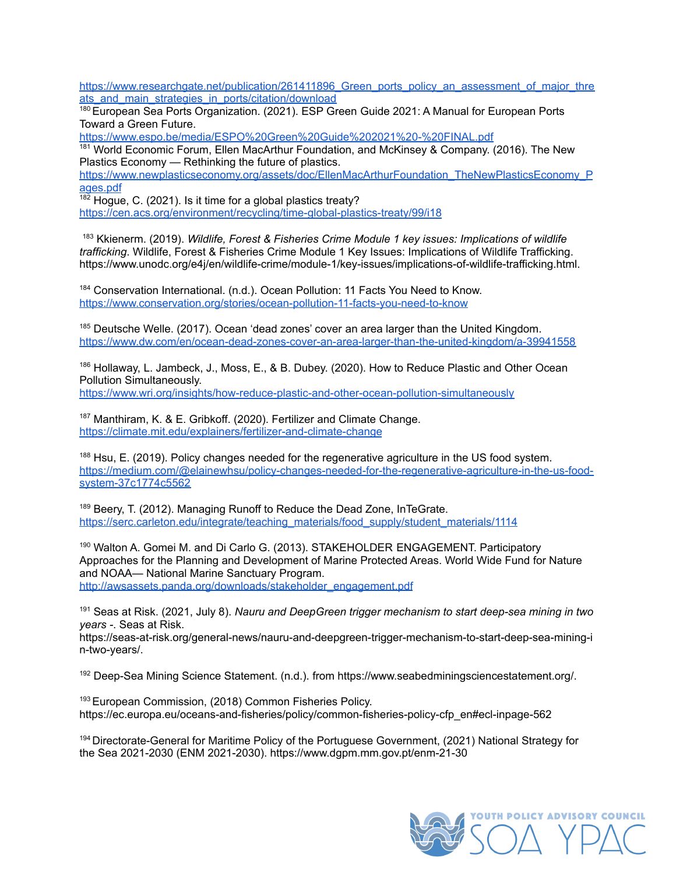https://www.researchgate.net/publication/261411896 Green\_ports\_policy\_an\_assessment\_of\_major\_thre [ats\\_and\\_main\\_strategies\\_in\\_ports/citation/download](https://www.researchgate.net/publication/261411896_Green_ports_policy_an_assessment_of_major_threats_and_main_strategies_in_ports/citation/download)

<span id="page-36-0"></span><sup>180</sup> European Sea Ports Organization. (2021). ESP Green Guide 2021: A Manual for European Ports Toward a Green Future.

<https://www.espo.be/media/ESPO%20Green%20Guide%202021%20-%20FINAL.pdf>

<span id="page-36-1"></span> $181$  World Economic Forum, Ellen MacArthur Foundation, and McKinsey & Company. (2016). The New Plastics Economy — Rethinking the future of plastics.

[https://www.newplasticseconomy.org/assets/doc/EllenMacArthurFoundation\\_TheNewPlasticsEconomy\\_P](https://www.newplasticseconomy.org/assets/doc/EllenMacArthurFoundation_TheNewPlasticsEconomy_Pages.pdf) [ages.pdf](https://www.newplasticseconomy.org/assets/doc/EllenMacArthurFoundation_TheNewPlasticsEconomy_Pages.pdf)

<span id="page-36-2"></span> $182$  Hogue, C. (2021). Is it time for a global plastics treaty? <https://cen.acs.org/environment/recycling/time-global-plastics-treaty/99/i18>

<span id="page-36-9"></span><sup>183</sup> Kkienerm. (2019). *Wildlife, Forest & Fisheries Crime Module 1 key issues: Implications of wildlife trafficking*. Wildlife, Forest & Fisheries Crime Module 1 Key Issues: Implications of Wildlife Trafficking. https://www.unodc.org/e4j/en/wildlife-crime/module-1/key-issues/implications-of-wildlife-trafficking.html.

<span id="page-36-3"></span><sup>184</sup> Conservation International. (n.d.). Ocean Pollution: 11 Facts You Need to Know. <https://www.conservation.org/stories/ocean-pollution-11-facts-you-need-to-know>

<span id="page-36-4"></span><sup>185</sup> Deutsche Welle. (2017). Ocean 'dead zones' cover an area larger than the United Kingdom. <https://www.dw.com/en/ocean-dead-zones-cover-an-area-larger-than-the-united-kingdom/a-39941558>

<span id="page-36-5"></span><sup>186</sup> Hollaway, L. Jambeck, J., Moss, E., & B. Dubey. (2020). How to Reduce Plastic and Other Ocean Pollution Simultaneously. <https://www.wri.org/insights/how-reduce-plastic-and-other-ocean-pollution-simultaneously>

<span id="page-36-6"></span><sup>187</sup> Manthiram, K. & E. Gribkoff. (2020). Fertilizer and Climate Change. <https://climate.mit.edu/explainers/fertilizer-and-climate-change>

<span id="page-36-7"></span><sup>188</sup> Hsu, E. (2019). Policy changes needed for the regenerative agriculture in the US food system. [https://medium.com/@elainewhsu/policy-changes-needed-for-the-regenerative-agriculture-in-the-us-food](https://medium.com/@elainewhsu/policy-changes-needed-for-the-regenerative-agriculture-in-the-us-food-system-37c1774c5562)[system-37c1774c5562](https://medium.com/@elainewhsu/policy-changes-needed-for-the-regenerative-agriculture-in-the-us-food-system-37c1774c5562)

<span id="page-36-8"></span><sup>189</sup> Beery, T. (2012). Managing Runoff to Reduce the Dead Zone, InTeGrate. [https://serc.carleton.edu/integrate/teaching\\_materials/food\\_supply/student\\_materials/1114](https://serc.carleton.edu/integrate/teaching_materials/food_supply/student_materials/1114)

<span id="page-36-10"></span><sup>190</sup> Walton A. Gomei M. and Di Carlo G. (2013). STAKEHOLDER ENGAGEMENT. Participatory Approaches for the Planning and Development of Marine Protected Areas. World Wide Fund for Nature and NOAA— National Marine Sanctuary Program. [http://awsassets.panda.org/downloads/stakeholder\\_engagement.pdf](http://awsassets.panda.org/downloads/stakeholder_engagement.pdf)

<span id="page-36-11"></span><sup>191</sup> Seas at Risk. (2021, July 8). *Nauru and DeepGreen trigger mechanism to start deep-sea mining in two years -*. Seas at Risk.

https://seas-at-risk.org/general-news/nauru-and-deepgreen-trigger-mechanism-to-start-deep-sea-mining-i n-two-years/.

<span id="page-36-12"></span><sup>192</sup> Deep-Sea Mining Science Statement. (n.d.). from [https://www.seabedminingsciencestatement.org/.](https://www.seabedminingsciencestatement.org/)

<span id="page-36-13"></span><sup>193</sup> European Commission, (2018) Common Fisheries Policy. [https://ec.europa.eu/oceans-and-fisheries/policy/common-fisheries-policy-cfp\\_en#ecl-inpage-562](https://ec.europa.eu/oceans-and-fisheries/policy/common-fisheries-policy-cfp_en#ecl-inpage-562)

<span id="page-36-14"></span><sup>194</sup> Directorate-General for Maritime Policy of the Portuguese Government, (2021) National Strategy for the Sea 2021-2030 (ENM 2021-2030). <https://www.dgpm.mm.gov.pt/enm-21-30>